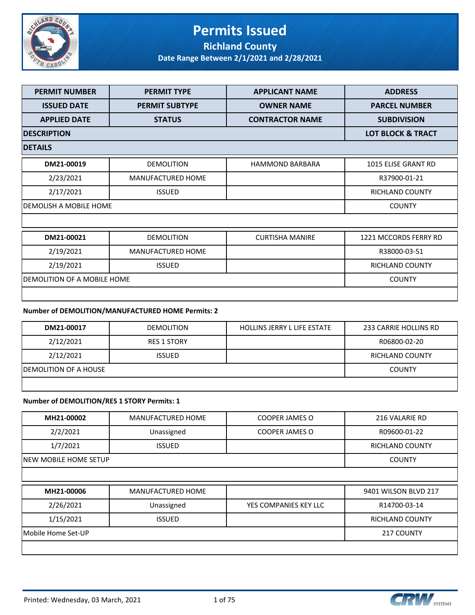

# **Permits Issued Richland County**

**Date Range Between 2/1/2021 and 2/28/2021**

| <b>PERMIT NUMBER</b>        | <b>PERMIT TYPE</b>       | <b>APPLICANT NAME</b>  | <b>ADDRESS</b>               |
|-----------------------------|--------------------------|------------------------|------------------------------|
| <b>ISSUED DATE</b>          | <b>PERMIT SUBTYPE</b>    | <b>OWNER NAME</b>      | <b>PARCEL NUMBER</b>         |
| <b>APPLIED DATE</b>         | <b>STATUS</b>            | <b>CONTRACTOR NAME</b> | <b>SUBDIVISION</b>           |
| <b>DESCRIPTION</b>          |                          |                        | <b>LOT BLOCK &amp; TRACT</b> |
| <b>DETAILS</b>              |                          |                        |                              |
| DM21-00019                  | <b>DEMOLITION</b>        | <b>HAMMOND BARBARA</b> | 1015 ELISE GRANT RD          |
| 2/23/2021                   | MANUFACTURED HOME        |                        | R37900-01-21                 |
| 2/17/2021                   | <b>ISSUED</b>            |                        | <b>RICHLAND COUNTY</b>       |
| DEMOLISH A MOBILE HOME      |                          |                        | <b>COUNTY</b>                |
|                             |                          |                        |                              |
| DM21-00021                  | <b>DEMOLITION</b>        | <b>CURTISHA MANIRE</b> | 1221 MCCORDS FERRY RD        |
| 2/19/2021                   | <b>MANUFACTURED HOME</b> |                        | R38000-03-51                 |
| 2/19/2021                   | <b>ISSUED</b>            |                        | <b>RICHLAND COUNTY</b>       |
| DEMOLITION OF A MOBILE HOME |                          |                        | <b>COUNTY</b>                |
|                             |                          |                        |                              |

#### **Number of DEMOLITION/MANUFACTURED HOME Permits: 2**

| DM21-00017             | <b>DEMOLITION</b>  | <b>HOLLINS JERRY L LIFE ESTATE</b> | 233 CARRIE HOLLINS RD |
|------------------------|--------------------|------------------------------------|-----------------------|
| 2/12/2021              | <b>RES 1 STORY</b> |                                    | R06800-02-20          |
| 2/12/2021              | <b>ISSUED</b>      |                                    | RICHLAND COUNTY       |
| IDEMOLITION OF A HOUSE |                    |                                    | <b>COUNTY</b>         |
|                        |                    |                                    |                       |

#### **Number of DEMOLITION/RES 1 STORY Permits: 1**

| MH21-00002         | MANUFACTURED HOME        | <b>COOPER JAMES O</b> | 216 VALARIE RD         |
|--------------------|--------------------------|-----------------------|------------------------|
| 2/2/2021           | Unassigned               | <b>COOPER JAMES O</b> | R09600-01-22           |
| 1/7/2021           | <b>ISSUED</b>            |                       | <b>RICHLAND COUNTY</b> |
|                    | INEW MOBILE HOME SETUP   |                       |                        |
|                    |                          |                       |                        |
| MH21-00006         | <b>MANUFACTURED HOME</b> |                       | 9401 WILSON BLVD 217   |
| 2/26/2021          | Unassigned               | YES COMPANIES KEY LLC | R14700-03-14           |
| 1/15/2021          | <b>ISSUED</b>            |                       | <b>RICHLAND COUNTY</b> |
| Mobile Home Set-UP |                          |                       | 217 COUNTY             |
|                    |                          |                       |                        |

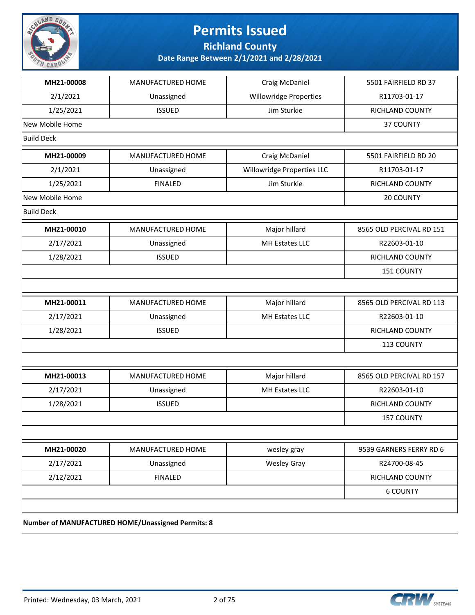

### **Permits Issued Richland County**

**Date Range Between 2/1/2021 and 2/28/2021**

| MH21-00008        | MANUFACTURED HOME | Craig McDaniel                | 5501 FAIRFIELD RD 37     |
|-------------------|-------------------|-------------------------------|--------------------------|
| 2/1/2021          | Unassigned        | <b>Willowridge Properties</b> | R11703-01-17             |
| 1/25/2021         | <b>ISSUED</b>     | Jim Sturkie                   | RICHLAND COUNTY          |
| New Mobile Home   |                   |                               | 37 COUNTY                |
| <b>Build Deck</b> |                   |                               |                          |
| MH21-00009        | MANUFACTURED HOME | Craig McDaniel                | 5501 FAIRFIELD RD 20     |
| 2/1/2021          | Unassigned        | Willowridge Properties LLC    | R11703-01-17             |
| 1/25/2021         | <b>FINALED</b>    | Jim Sturkie                   | RICHLAND COUNTY          |
| New Mobile Home   |                   |                               | 20 COUNTY                |
| <b>Build Deck</b> |                   |                               |                          |
| MH21-00010        | MANUFACTURED HOME | Major hillard                 | 8565 OLD PERCIVAL RD 151 |
| 2/17/2021         | Unassigned        | MH Estates LLC                | R22603-01-10             |
| 1/28/2021         | <b>ISSUED</b>     |                               | RICHLAND COUNTY          |
|                   |                   |                               | 151 COUNTY               |
|                   |                   |                               |                          |
| MH21-00011        | MANUFACTURED HOME | Major hillard                 | 8565 OLD PERCIVAL RD 113 |
| 2/17/2021         | Unassigned        | MH Estates LLC                | R22603-01-10             |
| 1/28/2021         | <b>ISSUED</b>     |                               | RICHLAND COUNTY          |
|                   |                   |                               | 113 COUNTY               |
|                   |                   |                               |                          |
| MH21-00013        | MANUFACTURED HOME | Major hillard                 | 8565 OLD PERCIVAL RD 157 |
| 2/17/2021         | Unassigned        | MH Estates LLC                | R22603-01-10             |
| 1/28/2021         | <b>ISSUED</b>     |                               | RICHLAND COUNTY          |
|                   |                   |                               | <b>157 COUNTY</b>        |
|                   |                   |                               |                          |
| MH21-00020        | MANUFACTURED HOME | wesley gray                   | 9539 GARNERS FERRY RD 6  |
| 2/17/2021         | Unassigned        | <b>Wesley Gray</b>            | R24700-08-45             |
| 2/12/2021         | <b>FINALED</b>    |                               | RICHLAND COUNTY          |
|                   |                   |                               | <b>6 COUNTY</b>          |
|                   |                   |                               |                          |
|                   |                   |                               |                          |

**Number of MANUFACTURED HOME/Unassigned Permits: 8**

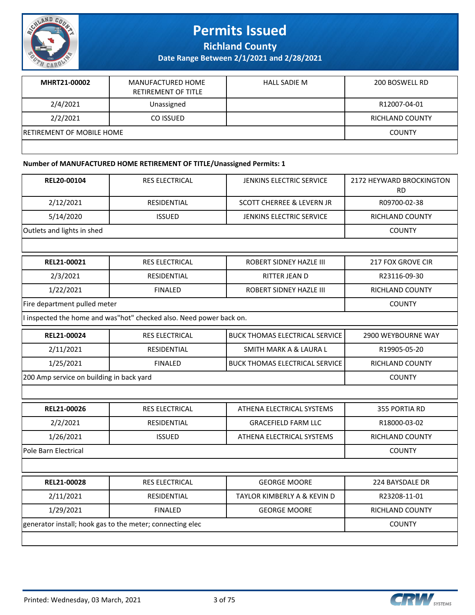

**Richland County**

**Date Range Between 2/1/2021 and 2/28/2021**

| MHRT21-00002                     | MANUFACTURED HOME<br>RETIREMENT OF TITLE | HALL SADIE M | 200 BOSWELL RD  |
|----------------------------------|------------------------------------------|--------------|-----------------|
| 2/4/2021                         | Unassigned                               |              | R12007-04-01    |
| 2/2/2021                         | CO ISSUED                                |              | RICHLAND COUNTY |
| <b>RETIREMENT OF MOBILE HOME</b> |                                          |              | <b>COUNTY</b>   |
|                                  |                                          |              |                 |

#### **Number of MANUFACTURED HOME RETIREMENT OF TITLE/Unassigned Permits: 1**

| REL20-00104                              | RES ELECTRICAL                                                      | JENKINS ELECTRIC SERVICE              | 2172 HEYWARD BROCKINGTON<br><b>RD</b> |  |
|------------------------------------------|---------------------------------------------------------------------|---------------------------------------|---------------------------------------|--|
| 2/12/2021                                | <b>RESIDENTIAL</b>                                                  | <b>SCOTT CHERREE &amp; LEVERN JR</b>  | R09700-02-38                          |  |
| 5/14/2020                                | <b>ISSUED</b>                                                       | JENKINS ELECTRIC SERVICE              | <b>RICHLAND COUNTY</b>                |  |
| Outlets and lights in shed               |                                                                     |                                       | <b>COUNTY</b>                         |  |
|                                          |                                                                     |                                       |                                       |  |
| REL21-00021                              | <b>RES ELECTRICAL</b>                                               | <b>ROBERT SIDNEY HAZLE III</b>        | <b>217 FOX GROVE CIR</b>              |  |
| 2/3/2021                                 | <b>RESIDENTIAL</b>                                                  | <b>RITTER JEAN D</b>                  | R23116-09-30                          |  |
| 1/22/2021                                | <b>FINALED</b>                                                      | ROBERT SIDNEY HAZLE III               | <b>RICHLAND COUNTY</b>                |  |
| Fire department pulled meter             |                                                                     |                                       | <b>COUNTY</b>                         |  |
|                                          | I inspected the home and was"hot" checked also. Need power back on. |                                       |                                       |  |
| REL21-00024                              | <b>RES ELECTRICAL</b>                                               | <b>BUCK THOMAS ELECTRICAL SERVICE</b> | 2900 WEYBOURNE WAY                    |  |
| 2/11/2021                                | <b>RESIDENTIAL</b>                                                  | <b>SMITH MARK A &amp; LAURA L</b>     | R19905-05-20                          |  |
| 1/25/2021                                | <b>FINALED</b>                                                      | <b>BUCK THOMAS ELECTRICAL SERVICE</b> | RICHLAND COUNTY                       |  |
| 200 Amp service on building in back yard |                                                                     |                                       | <b>COUNTY</b>                         |  |
|                                          |                                                                     |                                       |                                       |  |
| REL21-00026                              | <b>RES ELECTRICAL</b>                                               | ATHENA ELECTRICAL SYSTEMS             | 355 PORTIA RD                         |  |
| 2/2/2021                                 | <b>RESIDENTIAL</b>                                                  | <b>GRACEFIELD FARM LLC</b>            | R18000-03-02                          |  |
| 1/26/2021                                | <b>ISSUED</b>                                                       | ATHENA ELECTRICAL SYSTEMS             | RICHLAND COUNTY                       |  |
| Pole Barn Electrical                     |                                                                     |                                       | <b>COUNTY</b>                         |  |
|                                          |                                                                     |                                       |                                       |  |
| REL21-00028                              | RES ELECTRICAL                                                      | <b>GEORGE MOORE</b>                   | 224 BAYSDALE DR                       |  |
| 2/11/2021                                | RESIDENTIAL                                                         | TAYLOR KIMBERLY A & KEVIN D           | R23208-11-01                          |  |
| 1/29/2021                                | <b>FINALED</b>                                                      | <b>GEORGE MOORE</b>                   | RICHLAND COUNTY                       |  |
|                                          | generator install; hook gas to the meter; connecting elec           |                                       |                                       |  |
|                                          |                                                                     |                                       |                                       |  |

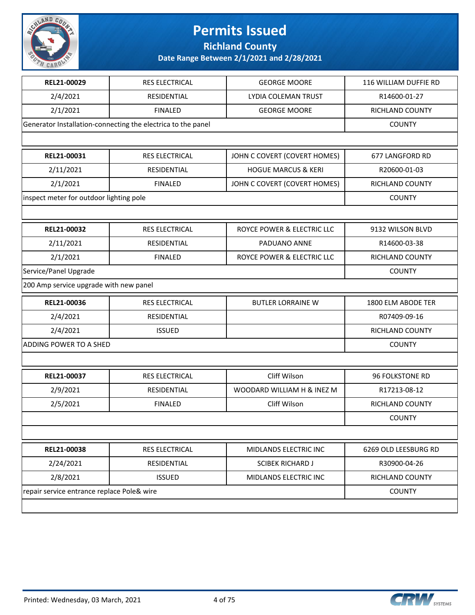

**Richland County**

| REL21-00029                                | RES ELECTRICAL                                               | <b>GEORGE MOORE</b>            | 116 WILLIAM DUFFIE RD  |
|--------------------------------------------|--------------------------------------------------------------|--------------------------------|------------------------|
| 2/4/2021                                   | <b>RESIDENTIAL</b>                                           | LYDIA COLEMAN TRUST            | R14600-01-27           |
| 2/1/2021                                   | <b>FINALED</b>                                               | <b>GEORGE MOORE</b>            | <b>RICHLAND COUNTY</b> |
|                                            | Generator Installation-connecting the electrica to the panel |                                | <b>COUNTY</b>          |
|                                            |                                                              |                                |                        |
| REL21-00031                                | RES ELECTRICAL                                               | JOHN C COVERT (COVERT HOMES)   | 677 LANGFORD RD        |
| 2/11/2021                                  | <b>RESIDENTIAL</b>                                           | <b>HOGUE MARCUS &amp; KERI</b> | R20600-01-03           |
| 2/1/2021                                   | <b>FINALED</b>                                               | JOHN C COVERT (COVERT HOMES)   | RICHLAND COUNTY        |
| inspect meter for outdoor lighting pole    |                                                              |                                | <b>COUNTY</b>          |
|                                            |                                                              |                                |                        |
| REL21-00032                                | RES ELECTRICAL                                               | ROYCE POWER & ELECTRIC LLC     | 9132 WILSON BLVD       |
| 2/11/2021                                  | <b>RESIDENTIAL</b>                                           | PADUANO ANNE                   | R14600-03-38           |
| 2/1/2021                                   | <b>FINALED</b>                                               | ROYCE POWER & ELECTRIC LLC     | <b>RICHLAND COUNTY</b> |
| Service/Panel Upgrade                      |                                                              |                                | <b>COUNTY</b>          |
| 200 Amp service upgrade with new panel     |                                                              |                                |                        |
| REL21-00036                                | RES ELECTRICAL                                               | <b>BUTLER LORRAINE W</b>       | 1800 ELM ABODE TER     |
| 2/4/2021                                   | RESIDENTIAL                                                  |                                | R07409-09-16           |
| 2/4/2021                                   | <b>ISSUED</b>                                                |                                | RICHLAND COUNTY        |
| ADDING POWER TO A SHED                     |                                                              |                                | <b>COUNTY</b>          |
|                                            |                                                              |                                |                        |
| REL21-00037                                | RES ELECTRICAL                                               | Cliff Wilson                   | <b>96 FOLKSTONE RD</b> |
| 2/9/2021                                   | RESIDENTIAL                                                  | WOODARD WILLIAM H & INEZ M     | R17213-08-12           |
| 2/5/2021                                   | <b>FINALED</b>                                               | Cliff Wilson                   | RICHLAND COUNTY        |
|                                            |                                                              |                                | <b>COUNTY</b>          |
|                                            |                                                              |                                |                        |
| REL21-00038                                | RES ELECTRICAL                                               | MIDLANDS ELECTRIC INC          | 6269 OLD LEESBURG RD   |
| 2/24/2021                                  | RESIDENTIAL                                                  | <b>SCIBEK RICHARD J</b>        | R30900-04-26           |
| 2/8/2021                                   | <b>ISSUED</b>                                                | MIDLANDS ELECTRIC INC          | RICHLAND COUNTY        |
| repair service entrance replace Pole& wire |                                                              |                                | <b>COUNTY</b>          |
|                                            |                                                              |                                |                        |

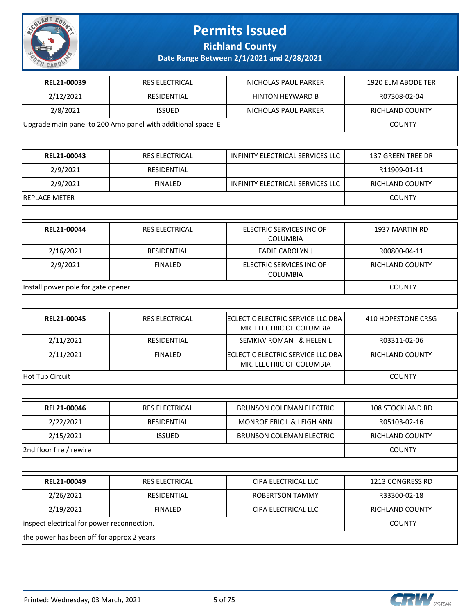

**Richland County**

| REL21-00039                                | RES ELECTRICAL                                              | NICHOLAS PAUL PARKER                                          | 1920 ELM ABODE TER       |
|--------------------------------------------|-------------------------------------------------------------|---------------------------------------------------------------|--------------------------|
| 2/12/2021                                  | RESIDENTIAL                                                 | <b>HINTON HEYWARD B</b>                                       | R07308-02-04             |
| 2/8/2021                                   | <b>ISSUED</b>                                               | NICHOLAS PAUL PARKER                                          | <b>RICHLAND COUNTY</b>   |
|                                            | Upgrade main panel to 200 Amp panel with additional space E |                                                               | <b>COUNTY</b>            |
|                                            |                                                             |                                                               |                          |
| REL21-00043                                | <b>RES ELECTRICAL</b>                                       | INFINITY ELECTRICAL SERVICES LLC                              | <b>137 GREEN TREE DR</b> |
| 2/9/2021                                   | <b>RESIDENTIAL</b>                                          |                                                               | R11909-01-11             |
| 2/9/2021                                   | <b>FINALED</b>                                              | INFINITY ELECTRICAL SERVICES LLC                              | <b>RICHLAND COUNTY</b>   |
| <b>REPLACE METER</b>                       |                                                             |                                                               | <b>COUNTY</b>            |
|                                            |                                                             |                                                               |                          |
| REL21-00044                                | RES ELECTRICAL                                              | ELECTRIC SERVICES INC OF<br><b>COLUMBIA</b>                   | 1937 MARTIN RD           |
| 2/16/2021                                  | RESIDENTIAL                                                 | EADIE CAROLYN J                                               | R00800-04-11             |
| 2/9/2021                                   | <b>FINALED</b>                                              | ELECTRIC SERVICES INC OF<br><b>COLUMBIA</b>                   | <b>RICHLAND COUNTY</b>   |
| Install power pole for gate opener         |                                                             |                                                               | <b>COUNTY</b>            |
|                                            |                                                             |                                                               |                          |
| REL21-00045                                | <b>RES ELECTRICAL</b>                                       | ECLECTIC ELECTRIC SERVICE LLC DBA<br>MR. ELECTRIC OF COLUMBIA | 410 HOPESTONE CRSG       |
| 2/11/2021                                  | RESIDENTIAL                                                 | SEMKIW ROMAN I & HELEN L                                      | R03311-02-06             |
| 2/11/2021                                  | <b>FINALED</b>                                              | ECLECTIC ELECTRIC SERVICE LLC DBA<br>MR. ELECTRIC OF COLUMBIA | RICHLAND COUNTY          |
| Hot Tub Circuit                            | <b>COUNTY</b>                                               |                                                               |                          |
|                                            |                                                             |                                                               |                          |
| REL21-00046                                | RES ELECTRICAL                                              | <b>BRUNSON COLEMAN ELECTRIC</b>                               | 108 STOCKLAND RD         |
| 2/22/2021                                  | RESIDENTIAL                                                 | MONROE ERIC L & LEIGH ANN                                     | R05103-02-16             |
| 2/15/2021                                  | <b>ISSUED</b>                                               | BRUNSON COLEMAN ELECTRIC                                      | RICHLAND COUNTY          |
| 2nd floor fire / rewire                    |                                                             |                                                               | <b>COUNTY</b>            |
|                                            |                                                             |                                                               |                          |
| REL21-00049                                | RES ELECTRICAL                                              | CIPA ELECTRICAL LLC                                           | 1213 CONGRESS RD         |
| 2/26/2021                                  | RESIDENTIAL                                                 | ROBERTSON TAMMY                                               | R33300-02-18             |
| 2/19/2021                                  | <b>FINALED</b>                                              | CIPA ELECTRICAL LLC                                           | RICHLAND COUNTY          |
| inspect electrical for power reconnection. |                                                             |                                                               | <b>COUNTY</b>            |
| the power has been off for approx 2 years  |                                                             |                                                               |                          |

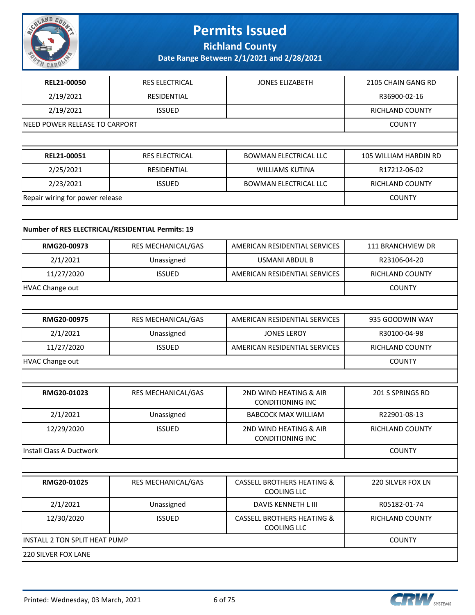

**Richland County**

**Date Range Between 2/1/2021 and 2/28/2021**

| REL21-00050                     | <b>RES ELECTRICAL</b> | <b>JONES ELIZABETH</b>       | 2105 CHAIN GANG RD     |
|---------------------------------|-----------------------|------------------------------|------------------------|
| 2/19/2021                       | <b>RESIDENTIAL</b>    |                              | R36900-02-16           |
| 2/19/2021                       | <b>ISSUED</b>         |                              | <b>RICHLAND COUNTY</b> |
| INEED POWER RELEASE TO CARPORT  |                       |                              | <b>COUNTY</b>          |
|                                 |                       |                              |                        |
|                                 |                       |                              |                        |
| REL21-00051                     | <b>RES ELECTRICAL</b> | <b>BOWMAN ELECTRICAL LLC</b> | 105 WILLIAM HARDIN RD  |
| 2/25/2021                       | <b>RESIDENTIAL</b>    | <b>WILLIAMS KUTINA</b>       | R17212-06-02           |
| 2/23/2021                       | <b>ISSUED</b>         | <b>BOWMAN ELECTRICAL LLC</b> | <b>RICHLAND COUNTY</b> |
| Repair wiring for power release |                       |                              | <b>COUNTY</b>          |

#### **Number of RES ELECTRICAL/RESIDENTIAL Permits: 19**

| RMG20-00973                     | RES MECHANICAL/GAS            | AMERICAN RESIDENTIAL SERVICES                               | 111 BRANCHVIEW DR      |
|---------------------------------|-------------------------------|-------------------------------------------------------------|------------------------|
| 2/1/2021                        | Unassigned                    | <b>USMANI ABDUL B</b>                                       | R23106-04-20           |
| 11/27/2020                      | <b>ISSUED</b>                 | AMERICAN RESIDENTIAL SERVICES                               | <b>RICHLAND COUNTY</b> |
| <b>HVAC Change out</b>          |                               |                                                             | <b>COUNTY</b>          |
|                                 |                               |                                                             |                        |
| RMG20-00975                     | RES MECHANICAL/GAS            | AMERICAN RESIDENTIAL SERVICES                               | 935 GOODWIN WAY        |
| 2/1/2021                        | Unassigned                    | <b>JONES LEROY</b>                                          | R30100-04-98           |
| 11/27/2020                      | <b>ISSUED</b>                 | AMERICAN RESIDENTIAL SERVICES                               | RICHLAND COUNTY        |
| <b>HVAC Change out</b>          |                               |                                                             | <b>COUNTY</b>          |
|                                 |                               |                                                             |                        |
| RMG20-01023                     | RES MECHANICAL/GAS            | 2ND WIND HEATING & AIR<br><b>CONDITIONING INC</b>           | 201 S SPRINGS RD       |
| 2/1/2021                        | Unassigned                    | <b>BABCOCK MAX WILLIAM</b>                                  | R22901-08-13           |
| 12/29/2020                      | <b>ISSUED</b>                 | 2ND WIND HEATING & AIR<br><b>CONDITIONING INC</b>           | <b>RICHLAND COUNTY</b> |
| <b>Install Class A Ductwork</b> | <b>COUNTY</b>                 |                                                             |                        |
|                                 |                               |                                                             |                        |
| RMG20-01025                     | RES MECHANICAL/GAS            | <b>CASSELL BROTHERS HEATING &amp;</b><br><b>COOLING LLC</b> | 220 SILVER FOX LN      |
| 2/1/2021                        | Unassigned                    | <b>DAVIS KENNETH L III</b>                                  | R05182-01-74           |
| 12/30/2020                      | <b>ISSUED</b>                 | <b>CASSELL BROTHERS HEATING &amp;</b><br><b>COOLING LLC</b> | RICHLAND COUNTY        |
|                                 | INSTALL 2 TON SPLIT HEAT PUMP |                                                             |                        |
| 220 SILVER FOX LANE             |                               |                                                             |                        |
|                                 |                               |                                                             |                        |

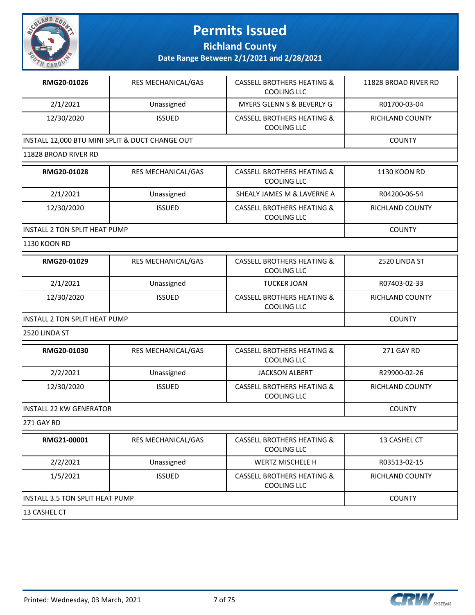

**Richland County**

**Date Range Between 2/1/2021 and 2/28/2021**

| RMG20-01026                                     | <b>RES MECHANICAL/GAS</b> | <b>CASSELL BROTHERS HEATING &amp;</b><br>COOLING LLC | 11828 BROAD RIVER RD |
|-------------------------------------------------|---------------------------|------------------------------------------------------|----------------------|
| 2/1/2021                                        | Unassigned                | MYERS GLENN S & BEVERLY G                            | R01700-03-04         |
| 12/30/2020                                      | <b>ISSUED</b>             | CASSELL BROTHERS HEATING &<br>COOLING LLC            | RICHLAND COUNTY      |
| INSTALL 12,000 BTU MINI SPLIT & DUCT CHANGE OUT |                           |                                                      | <b>COUNTY</b>        |
| 11828 BROAD RIVER RD                            |                           |                                                      |                      |

| RMG20-01028                   | <b>RES MECHANICAL/GAS</b> | <b>CASSELL BROTHERS HEATING &amp;</b><br>COOLING LLC | 1130 KOON RD           |
|-------------------------------|---------------------------|------------------------------------------------------|------------------------|
| 2/1/2021                      | Unassigned                | SHEALY JAMES M & LAVERNE A                           | R04200-06-54           |
| 12/30/2020                    | <b>ISSUED</b>             | <b>CASSELL BROTHERS HEATING &amp;</b><br>COOLING LLC | <b>RICHLAND COUNTY</b> |
| INSTALL 2 TON SPLIT HEAT PUMP |                           |                                                      | <b>COUNTY</b>          |

1130 KOON RD

| RMG20-01029 | <b>RES MECHANICAL/GAS</b>                            | <b>CASSELL BROTHERS HEATING &amp;</b><br><b>COOLING LLC</b> | 2520 LINDA ST |  |
|-------------|------------------------------------------------------|-------------------------------------------------------------|---------------|--|
| 2/1/2021    | R07403-02-33                                         |                                                             |               |  |
| 12/30/2020  | <b>RICHLAND COUNTY</b>                               |                                                             |               |  |
|             | <b>COOLING LLC</b><br>IINSTALL 2 TON SPLIT HEAT PUMP |                                                             |               |  |

2520 LINDA ST

| RMG20-01030                     | <b>RES MECHANICAL/GAS</b> | <b>CASSELL BROTHERS HEATING &amp;</b><br>COOLING LLC | 271 GAY RD    |
|---------------------------------|---------------------------|------------------------------------------------------|---------------|
| 2/2/2021                        | R29900-02-26              |                                                      |               |
| 12/30/2020                      | RICHLAND COUNTY           |                                                      |               |
| <b>IINSTALL 22 KW GENERATOR</b> |                           |                                                      | <b>COUNTY</b> |

271 GAY RD

| RMG21-00001                      | <b>RES MECHANICAL/GAS</b> | <b>CASSELL BROTHERS HEATING &amp;</b><br>COOLING LLC | 13 CASHEL CT    |
|----------------------------------|---------------------------|------------------------------------------------------|-----------------|
| 2/2/2021                         | Unassigned                | WERTZ MISCHELE H                                     | R03513-02-15    |
| 1/5/2021                         | <b>ISSUED</b>             | <b>CASSELL BROTHERS HEATING &amp;</b><br>COOLING LLC | RICHLAND COUNTY |
| IINSTALL 3.5 TON SPLIT HEAT PUMP | <b>COUNTY</b>             |                                                      |                 |
| 13 CASHEL CT                     |                           |                                                      |                 |

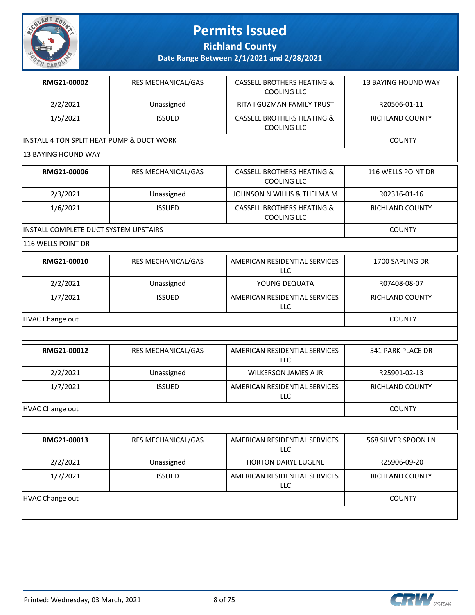

**Richland County**

**Date Range Between 2/1/2021 and 2/28/2021**

| RMG21-00002                                | 13 BAYING HOUND WAY |  |               |
|--------------------------------------------|---------------------|--|---------------|
| 2/2/2021                                   | R20506-01-11        |  |               |
| 1/5/2021                                   | RICHLAND COUNTY     |  |               |
| IINSTALL 4 TON SPLIT HEAT PUMP & DUCT WORK |                     |  | <b>COUNTY</b> |

| RMG21-00006                            | <b>RES MECHANICAL/GAS</b> | <b>CASSELL BROTHERS HEATING &amp;</b><br>COOLING LLC | 116 WELLS POINT DR |
|----------------------------------------|---------------------------|------------------------------------------------------|--------------------|
| 2/3/2021                               | R02316-01-16              |                                                      |                    |
| 1/6/2021                               | <b>RICHLAND COUNTY</b>    |                                                      |                    |
| IINSTALL COMPLETE DUCT SYSTEM UPSTAIRS |                           |                                                      | <b>COUNTY</b>      |

116 WELLS POINT DR

| RMG21-00010     | <b>RES MECHANICAL/GAS</b> | AMERICAN RESIDENTIAL SERVICES<br>LLC | 1700 SAPLING DR        |
|-----------------|---------------------------|--------------------------------------|------------------------|
| 2/2/2021        | Unassigned                | YOUNG DEQUATA                        | R07408-08-07           |
| 1/7/2021        | <b>ISSUED</b>             | AMERICAN RESIDENTIAL SERVICES<br>LLC | <b>RICHLAND COUNTY</b> |
| HVAC Change out | <b>COUNTY</b>             |                                      |                        |

| RMG21-00012     | <b>RES MECHANICAL/GAS</b> | AMERICAN RESIDENTIAL SERVICES<br>LLC. | 541 PARK PLACE DR      |
|-----------------|---------------------------|---------------------------------------|------------------------|
| 2/2/2021        | Unassigned                | <b>WILKERSON JAMES A JR</b>           | R25901-02-13           |
| 1/7/2021        | <b>ISSUED</b>             | AMERICAN RESIDENTIAL SERVICES<br>LLC  | <b>RICHLAND COUNTY</b> |
| HVAC Change out |                           |                                       | <b>COUNTY</b>          |

| 2/2/2021<br>Unassigned<br><b>HORTON DARYL EUGENE</b><br>R25906-09-20<br>1/7/2021<br>AMERICAN RESIDENTIAL SERVICES<br><b>ISSUED</b><br>LLC | RMG21-00013 | <b>RES MECHANICAL/GAS</b> | AMERICAN RESIDENTIAL SERVICES<br><b>LLC</b> | 568 SILVER SPOON LN    |
|-------------------------------------------------------------------------------------------------------------------------------------------|-------------|---------------------------|---------------------------------------------|------------------------|
|                                                                                                                                           |             |                           |                                             |                        |
|                                                                                                                                           |             |                           |                                             | <b>RICHLAND COUNTY</b> |
| HVAC Change out<br><b>COUNTY</b>                                                                                                          |             |                           |                                             |                        |

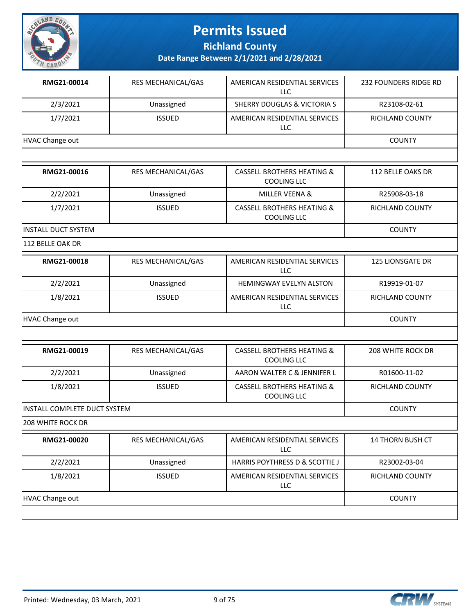

**Richland County**

**Date Range Between 2/1/2021 and 2/28/2021**

| RMG21-00014     | <b>RES MECHANICAL/GAS</b> | AMERICAN RESIDENTIAL SERVICES<br>LLC | 232 FOUNDERS RIDGE RD |
|-----------------|---------------------------|--------------------------------------|-----------------------|
| 2/3/2021        | Unassigned                | SHERRY DOUGLAS & VICTORIA S          | R23108-02-61          |
| 1/7/2021        | <b>RICHLAND COUNTY</b>    |                                      |                       |
| HVAC Change out |                           |                                      | <b>COUNTY</b>         |

| RMG21-00016                 | <b>RES MECHANICAL/GAS</b> | <b>CASSELL BROTHERS HEATING &amp;</b><br>COOLING LLC | 112 BELLE OAKS DR      |
|-----------------------------|---------------------------|------------------------------------------------------|------------------------|
| 2/2/2021                    | Unassigned                | MILLER VEENA &                                       | R25908-03-18           |
| 1/7/2021                    | <b>ISSUED</b>             | <b>CASSELL BROTHERS HEATING &amp;</b><br>COOLING LLC | <b>RICHLAND COUNTY</b> |
| <b>IINSTALL DUCT SYSTEM</b> | <b>COUNTY</b>             |                                                      |                        |

112 BELLE OAK DR

| RMG21-00018     | <b>RES MECHANICAL/GAS</b> | AMERICAN RESIDENTIAL SERVICES<br>LLC | 125 LIONSGATE DR       |
|-----------------|---------------------------|--------------------------------------|------------------------|
| 2/2/2021        | Unassigned                | <b>HEMINGWAY EVELYN ALSTON</b>       | R19919-01-07           |
| 1/8/2021        | <b>ISSUED</b>             | AMERICAN RESIDENTIAL SERVICES<br>LLC | <b>RICHLAND COUNTY</b> |
| HVAC Change out |                           |                                      |                        |

| RMG21-00019                   | <b>RES MECHANICAL/GAS</b> | CASSELL BROTHERS HEATING &<br>COOLING LLC            | 208 WHITE ROCK DR |
|-------------------------------|---------------------------|------------------------------------------------------|-------------------|
| 2/2/2021                      | Unassigned                | AARON WALTER C & JENNIFER L                          | R01600-11-02      |
| 1/8/2021                      | <b>ISSUED</b>             | <b>CASSELL BROTHERS HEATING &amp;</b><br>COOLING LLC | RICHLAND COUNTY   |
| IINSTALL COMPLETE DUCT SYSTEM |                           |                                                      | <b>COUNTY</b>     |

208 WHITE ROCK DR

| RMG21-00020     | <b>RES MECHANICAL/GAS</b> | AMERICAN RESIDENTIAL SERVICES<br>LLC      | <b>14 THORN BUSH CT</b> |
|-----------------|---------------------------|-------------------------------------------|-------------------------|
| 2/2/2021        | Unassigned                | <b>HARRIS POYTHRESS D &amp; SCOTTIE J</b> | R23002-03-04            |
| 1/8/2021        | <b>ISSUED</b>             | AMERICAN RESIDENTIAL SERVICES<br>LLC.     | RICHLAND COUNTY         |
| HVAC Change out |                           |                                           | <b>COUNTY</b>           |
|                 |                           |                                           |                         |



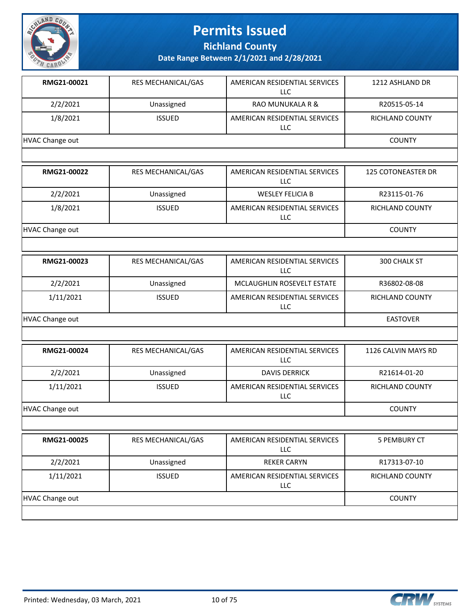

**Richland County**

**Date Range Between 2/1/2021 and 2/28/2021**

| RMG21-00021            | <b>RES MECHANICAL/GAS</b> | AMERICAN RESIDENTIAL SERVICES<br>LLC.       | 1212 ASHLAND DR           |
|------------------------|---------------------------|---------------------------------------------|---------------------------|
| 2/2/2021               | Unassigned                | <b>RAO MUNUKALA R &amp;</b>                 | R20515-05-14              |
| 1/8/2021               | <b>ISSUED</b>             | AMERICAN RESIDENTIAL SERVICES<br><b>LLC</b> | <b>RICHLAND COUNTY</b>    |
| <b>HVAC Change out</b> |                           |                                             | <b>COUNTY</b>             |
|                        |                           |                                             |                           |
| RMG21-00022            | RES MECHANICAL/GAS        | AMERICAN RESIDENTIAL SERVICES<br><b>LLC</b> | <b>125 COTONEASTER DR</b> |
| 2/2/2021               | Unassigned                | <b>WESLEY FELICIA B</b>                     | R23115-01-76              |
| 1/8/2021               | <b>ISSUED</b>             | AMERICAN RESIDENTIAL SERVICES<br><b>LLC</b> | <b>RICHLAND COUNTY</b>    |
| <b>HVAC Change out</b> |                           |                                             | <b>COUNTY</b>             |
|                        |                           |                                             |                           |
| RMG21-00023            | <b>RES MECHANICAL/GAS</b> | AMERICAN RESIDENTIAL SERVICES<br>LLC.       | 300 CHALK ST              |
| 2/2/2021               | Unassigned                | <b>MCLAUGHLIN ROSEVELT ESTATE</b>           | R36802-08-08              |
| 1/11/2021              | <b>ISSUED</b>             | AMERICAN RESIDENTIAL SERVICES<br><b>LLC</b> | RICHLAND COUNTY           |
| HVAC Change out        | <b>EASTOVER</b>           |                                             |                           |
|                        |                           |                                             |                           |
| RMG21-00024            | RES MECHANICAL/GAS        | AMERICAN RESIDENTIAL SERVICES<br><b>LLC</b> | 1126 CALVIN MAYS RD       |
| 2/2/2021               | Unassigned                | <b>DAVIS DERRICK</b>                        | R21614-01-20              |
| 1/11/2021              | <b>ISSUED</b>             | AMERICAN RESIDENTIAL SERVICES<br><b>LLC</b> | RICHLAND COUNTY           |
| HVAC Change out        |                           |                                             | <b>COUNTY</b>             |
|                        |                           |                                             |                           |
| RMG21-00025            | RES MECHANICAL/GAS        | AMERICAN RESIDENTIAL SERVICES<br><b>LLC</b> | 5 PEMBURY CT              |
| 2/2/2021               | Unassigned                | <b>REKER CARYN</b>                          | R17313-07-10              |

HVAC Change out COUNTY

LLC

1/11/2021 | ISSUED | AMERICAN RESIDENTIAL SERVICES



RICHLAND COUNTY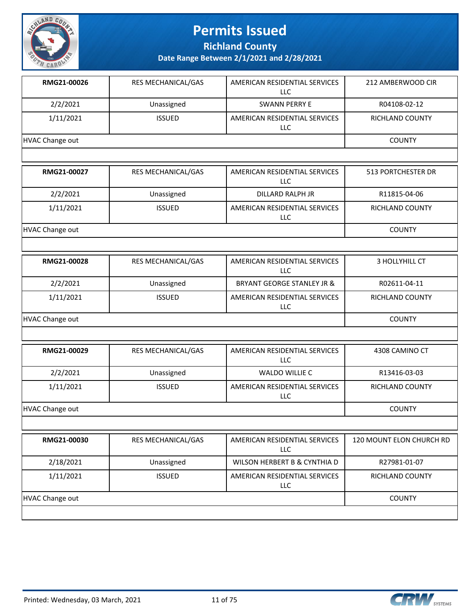

**Richland County**

| RMG21-00026            | RES MECHANICAL/GAS        | AMERICAN RESIDENTIAL SERVICES<br><b>LLC</b> | 212 AMBERWOOD CIR         |
|------------------------|---------------------------|---------------------------------------------|---------------------------|
| 2/2/2021               | Unassigned                | <b>SWANN PERRY E</b>                        | R04108-02-12              |
| 1/11/2021              | <b>ISSUED</b>             | AMERICAN RESIDENTIAL SERVICES<br>LLC        | RICHLAND COUNTY           |
| <b>HVAC Change out</b> |                           |                                             | <b>COUNTY</b>             |
|                        |                           |                                             |                           |
| RMG21-00027            | RES MECHANICAL/GAS        | AMERICAN RESIDENTIAL SERVICES<br><b>LLC</b> | <b>513 PORTCHESTER DR</b> |
| 2/2/2021               | Unassigned                | DILLARD RALPH JR                            | R11815-04-06              |
| 1/11/2021              | <b>ISSUED</b>             | AMERICAN RESIDENTIAL SERVICES<br>LLC        | <b>RICHLAND COUNTY</b>    |
| <b>HVAC Change out</b> |                           |                                             | <b>COUNTY</b>             |
|                        |                           |                                             |                           |
| RMG21-00028            | <b>RES MECHANICAL/GAS</b> | AMERICAN RESIDENTIAL SERVICES<br><b>LLC</b> | 3 HOLLYHILL CT            |
| 2/2/2021               | Unassigned                | <b>BRYANT GEORGE STANLEY JR &amp;</b>       | R02611-04-11              |
| 1/11/2021              | <b>ISSUED</b>             | AMERICAN RESIDENTIAL SERVICES<br>LLC        | <b>RICHLAND COUNTY</b>    |
| <b>HVAC Change out</b> |                           |                                             | <b>COUNTY</b>             |
|                        |                           |                                             |                           |
| RMG21-00029            | RES MECHANICAL/GAS        | AMERICAN RESIDENTIAL SERVICES<br><b>LLC</b> | 4308 CAMINO CT            |
| 2/2/2021               | Unassigned                | WALDO WILLIE C                              | R13416-03-03              |
| 1/11/2021              | <b>ISSUED</b>             | AMERICAN RESIDENTIAL SERVICES<br>LLC        | RICHLAND COUNTY           |
| <b>HVAC Change out</b> |                           |                                             | <b>COUNTY</b>             |
|                        |                           |                                             |                           |
| RMG21-00030            | RES MECHANICAL/GAS        | AMERICAN RESIDENTIAL SERVICES<br><b>LLC</b> | 120 MOUNT ELON CHURCH RD  |
| 2/18/2021              | Unassigned                | WILSON HERBERT B & CYNTHIA D                | R27981-01-07              |
| 1/11/2021              | <b>ISSUED</b>             | AMERICAN RESIDENTIAL SERVICES<br>LLC        | RICHLAND COUNTY           |
| <b>HVAC Change out</b> |                           |                                             | <b>COUNTY</b>             |

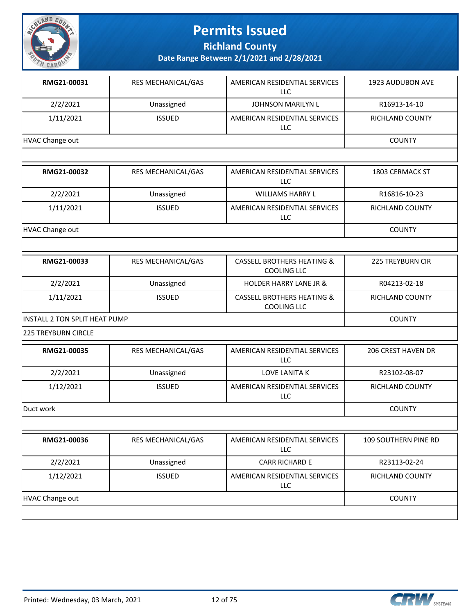

**Richland County**

| RMG21-00031                   | RES MECHANICAL/GAS | AMERICAN RESIDENTIAL SERVICES<br><b>LLC</b>                 | <b>1923 AUDUBON AVE</b> |
|-------------------------------|--------------------|-------------------------------------------------------------|-------------------------|
| 2/2/2021                      | Unassigned         | <b>JOHNSON MARILYN L</b>                                    | R16913-14-10            |
| 1/11/2021                     | <b>ISSUED</b>      | AMERICAN RESIDENTIAL SERVICES<br><b>LLC</b>                 | <b>RICHLAND COUNTY</b>  |
| <b>HVAC Change out</b>        |                    |                                                             | <b>COUNTY</b>           |
|                               |                    |                                                             |                         |
| RMG21-00032                   | RES MECHANICAL/GAS | AMERICAN RESIDENTIAL SERVICES<br><b>LLC</b>                 | 1803 CERMACK ST         |
| 2/2/2021                      | Unassigned         | WILLIAMS HARRY L                                            | R16816-10-23            |
| 1/11/2021                     | <b>ISSUED</b>      | AMERICAN RESIDENTIAL SERVICES<br>LLC                        | RICHLAND COUNTY         |
| <b>HVAC Change out</b>        |                    |                                                             | <b>COUNTY</b>           |
|                               |                    |                                                             |                         |
| RMG21-00033                   | RES MECHANICAL/GAS | <b>CASSELL BROTHERS HEATING &amp;</b><br><b>COOLING LLC</b> | <b>225 TREYBURN CIR</b> |
| 2/2/2021                      | Unassigned         | <b>HOLDER HARRY LANE JR &amp;</b>                           | R04213-02-18            |
| 1/11/2021                     | <b>ISSUED</b>      | <b>CASSELL BROTHERS HEATING &amp;</b><br><b>COOLING LLC</b> | RICHLAND COUNTY         |
| INSTALL 2 TON SPLIT HEAT PUMP |                    | <b>COUNTY</b>                                               |                         |
| <b>225 TREYBURN CIRCLE</b>    |                    |                                                             |                         |
| RMG21-00035                   | RES MECHANICAL/GAS | AMERICAN RESIDENTIAL SERVICES<br><b>LLC</b>                 | 206 CREST HAVEN DR      |
| 2/2/2021                      | Unassigned         | LOVE LANITA K                                               | R23102-08-07            |
| 1/12/2021                     | <b>ISSUED</b>      | AMERICAN RESIDENTIAL SERVICES<br>LLC                        | <b>RICHLAND COUNTY</b>  |
| Duct work                     |                    |                                                             | <b>COUNTY</b>           |
|                               |                    |                                                             |                         |
| RMG21-00036                   | RES MECHANICAL/GAS | AMERICAN RESIDENTIAL SERVICES<br><b>LLC</b>                 | 109 SOUTHERN PINE RD    |
| 2/2/2021                      | Unassigned         | <b>CARR RICHARD E</b>                                       | R23113-02-24            |
| 1/12/2021                     | <b>ISSUED</b>      | AMERICAN RESIDENTIAL SERVICES<br>LLC                        | <b>RICHLAND COUNTY</b>  |
| <b>HVAC Change out</b>        |                    |                                                             | <b>COUNTY</b>           |
|                               |                    |                                                             |                         |

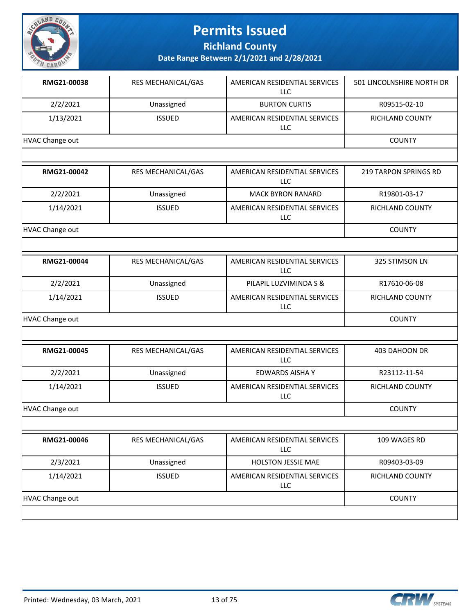

**Richland County**

| RMG21-00038            | RES MECHANICAL/GAS | AMERICAN RESIDENTIAL SERVICES<br>LLC        | 501 LINCOLNSHIRE NORTH DR    |
|------------------------|--------------------|---------------------------------------------|------------------------------|
| 2/2/2021               | Unassigned         | <b>BURTON CURTIS</b>                        | R09515-02-10                 |
| 1/13/2021              | <b>ISSUED</b>      | AMERICAN RESIDENTIAL SERVICES<br><b>LLC</b> | RICHLAND COUNTY              |
| <b>HVAC Change out</b> |                    |                                             | <b>COUNTY</b>                |
|                        |                    |                                             |                              |
| RMG21-00042            | RES MECHANICAL/GAS | AMERICAN RESIDENTIAL SERVICES<br><b>LLC</b> | <b>219 TARPON SPRINGS RD</b> |
| 2/2/2021               | Unassigned         | <b>MACK BYRON RANARD</b>                    | R19801-03-17                 |
| 1/14/2021              | <b>ISSUED</b>      | AMERICAN RESIDENTIAL SERVICES<br>LLC        | RICHLAND COUNTY              |
| <b>HVAC Change out</b> |                    |                                             | <b>COUNTY</b>                |
|                        |                    |                                             |                              |
| RMG21-00044            | RES MECHANICAL/GAS | AMERICAN RESIDENTIAL SERVICES<br>LLC        | 325 STIMSON LN               |
| 2/2/2021               | Unassigned         | PILAPIL LUZVIMINDA S &                      | R17610-06-08                 |
| 1/14/2021              | <b>ISSUED</b>      | AMERICAN RESIDENTIAL SERVICES<br>LLC        | RICHLAND COUNTY              |
| <b>HVAC Change out</b> | <b>COUNTY</b>      |                                             |                              |
|                        |                    |                                             |                              |
| RMG21-00045            | RES MECHANICAL/GAS | AMERICAN RESIDENTIAL SERVICES<br><b>LLC</b> | 403 DAHOON DR                |
| 2/2/2021               | Unassigned         | <b>EDWARDS AISHA Y</b>                      | R23112-11-54                 |
| 1/14/2021              | <b>ISSUED</b>      | AMERICAN RESIDENTIAL SERVICES<br>LLC        | RICHLAND COUNTY              |
| <b>HVAC Change out</b> |                    |                                             | <b>COUNTY</b>                |
|                        |                    |                                             |                              |
| RMG21-00046            | RES MECHANICAL/GAS | AMERICAN RESIDENTIAL SERVICES<br><b>LLC</b> | 109 WAGES RD                 |
| 2/3/2021               | Unassigned         | <b>HOLSTON JESSIE MAE</b>                   | R09403-03-09                 |
| 1/14/2021              | <b>ISSUED</b>      | AMERICAN RESIDENTIAL SERVICES<br>LLC        | <b>RICHLAND COUNTY</b>       |
| <b>HVAC Change out</b> |                    |                                             | <b>COUNTY</b>                |
|                        |                    |                                             |                              |

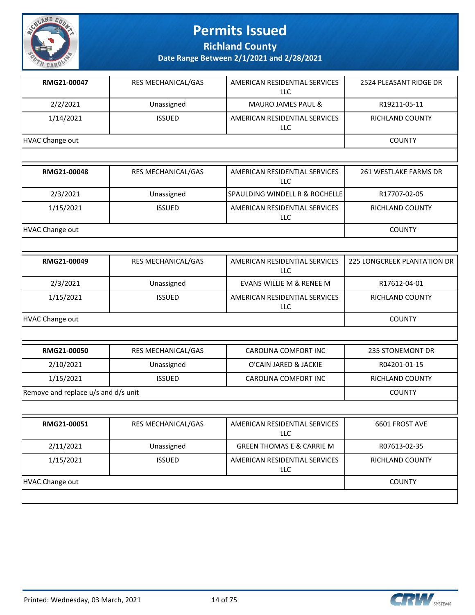

**Richland County**

| RMG21-00047                         | RES MECHANICAL/GAS | AMERICAN RESIDENTIAL SERVICES<br>LLC        | 2524 PLEASANT RIDGE DR      |
|-------------------------------------|--------------------|---------------------------------------------|-----------------------------|
| 2/2/2021                            | Unassigned         | MAURO JAMES PAUL &                          | R19211-05-11                |
| 1/14/2021                           | <b>ISSUED</b>      | AMERICAN RESIDENTIAL SERVICES<br>LLC        | <b>RICHLAND COUNTY</b>      |
| <b>HVAC Change out</b>              |                    |                                             | <b>COUNTY</b>               |
|                                     |                    |                                             |                             |
| RMG21-00048                         | RES MECHANICAL/GAS | AMERICAN RESIDENTIAL SERVICES<br><b>LLC</b> | 261 WESTLAKE FARMS DR       |
| 2/3/2021                            | Unassigned         | SPAULDING WINDELL R & ROCHELLE              | R17707-02-05                |
| 1/15/2021                           | <b>ISSUED</b>      | AMERICAN RESIDENTIAL SERVICES<br>LLC        | RICHLAND COUNTY             |
| <b>HVAC Change out</b>              |                    |                                             | <b>COUNTY</b>               |
|                                     |                    |                                             |                             |
| RMG21-00049                         | RES MECHANICAL/GAS | AMERICAN RESIDENTIAL SERVICES<br><b>LLC</b> | 225 LONGCREEK PLANTATION DR |
| 2/3/2021                            | Unassigned         | EVANS WILLIE M & RENEE M                    | R17612-04-01                |
| 1/15/2021                           | <b>ISSUED</b>      | AMERICAN RESIDENTIAL SERVICES<br><b>LLC</b> | RICHLAND COUNTY             |
| <b>HVAC Change out</b>              |                    |                                             | <b>COUNTY</b>               |
|                                     |                    |                                             |                             |
| RMG21-00050                         | RES MECHANICAL/GAS | <b>CAROLINA COMFORT INC</b>                 | 235 STONEMONT DR            |
| 2/10/2021                           | Unassigned         | O'CAIN JARED & JACKIE                       | R04201-01-15                |
| 1/15/2021                           | <b>ISSUED</b>      | CAROLINA COMFORT INC                        | <b>RICHLAND COUNTY</b>      |
| Remove and replace u/s and d/s unit |                    |                                             | <b>COUNTY</b>               |
|                                     |                    |                                             |                             |
| RMG21-00051                         | RES MECHANICAL/GAS | AMERICAN RESIDENTIAL SERVICES<br>LLC        | 6601 FROST AVE              |
| 2/11/2021                           | Unassigned         | <b>GREEN THOMAS E &amp; CARRIE M</b>        | R07613-02-35                |
| 1/15/2021                           | <b>ISSUED</b>      | AMERICAN RESIDENTIAL SERVICES<br>LLC        | RICHLAND COUNTY             |
| <b>HVAC Change out</b>              | <b>COUNTY</b>      |                                             |                             |
|                                     |                    |                                             |                             |

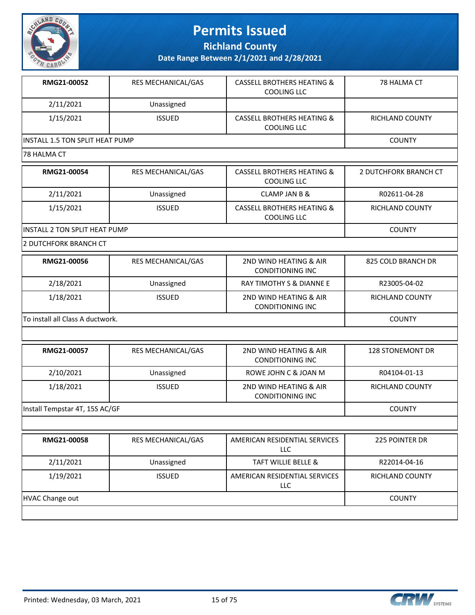

**Richland County**

**Date Range Between 2/1/2021 and 2/28/2021**

| RMG21-00052                            | RES MECHANICAL/GAS | <b>CASSELL BROTHERS HEATING &amp;</b><br><b>COOLING LLC</b> | 78 HALMA CT                  |
|----------------------------------------|--------------------|-------------------------------------------------------------|------------------------------|
| 2/11/2021                              | Unassigned         |                                                             |                              |
| 1/15/2021                              | <b>ISSUED</b>      | <b>CASSELL BROTHERS HEATING &amp;</b><br><b>COOLING LLC</b> | <b>RICHLAND COUNTY</b>       |
| <b>INSTALL 1.5 TON SPLIT HEAT PUMP</b> |                    |                                                             | <b>COUNTY</b>                |
| 78 HALMA CT                            |                    |                                                             |                              |
| RMG21-00054                            | RES MECHANICAL/GAS | <b>CASSELL BROTHERS HEATING &amp;</b><br><b>COOLING LLC</b> | <b>2 DUTCHFORK BRANCH CT</b> |
| 2/11/2021                              | Unassigned         | <b>CLAMP JAN B &amp;</b>                                    | R02611-04-28                 |
| 1/15/2021                              | <b>ISSUED</b>      | <b>CASSELL BROTHERS HEATING &amp;</b><br><b>COOLING LLC</b> | <b>RICHLAND COUNTY</b>       |
| INSTALL 2 TON SPLIT HEAT PUMP          |                    |                                                             | <b>COUNTY</b>                |
|                                        |                    |                                                             |                              |
| 2 DUTCHFORK BRANCH CT                  |                    |                                                             |                              |
| RMG21-00056                            | RES MECHANICAL/GAS | 2ND WIND HEATING & AIR<br><b>CONDITIONING INC</b>           | 825 COLD BRANCH DR           |
| 2/18/2021                              | Unassigned         | RAY TIMOTHY S & DIANNE E                                    | R23005-04-02                 |
| 1/18/2021                              | <b>ISSUED</b>      | 2ND WIND HEATING & AIR<br><b>CONDITIONING INC</b>           | RICHLAND COUNTY              |
| To install all Class A ductwork.       |                    |                                                             | <b>COUNTY</b>                |
|                                        |                    |                                                             |                              |
| RMG21-00057                            | RES MECHANICAL/GAS | 2ND WIND HEATING & AIR<br><b>CONDITIONING INC</b>           | <b>128 STONEMONT DR</b>      |

| Install Tempstar 4T, 15S AC/GF |  | COUNTY |
|--------------------------------|--|--------|
|                                |  |        |

| RMG21-00058     | <b>RES MECHANICAL/GAS</b> | AMERICAN RESIDENTIAL SERVICES<br>LLC | <b>225 POINTER DR</b>  |
|-----------------|---------------------------|--------------------------------------|------------------------|
| 2/11/2021       | Unassigned                | <b>TAFT WILLIE BELLE &amp;</b>       | R22014-04-16           |
| 1/19/2021       | <b>ISSUED</b>             | AMERICAN RESIDENTIAL SERVICES<br>LLC | <b>RICHLAND COUNTY</b> |
| HVAC Change out |                           |                                      | <b>COUNTY</b>          |

CONDITIONING INC

1/18/2021 | ISSUED | 2ND WIND HEATING & AIR



RICHLAND COUNTY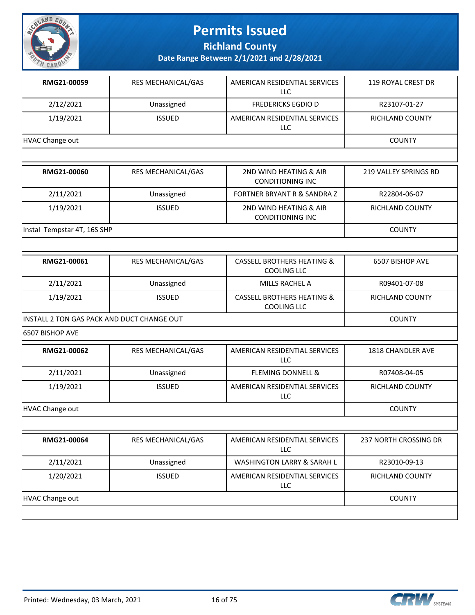

**Richland County**

**Date Range Between 2/1/2021 and 2/28/2021**

| RMG21-00059                 | RES MECHANICAL/GAS        | AMERICAN RESIDENTIAL SERVICES<br>LLC                        | 119 ROYAL CREST DR           |
|-----------------------------|---------------------------|-------------------------------------------------------------|------------------------------|
| 2/12/2021                   | Unassigned                | <b>FREDERICKS EGDIO D</b>                                   | R23107-01-27                 |
| 1/19/2021                   | <b>ISSUED</b>             | AMERICAN RESIDENTIAL SERVICES<br><b>LLC</b>                 | <b>RICHLAND COUNTY</b>       |
| <b>HVAC Change out</b>      |                           |                                                             | <b>COUNTY</b>                |
|                             |                           |                                                             |                              |
| RMG21-00060                 | <b>RES MECHANICAL/GAS</b> | 2ND WIND HEATING & AIR<br><b>CONDITIONING INC</b>           | <b>219 VALLEY SPRINGS RD</b> |
| 2/11/2021                   | Unassigned                | <b>FORTNER BRYANT R &amp; SANDRA Z</b>                      | R22804-06-07                 |
| 1/19/2021                   | <b>ISSUED</b>             | 2ND WIND HEATING & AIR<br><b>CONDITIONING INC</b>           | <b>RICHLAND COUNTY</b>       |
| Instal Tempstar 4T, 16S SHP |                           |                                                             | <b>COUNTY</b>                |
|                             |                           |                                                             |                              |
| RMG21-00061                 | RES MECHANICAL/GAS        | <b>CASSELL BROTHERS HEATING &amp;</b><br>COOLING LLC        | 6507 BISHOP AVE              |
| 2/11/2021                   | Unassigned                | MILLS RACHEL A                                              | R09401-07-08                 |
| 1/19/2021                   | <b>ISSUED</b>             | <b>CASSELL BROTHERS HEATING &amp;</b><br><b>COOLING LLC</b> | <b>RICHLAND COUNTY</b>       |

INSTALL 2 TON GAS PACK AND DUCT CHANGE OUT **COUNTY COUNTY** 

6507 BISHOP AVE

| RMG21-00062     | <b>RES MECHANICAL/GAS</b> | AMERICAN RESIDENTIAL SERVICES<br>LLC | 1818 CHANDLER AVE      |
|-----------------|---------------------------|--------------------------------------|------------------------|
| 2/11/2021       | Unassigned                | <b>FLEMING DONNELL &amp;</b>         | R07408-04-05           |
| 1/19/2021       | <b>ISSUED</b>             | AMERICAN RESIDENTIAL SERVICES<br>LLC | <b>RICHLAND COUNTY</b> |
| HVAC Change out |                           |                                      | <b>COUNTY</b>          |

| RMG21-00064     | <b>RES MECHANICAL/GAS</b> | AMERICAN RESIDENTIAL SERVICES<br>LLC.       | 237 NORTH CROSSING DR  |
|-----------------|---------------------------|---------------------------------------------|------------------------|
| 2/11/2021       | Unassigned                | <b>WASHINGTON LARRY &amp; SARAH L</b>       | R23010-09-13           |
| 1/20/2021       | <b>ISSUED</b>             | AMERICAN RESIDENTIAL SERVICES<br><b>LLC</b> | <b>RICHLAND COUNTY</b> |
| HVAC Change out |                           |                                             | <b>COUNTY</b>          |
|                 |                           |                                             |                        |



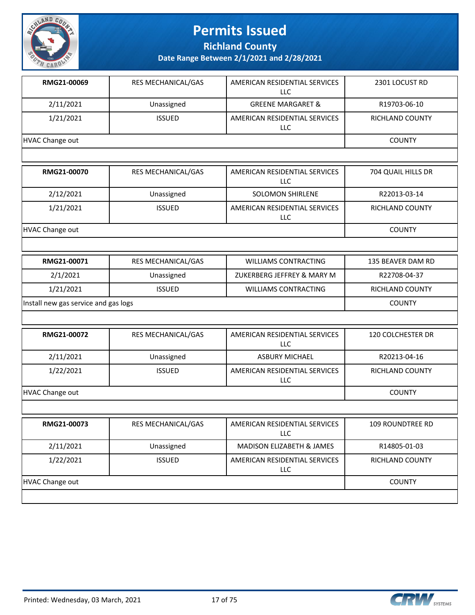

**Richland County**

| RMG21-00069            | RES MECHANICAL/GAS | AMERICAN RESIDENTIAL SERVICES<br>LLC | 2301 LOCUST RD         |
|------------------------|--------------------|--------------------------------------|------------------------|
| 2/11/2021              | Unassigned         | <b>GREENE MARGARET &amp;</b>         | R19703-06-10           |
| 1/21/2021              | <b>ISSUED</b>      | AMERICAN RESIDENTIAL SERVICES<br>LLC | RICHLAND COUNTY        |
| <b>HVAC Change out</b> |                    |                                      | <b>COUNTY</b>          |
|                        |                    |                                      |                        |
| RMG21-00070            | RES MECHANICAL/GAS | AMERICAN RESIDENTIAL SERVICES<br>LLC | 704 QUAIL HILLS DR     |
| 2/12/2021              | Unassigned         | <b>SOLOMON SHIRLENE</b>              | R22013-03-14           |
| 1/21/2021              | <b>ISSUED</b>      | AMERICAN RESIDENTIAL SERVICES<br>LLC | <b>RICHLAND COUNTY</b> |
| <b>HVAC Change out</b> |                    |                                      | <b>COUNTY</b>          |
|                        |                    |                                      |                        |
| RMG21-00071            | RES MECHANICAL/GAS | <b>WILLIAMS CONTRACTING</b>          | 135 BEAVER DAM RD      |
|                        |                    |                                      |                        |

| 2/1/2021                             | Unassigned    | ZUKERBERG JEFFREY & MARY M | R22708-04-37           |
|--------------------------------------|---------------|----------------------------|------------------------|
| 1/21/2021                            | <b>ISSUED</b> | WILLIAMS CONTRACTING       | <b>RICHLAND COUNTY</b> |
| Install new gas service and gas logs | <b>COUNTY</b> |                            |                        |

| RMG21-00072     | RES MECHANICAL/GAS | AMERICAN RESIDENTIAL SERVICES<br><b>LLC</b> | <b>120 COLCHESTER DR</b> |
|-----------------|--------------------|---------------------------------------------|--------------------------|
| 2/11/2021       | Unassigned         | <b>ASBURY MICHAEL</b>                       | R20213-04-16             |
| 1/22/2021       | <b>ISSUED</b>      | AMERICAN RESIDENTIAL SERVICES<br><b>LLC</b> | <b>RICHLAND COUNTY</b>   |
| HVAC Change out |                    |                                             | <b>COUNTY</b>            |
|                 |                    |                                             |                          |

| RMG21-00073     | <b>RES MECHANICAL/GAS</b> | AMERICAN RESIDENTIAL SERVICES<br>LLC.       | 109 ROUNDTREE RD |
|-----------------|---------------------------|---------------------------------------------|------------------|
| 2/11/2021       | Unassigned                | <b>MADISON ELIZABETH &amp; JAMES</b>        | R14805-01-03     |
| 1/22/2021       | <b>ISSUED</b>             | AMERICAN RESIDENTIAL SERVICES<br><b>LLC</b> | RICHLAND COUNTY  |
| HVAC Change out |                           |                                             | <b>COUNTY</b>    |
|                 |                           |                                             |                  |

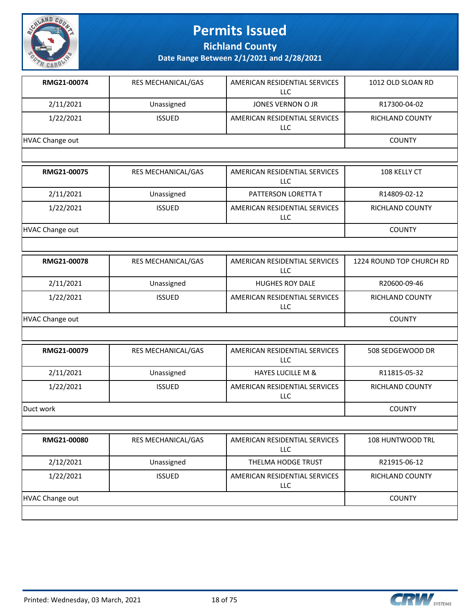

**Richland County**

| RMG21-00074                    | <b>RES MECHANICAL/GAS</b> | AMERICAN RESIDENTIAL SERVICES<br>LLC  | 1012 OLD SLOAN RD       |
|--------------------------------|---------------------------|---------------------------------------|-------------------------|
| 2/11/2021                      | Unassigned                | JONES VERNON O JR                     | R17300-04-02            |
| 1/22/2021                      | <b>ISSUED</b>             | AMERICAN RESIDENTIAL SERVICES<br>LLC. | <b>RICHLAND COUNTY</b>  |
| HVAC Change out                |                           |                                       | <b>COUNTY</b>           |
|                                |                           |                                       |                         |
| <b>DNAC<sub>21</sub></b> ANATE | DEC MECHANICAL CAC        | AMEDICAN DECIDENTIAL CEDVICES         | 100 $V$ EIIV $\Gamma$ T |

| <b>RMG21-00075</b> | <b>RES MECHANICAL/GAS</b> | AMERICAN RESIDENTIAL SERVICES<br>LLC | 108 KELLY CT    |
|--------------------|---------------------------|--------------------------------------|-----------------|
| 2/11/2021          | Unassigned                | PATTERSON LORETTA T                  | R14809-02-12    |
| 1/22/2021          | <b>ISSUED</b>             | AMERICAN RESIDENTIAL SERVICES<br>LLC | RICHLAND COUNTY |
| HVAC Change out    |                           |                                      | COUNTY          |

| RMG21-00078            | <b>RES MECHANICAL/GAS</b> | AMERICAN RESIDENTIAL SERVICES<br>LLC.       | 1224 ROUND TOP CHURCH RD |
|------------------------|---------------------------|---------------------------------------------|--------------------------|
| 2/11/2021              | Unassigned                | <b>HUGHES ROY DALE</b>                      | R20600-09-46             |
| 1/22/2021              | <b>ISSUED</b>             | AMERICAN RESIDENTIAL SERVICES<br><b>LLC</b> | RICHLAND COUNTY          |
| <b>HVAC Change out</b> |                           |                                             | <b>COUNTY</b>            |

| RMG21-00079 | RES MECHANICAL/GAS | AMERICAN RESIDENTIAL SERVICES<br>LLC | 508 SEDGEWOOD DR       |
|-------------|--------------------|--------------------------------------|------------------------|
| 2/11/2021   | Unassigned         | <b>HAYES LUCILLE M &amp;</b>         | R11815-05-32           |
| 1/22/2021   | <b>ISSUED</b>      | AMERICAN RESIDENTIAL SERVICES<br>LLC | <b>RICHLAND COUNTY</b> |
| Duct work   |                    |                                      | <b>COUNTY</b>          |

| RMG21-00080     | <b>RES MECHANICAL/GAS</b> | AMERICAN RESIDENTIAL SERVICES<br>LLC | <b>108 HUNTWOOD TRL</b> |
|-----------------|---------------------------|--------------------------------------|-------------------------|
| 2/12/2021       | Unassigned                | THELMA HODGE TRUST                   | R21915-06-12            |
| 1/22/2021       | <b>ISSUED</b>             | AMERICAN RESIDENTIAL SERVICES<br>LLC | <b>RICHLAND COUNTY</b>  |
| HVAC Change out |                           |                                      | <b>COUNTY</b>           |
|                 |                           |                                      |                         |

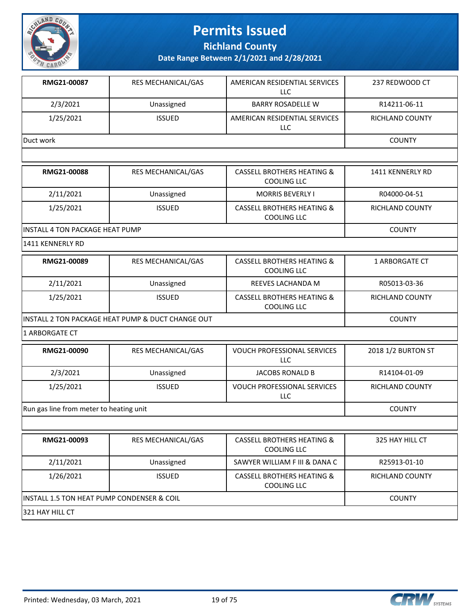

**Richland County**

**Date Range Between 2/1/2021 and 2/28/2021**

| RMG21-00087 | <b>RES MECHANICAL/GAS</b> | AMERICAN RESIDENTIAL SERVICES<br>LLC | 237 REDWOOD CT  |
|-------------|---------------------------|--------------------------------------|-----------------|
| 2/3/2021    | Unassigned                | <b>BARRY ROSADELLE W</b>             | R14211-06-11    |
| 1/25/2021   | <b>ISSUED</b>             | AMERICAN RESIDENTIAL SERVICES<br>LLC | RICHLAND COUNTY |
| Duct work   |                           |                                      | <b>COUNTY</b>   |
|             |                           |                                      |                 |

| RMG21-00088                      | <b>RES MECHANICAL/GAS</b> | <b>CASSELL BROTHERS HEATING &amp;</b><br>COOLING LLC | 1411 KENNERLY RD |
|----------------------------------|---------------------------|------------------------------------------------------|------------------|
| 2/11/2021                        | Unassigned                | <b>MORRIS BEVERLY I</b>                              | R04000-04-51     |
| 1/25/2021                        | <b>ISSUED</b>             | CASSELL BROTHERS HEATING &<br>COOLING LLC            | RICHLAND COUNTY  |
| lINSTALL 4 TON PACKAGE HEAT PUMP |                           |                                                      | <b>COUNTY</b>    |

1411 KENNERLY RD

| RMG21-00089 | <b>RES MECHANICAL/GAS</b>                          | CASSELL BROTHERS HEATING &<br>COOLING LLC            | 1 ARBORGATE CT         |
|-------------|----------------------------------------------------|------------------------------------------------------|------------------------|
| 2/11/2021   | Unassigned                                         | REEVES LACHANDA M                                    | R05013-03-36           |
| 1/25/2021   | <b>ISSUED</b>                                      | <b>CASSELL BROTHERS HEATING &amp;</b><br>COOLING LLC | <b>RICHLAND COUNTY</b> |
|             | lINSTALL 2 TON PACKAGE HEAT PUMP & DUCT CHANGE OUT |                                                      | COUNTY                 |

1 ARBORGATE CT

| RMG21-00090                             | <b>RES MECHANICAL/GAS</b> | <b>VOUCH PROFESSIONAL SERVICES</b><br>LLC. | 2018 1/2 BURTON ST |
|-----------------------------------------|---------------------------|--------------------------------------------|--------------------|
| 2/3/2021                                | Unassigned                | JACOBS RONALD B                            | R14104-01-09       |
| 1/25/2021                               | <b>ISSUED</b>             | <b>VOUCH PROFESSIONAL SERVICES</b><br>LLC  | RICHLAND COUNTY    |
| Run gas line from meter to heating unit |                           |                                            | <b>COUNTY</b>      |

| RMG21-00093                                 | <b>RES MECHANICAL/GAS</b> | <b>CASSELL BROTHERS HEATING &amp;</b>                | 325 HAY HILL CT |
|---------------------------------------------|---------------------------|------------------------------------------------------|-----------------|
|                                             |                           | COOLING LLC                                          |                 |
| 2/11/2021                                   | Unassigned                | SAWYER WILLIAM F III & DANA C                        | R25913-01-10    |
| 1/26/2021                                   | <b>ISSUED</b>             | <b>CASSELL BROTHERS HEATING &amp;</b><br>COOLING LLC | RICHLAND COUNTY |
| IINSTALL 1.5 TON HEAT PUMP CONDENSER & COIL |                           |                                                      | <b>COUNTY</b>   |
| 1321 HAY HILL CT                            |                           |                                                      |                 |

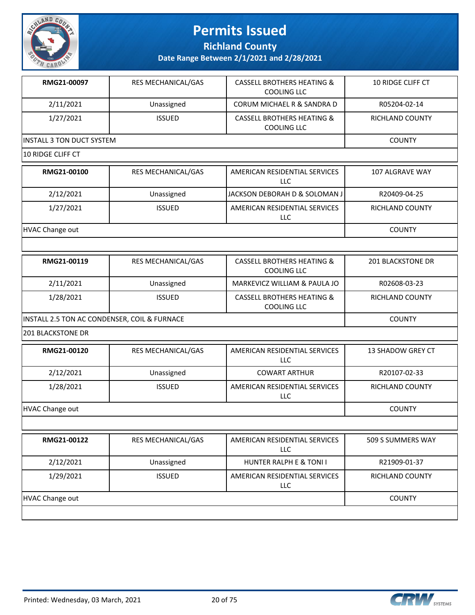

**Richland County**

| RMG21-00097                                  | RES MECHANICAL/GAS | <b>CASSELL BROTHERS HEATING &amp;</b><br><b>COOLING LLC</b> | <b>10 RIDGE CLIFF CT</b> |
|----------------------------------------------|--------------------|-------------------------------------------------------------|--------------------------|
| 2/11/2021                                    | Unassigned         | CORUM MICHAEL R & SANDRA D                                  | R05204-02-14             |
| 1/27/2021                                    | <b>ISSUED</b>      | <b>CASSELL BROTHERS HEATING &amp;</b><br><b>COOLING LLC</b> | RICHLAND COUNTY          |
| <b>INSTALL 3 TON DUCT SYSTEM</b>             | <b>COUNTY</b>      |                                                             |                          |
| 10 RIDGE CLIFF CT                            |                    |                                                             |                          |
| RMG21-00100                                  | RES MECHANICAL/GAS | AMERICAN RESIDENTIAL SERVICES<br><b>LLC</b>                 | 107 ALGRAVE WAY          |
| 2/12/2021                                    | Unassigned         | JACKSON DEBORAH D & SOLOMAN J                               | R20409-04-25             |
| 1/27/2021                                    | <b>ISSUED</b>      | AMERICAN RESIDENTIAL SERVICES<br>LLC                        | RICHLAND COUNTY          |
| HVAC Change out                              |                    |                                                             | <b>COUNTY</b>            |
|                                              |                    |                                                             |                          |
| RMG21-00119                                  | RES MECHANICAL/GAS | <b>CASSELL BROTHERS HEATING &amp;</b><br><b>COOLING LLC</b> | <b>201 BLACKSTONE DR</b> |
| 2/11/2021                                    | Unassigned         | MARKEVICZ WILLIAM & PAULA JO                                | R02608-03-23             |
| 1/28/2021                                    | <b>ISSUED</b>      | <b>CASSELL BROTHERS HEATING &amp;</b><br><b>COOLING LLC</b> | RICHLAND COUNTY          |
| INSTALL 2.5 TON AC CONDENSER, COIL & FURNACE | <b>COUNTY</b>      |                                                             |                          |
| <b>201 BLACKSTONE DR</b>                     |                    |                                                             |                          |
| RMG21-00120                                  | RES MECHANICAL/GAS | AMERICAN RESIDENTIAL SERVICES<br>LLC                        | 13 SHADOW GREY CT        |
| 2/12/2021                                    | Unassigned         | <b>COWART ARTHUR</b>                                        | R20107-02-33             |
| 1/28/2021                                    | <b>ISSUED</b>      | AMERICAN RESIDENTIAL SERVICES<br>LLC                        | RICHLAND COUNTY          |
|                                              |                    |                                                             |                          |
| <b>HVAC Change out</b>                       |                    |                                                             | <b>COUNTY</b>            |
|                                              |                    |                                                             |                          |
| RMG21-00122                                  | RES MECHANICAL/GAS | AMERICAN RESIDENTIAL SERVICES<br><b>LLC</b>                 | 509 S SUMMERS WAY        |
| 2/12/2021                                    | Unassigned         | HUNTER RALPH E & TONI I                                     | R21909-01-37             |
| 1/29/2021                                    | <b>ISSUED</b>      | AMERICAN RESIDENTIAL SERVICES<br><b>LLC</b>                 | RICHLAND COUNTY          |

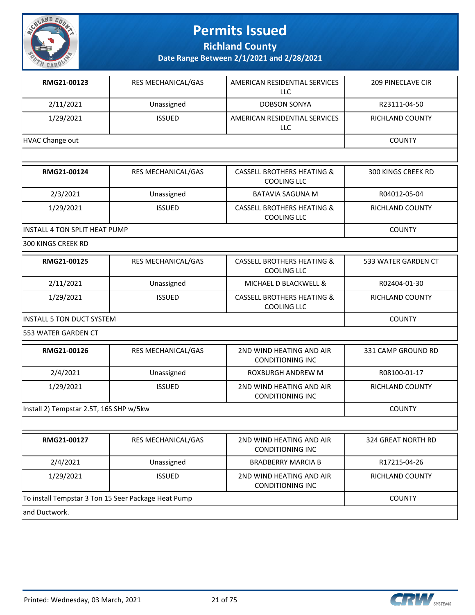

**Richland County**

**Date Range Between 2/1/2021 and 2/28/2021**

| RMG21-00123                             | RES MECHANICAL/GAS | AMERICAN RESIDENTIAL SERVICES<br><b>LLC</b>                 | <b>209 PINECLAVE CIR</b> |
|-----------------------------------------|--------------------|-------------------------------------------------------------|--------------------------|
| 2/11/2021                               | Unassigned         | <b>DOBSON SONYA</b>                                         | R23111-04-50             |
| 1/29/2021                               | <b>ISSUED</b>      | AMERICAN RESIDENTIAL SERVICES<br>LLC                        | RICHLAND COUNTY          |
| <b>HVAC Change out</b>                  |                    |                                                             | <b>COUNTY</b>            |
|                                         |                    |                                                             |                          |
| RMG21-00124                             | RES MECHANICAL/GAS | <b>CASSELL BROTHERS HEATING &amp;</b><br><b>COOLING LLC</b> | 300 KINGS CREEK RD       |
| 2/3/2021                                | Unassigned         | <b>BATAVIA SAGUNA M</b>                                     | R04012-05-04             |
| 1/29/2021                               | <b>ISSUED</b>      | <b>CASSELL BROTHERS HEATING &amp;</b><br><b>COOLING LLC</b> | RICHLAND COUNTY          |
| INSTALL 4 TON SPLIT HEAT PUMP           |                    |                                                             | <b>COUNTY</b>            |
| 300 KINGS CREEK RD                      |                    |                                                             |                          |
| RMG21-00125                             | RES MECHANICAL/GAS | <b>CASSELL BROTHERS HEATING &amp;</b><br><b>COOLING LLC</b> | 533 WATER GARDEN CT      |
| 2/11/2021                               | Unassigned         | MICHAEL D BLACKWELL &                                       | R02404-01-30             |
| 1/29/2021                               | <b>ISSUED</b>      | <b>CASSELL BROTHERS HEATING &amp;</b><br><b>COOLING LLC</b> | RICHLAND COUNTY          |
| <b>INSTALL 5 TON DUCT SYSTEM</b>        |                    |                                                             | <b>COUNTY</b>            |
| 553 WATER GARDEN CT                     |                    |                                                             |                          |
| RMG21-00126                             | RES MECHANICAL/GAS | 2ND WIND HEATING AND AIR<br><b>CONDITIONING INC</b>         | 331 CAMP GROUND RD       |
| 2/4/2021                                | Unassigned         | ROXBURGH ANDREW M                                           | R08100-01-17             |
| 1/29/2021                               | <b>ISSUED</b>      | 2ND WIND HEATING AND AIR<br><b>CONDITIONING INC</b>         | RICHLAND COUNTY          |
| Install 2) Tempstar 2.5T, 16S SHP w/5kw |                    |                                                             | <b>COUNTY</b>            |
|                                         |                    |                                                             |                          |
| RMG21-00127                             | RES MECHANICAL/GAS | 2ND WIND HEATING AND AIR<br><b>CONDITIONING INC</b>         | 324 GREAT NORTH RD       |
| 2/4/2021                                | Unassigned         | <b>BRADBERRY MARCIA B</b>                                   | R17215-04-26             |
| 1/29/2021                               | <b>ISSUED</b>      | 2ND WIND HEATING AND AIR                                    | RICHLAND COUNTY          |

and Ductwork.

To install Tempstar 3 Ton 15 Seer Package Heat Pump  $\Box$  COUNTY

CONDITIONING INC

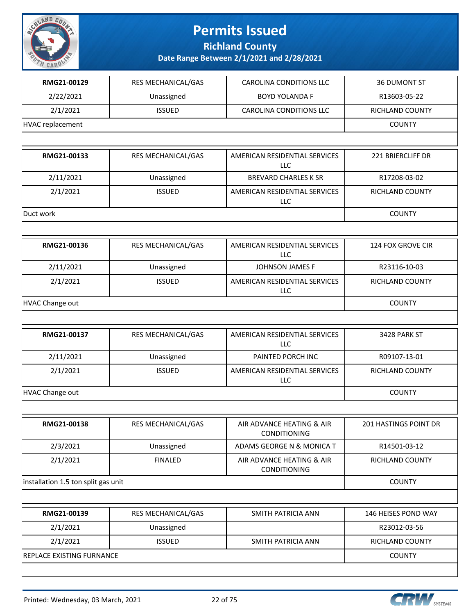

**Richland County**

| RMG21-00129                         | RES MECHANICAL/GAS | <b>CAROLINA CONDITIONS LLC</b>                   | <b>36 DUMONT ST</b>    |
|-------------------------------------|--------------------|--------------------------------------------------|------------------------|
| 2/22/2021                           | Unassigned         | <b>BOYD YOLANDA F</b>                            | R13603-05-22           |
| 2/1/2021                            | <b>ISSUED</b>      | <b>CAROLINA CONDITIONS LLC</b>                   | <b>RICHLAND COUNTY</b> |
| <b>HVAC replacement</b>             |                    |                                                  | <b>COUNTY</b>          |
|                                     |                    |                                                  |                        |
| RMG21-00133                         | RES MECHANICAL/GAS | AMERICAN RESIDENTIAL SERVICES<br><b>LLC</b>      | 221 BRIERCLIFF DR      |
| 2/11/2021                           | Unassigned         | <b>BREVARD CHARLES K SR</b>                      | R17208-03-02           |
| 2/1/2021                            | <b>ISSUED</b>      | AMERICAN RESIDENTIAL SERVICES<br><b>LLC</b>      | RICHLAND COUNTY        |
| Duct work                           |                    |                                                  | <b>COUNTY</b>          |
|                                     |                    |                                                  |                        |
| RMG21-00136                         | RES MECHANICAL/GAS | AMERICAN RESIDENTIAL SERVICES<br>LLC             | 124 FOX GROVE CIR      |
| 2/11/2021                           | Unassigned         | <b>JOHNSON JAMES F</b>                           | R23116-10-03           |
| 2/1/2021                            | <b>ISSUED</b>      | AMERICAN RESIDENTIAL SERVICES<br>LLC             | RICHLAND COUNTY        |
| <b>HVAC Change out</b>              |                    |                                                  | <b>COUNTY</b>          |
|                                     |                    |                                                  |                        |
| RMG21-00137                         | RES MECHANICAL/GAS | AMERICAN RESIDENTIAL SERVICES<br>LLC             | 3428 PARK ST           |
| 2/11/2021                           | Unassigned         | PAINTED PORCH INC                                | R09107-13-01           |
| 2/1/2021                            | <b>ISSUED</b>      | AMERICAN RESIDENTIAL SERVICES<br>LLC             | RICHLAND COUNTY        |
| <b>HVAC Change out</b>              |                    |                                                  | <b>COUNTY</b>          |
|                                     |                    |                                                  |                        |
| <b>RMG21-00138</b>                  | RES MECHANICAL/GAS | AIR ADVANCE HEATING & AIR<br><b>CONDITIONING</b> | 201 HASTINGS POINT DR  |
| 2/3/2021                            | Unassigned         | ADAMS GEORGE N & MONICA T                        | R14501-03-12           |
| 2/1/2021                            | <b>FINALED</b>     | AIR ADVANCE HEATING & AIR<br>CONDITIONING        | RICHLAND COUNTY        |
| installation 1.5 ton split gas unit |                    |                                                  | <b>COUNTY</b>          |
|                                     |                    |                                                  |                        |
| RMG21-00139                         | RES MECHANICAL/GAS | SMITH PATRICIA ANN                               | 146 HEISES POND WAY    |
| 2/1/2021                            | Unassigned         |                                                  | R23012-03-56           |
| 2/1/2021                            | <b>ISSUED</b>      | SMITH PATRICIA ANN                               | RICHLAND COUNTY        |
| REPLACE EXISTING FURNANCE           |                    |                                                  | <b>COUNTY</b>          |
|                                     |                    |                                                  |                        |

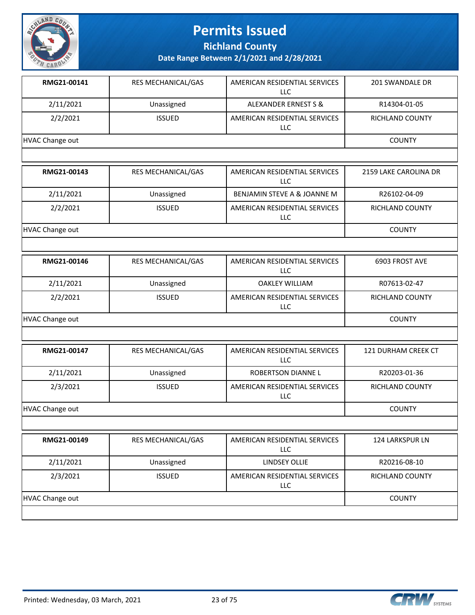

**Richland County**

| RMG21-00141            | RES MECHANICAL/GAS | AMERICAN RESIDENTIAL SERVICES<br>LLC.       | 201 SWANDALE DR       |  |  |
|------------------------|--------------------|---------------------------------------------|-----------------------|--|--|
| 2/11/2021              | Unassigned         | <b>ALEXANDER ERNEST S &amp;</b>             | R14304-01-05          |  |  |
| 2/2/2021               | <b>ISSUED</b>      | AMERICAN RESIDENTIAL SERVICES<br><b>LLC</b> | RICHLAND COUNTY       |  |  |
| <b>HVAC Change out</b> |                    |                                             |                       |  |  |
|                        |                    |                                             |                       |  |  |
| RMG21-00143            | RES MECHANICAL/GAS | AMERICAN RESIDENTIAL SERVICES<br>LLC        | 2159 LAKE CAROLINA DR |  |  |
| 2/11/2021              | Unassigned         | BENJAMIN STEVE A & JOANNE M                 | R26102-04-09          |  |  |
| 2/2/2021               | <b>ISSUED</b>      | AMERICAN RESIDENTIAL SERVICES<br><b>LLC</b> | RICHLAND COUNTY       |  |  |
| HVAC Change out        |                    |                                             | <b>COUNTY</b>         |  |  |
|                        |                    |                                             |                       |  |  |
| RMG21-00146            | RES MECHANICAL/GAS | AMERICAN RESIDENTIAL SERVICES<br><b>LLC</b> | 6903 FROST AVE        |  |  |
| 2/11/2021              | Unassigned         | <b>OAKLEY WILLIAM</b>                       | R07613-02-47          |  |  |
| 2/2/2021               | <b>ISSUED</b>      | AMERICAN RESIDENTIAL SERVICES<br><b>LLC</b> | RICHLAND COUNTY       |  |  |
| HVAC Change out        |                    |                                             | <b>COUNTY</b>         |  |  |
|                        |                    |                                             |                       |  |  |
| RMG21-00147            | RES MECHANICAL/GAS | AMERICAN RESIDENTIAL SERVICES<br><b>LLC</b> | 121 DURHAM CREEK CT   |  |  |
| 2/11/2021              | Unassigned         | ROBERTSON DIANNE L                          | R20203-01-36          |  |  |
| 2/3/2021               | <b>ISSUED</b>      | AMERICAN RESIDENTIAL SERVICES<br><b>LLC</b> | RICHLAND COUNTY       |  |  |
| HVAC Change out        |                    |                                             | <b>COUNTY</b>         |  |  |
|                        |                    |                                             |                       |  |  |

| RMG21-00149     | <b>RES MECHANICAL/GAS</b> | AMERICAN RESIDENTIAL SERVICES<br>LLC. | <b>124 LARKSPUR LN</b> |
|-----------------|---------------------------|---------------------------------------|------------------------|
| 2/11/2021       | Unassigned                | LINDSEY OLLIE                         | R20216-08-10           |
| 2/3/2021        | <b>ISSUED</b>             | AMERICAN RESIDENTIAL SERVICES<br>LLC  | <b>RICHLAND COUNTY</b> |
| HVAC Change out |                           |                                       | <b>COUNTY</b>          |
|                 |                           |                                       |                        |

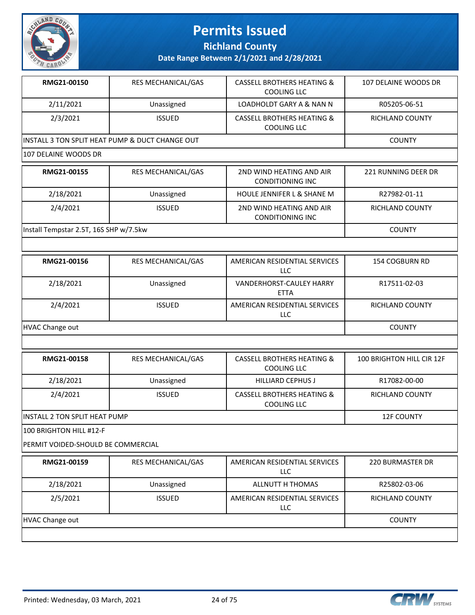

**Richland County**

**Date Range Between 2/1/2021 and 2/28/2021**

| RMG21-00150                                      | <b>RES MECHANICAL/GAS</b> | CASSELL BROTHERS HEATING &<br>COOLING LLC            | 107 DELAINE WOODS DR |
|--------------------------------------------------|---------------------------|------------------------------------------------------|----------------------|
| 2/11/2021                                        | Unassigned                | LOADHOLDT GARY A & NAN N                             | R05205-06-51         |
| 2/3/2021                                         | <b>ISSUED</b>             | <b>CASSELL BROTHERS HEATING &amp;</b><br>COOLING LLC | RICHLAND COUNTY      |
| IINSTALL 3 TON SPLIT HEAT PUMP & DUCT CHANGE OUT |                           |                                                      | <b>COUNTY</b>        |
|                                                  |                           |                                                      |                      |

| RMG21-00155                            | <b>RES MECHANICAL/GAS</b> | 2ND WIND HEATING AND AIR<br><b>CONDITIONING INC</b> | 221 RUNNING DEER DR    |
|----------------------------------------|---------------------------|-----------------------------------------------------|------------------------|
| 2/18/2021                              | Unassigned                | <b>HOULE JENNIFER L &amp; SHANE M</b>               | R27982-01-11           |
| 2/4/2021                               | <b>ISSUED</b>             | 2ND WIND HEATING AND AIR<br>CONDITIONING INC        | <b>RICHLAND COUNTY</b> |
| Install Tempstar 2.5T, 16S SHP w/7.5kw |                           |                                                     | <b>COUNTY</b>          |

| RMG21-00156     | <b>RES MECHANICAL/GAS</b> | AMERICAN RESIDENTIAL SERVICES<br><b>LLC</b>    | 154 COGBURN RD         |
|-----------------|---------------------------|------------------------------------------------|------------------------|
| 2/18/2021       | Unassigned                | <b>VANDERHORST-CAULEY HARRY</b><br><b>ETTA</b> | R17511-02-03           |
| 2/4/2021        | <b>ISSUED</b>             | AMERICAN RESIDENTIAL SERVICES<br>LLC           | <b>RICHLAND COUNTY</b> |
| HVAC Change out |                           |                                                | <b>COUNTY</b>          |

| RMG21-00158                    | <b>RES MECHANICAL/GAS</b> | <b>CASSELL BROTHERS HEATING &amp;</b><br>COOLING LLC | 100 BRIGHTON HILL CIR 12F |
|--------------------------------|---------------------------|------------------------------------------------------|---------------------------|
| 2/18/2021                      | Unassigned                | <b>HILLIARD CEPHUS J</b>                             | R17082-00-00              |
| 2/4/2021                       | <b>ISSUED</b>             | <b>CASSELL BROTHERS HEATING &amp;</b><br>COOLING LLC | <b>RICHLAND COUNTY</b>    |
| IINSTALL 2 TON SPLIT HEAT PUMP |                           |                                                      | <b>12F COUNTY</b>         |
| 100 BRIGHTON HILL #12-F        |                           |                                                      |                           |

PERMIT VOIDED-SHOULD BE COMMERCIAL

| RMG21-00159     | <b>RES MECHANICAL/GAS</b> | AMERICAN RESIDENTIAL SERVICES<br>LLC        | 220 BURMASTER DR       |
|-----------------|---------------------------|---------------------------------------------|------------------------|
| 2/18/2021       | Unassigned                | ALLNUTT H THOMAS                            | R25802-03-06           |
| 2/5/2021        | <b>ISSUED</b>             | AMERICAN RESIDENTIAL SERVICES<br><b>LLC</b> | <b>RICHLAND COUNTY</b> |
| HVAC Change out |                           |                                             | COUNTY                 |
|                 |                           |                                             |                        |

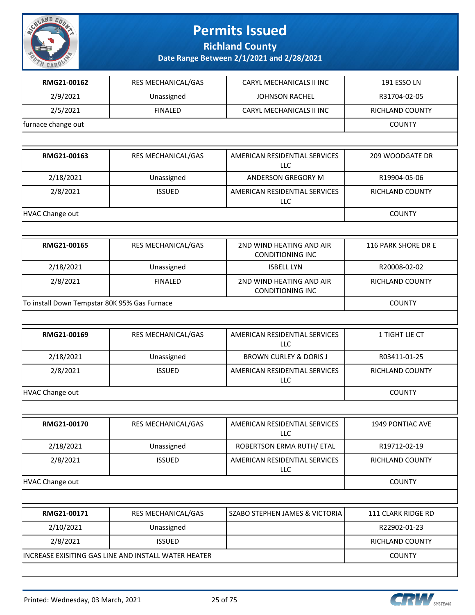

**Richland County**

| RMG21-00162                                  |                    |                                                     |                        |
|----------------------------------------------|--------------------|-----------------------------------------------------|------------------------|
|                                              | RES MECHANICAL/GAS | CARYL MECHANICALS II INC                            | 191 ESSO LN            |
| 2/9/2021                                     | Unassigned         | <b>JOHNSON RACHEL</b>                               | R31704-02-05           |
| 2/5/2021                                     | <b>FINALED</b>     | CARYL MECHANICALS II INC                            | RICHLAND COUNTY        |
| furnace change out                           |                    |                                                     | <b>COUNTY</b>          |
|                                              |                    |                                                     |                        |
| RMG21-00163                                  | RES MECHANICAL/GAS | AMERICAN RESIDENTIAL SERVICES<br><b>LLC</b>         | 209 WOODGATE DR        |
| 2/18/2021                                    | Unassigned         | ANDERSON GREGORY M                                  | R19904-05-06           |
| 2/8/2021                                     | <b>ISSUED</b>      | AMERICAN RESIDENTIAL SERVICES<br>LLC                | RICHLAND COUNTY        |
| HVAC Change out                              |                    |                                                     | <b>COUNTY</b>          |
|                                              |                    |                                                     |                        |
| RMG21-00165                                  | RES MECHANICAL/GAS | 2ND WIND HEATING AND AIR<br><b>CONDITIONING INC</b> | 116 PARK SHORE DR E    |
| 2/18/2021                                    | Unassigned         | <b>ISBELL LYN</b>                                   | R20008-02-02           |
| 2/8/2021                                     | <b>FINALED</b>     | 2ND WIND HEATING AND AIR<br><b>CONDITIONING INC</b> | <b>RICHLAND COUNTY</b> |
| To install Down Tempstar 80K 95% Gas Furnace |                    |                                                     | <b>COUNTY</b>          |
|                                              |                    |                                                     |                        |
|                                              |                    |                                                     |                        |
| RMG21-00169                                  | RES MECHANICAL/GAS | AMERICAN RESIDENTIAL SERVICES<br>LLC                | 1 TIGHT LIE CT         |
| 2/18/2021                                    | Unassigned         | <b>BROWN CURLEY &amp; DORIS J</b>                   | R03411-01-25           |
| 2/8/2021                                     | <b>ISSUED</b>      | AMERICAN RESIDENTIAL SERVICES<br>LLC                | RICHLAND COUNTY        |
| HVAC Change out                              |                    |                                                     | <b>COUNTY</b>          |
|                                              |                    |                                                     |                        |
| RMG21-00170                                  | RES MECHANICAL/GAS | AMERICAN RESIDENTIAL SERVICES<br><b>LLC</b>         | 1949 PONTIAC AVE       |
| 2/18/2021                                    | Unassigned         | ROBERTSON ERMA RUTH/ ETAL                           | R19712-02-19           |
| 2/8/2021                                     | <b>ISSUED</b>      | AMERICAN RESIDENTIAL SERVICES<br><b>LLC</b>         | RICHLAND COUNTY        |
| HVAC Change out                              |                    |                                                     | <b>COUNTY</b>          |
|                                              |                    |                                                     |                        |
| RMG21-00171                                  | RES MECHANICAL/GAS | SZABO STEPHEN JAMES & VICTORIA                      | 111 CLARK RIDGE RD     |
| 2/10/2021                                    | Unassigned         |                                                     | R22902-01-23           |
| 2/8/2021                                     | <b>ISSUED</b>      |                                                     | RICHLAND COUNTY        |

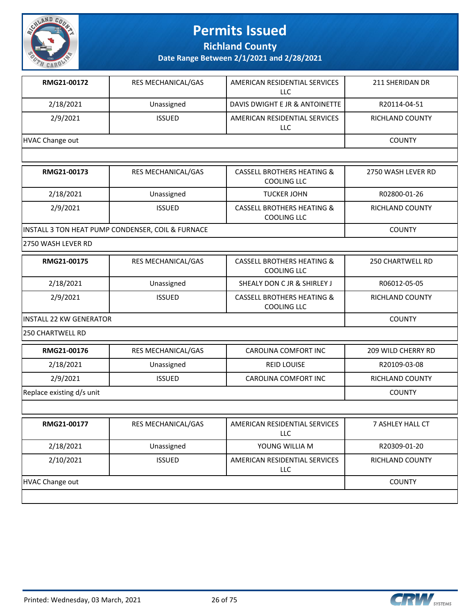

**Richland County**

**Date Range Between 2/1/2021 and 2/28/2021**

| RMG21-00172     | <b>RES MECHANICAL/GAS</b> | AMERICAN RESIDENTIAL SERVICES<br>LLC | 211 SHERIDAN DR |
|-----------------|---------------------------|--------------------------------------|-----------------|
| 2/18/2021       | Unassigned                | DAVIS DWIGHT E JR & ANTOINETTE       | R20114-04-51    |
| 2/9/2021        | <b>ISSUED</b>             | AMERICAN RESIDENTIAL SERVICES<br>LLC | RICHLAND COUNTY |
| HVAC Change out | <b>COUNTY</b>             |                                      |                 |
|                 |                           |                                      |                 |

| RMG21-00173 | <b>RES MECHANICAL/GAS</b>                         | <b>CASSELL BROTHERS HEATING &amp;</b><br>COOLING LLC | 2750 WASH LEVER RD |
|-------------|---------------------------------------------------|------------------------------------------------------|--------------------|
| 2/18/2021   | Unassigned                                        | <b>TUCKER JOHN</b>                                   | R02800-01-26       |
| 2/9/2021    | <b>ISSUED</b>                                     | <b>CASSELL BROTHERS HEATING &amp;</b><br>COOLING LLC | RICHLAND COUNTY    |
|             | INSTALL 3 TON HEAT PUMP CONDENSER, COIL & FURNACE |                                                      | <b>COUNTY</b>      |

2750 WASH LEVER RD

| RMG21-00175                     | <b>RES MECHANICAL/GAS</b> | CASSELL BROTHERS HEATING &<br>COOLING LLC | 250 CHARTWELL RD |
|---------------------------------|---------------------------|-------------------------------------------|------------------|
| 2/18/2021                       | Unassigned                | SHEALY DON C JR & SHIRLEY J               | R06012-05-05     |
| 2/9/2021                        | <b>ISSUED</b>             | CASSELL BROTHERS HEATING &<br>COOLING LLC | RICHLAND COUNTY  |
| <b>IINSTALL 22 KW GENERATOR</b> |                           |                                           | <b>COUNTY</b>    |

250 CHARTWELL RD

| RMG21-00176               | <b>RES MECHANICAL/GAS</b> | CAROLINA COMFORT INC                 | 209 WILD CHERRY RD |
|---------------------------|---------------------------|--------------------------------------|--------------------|
| 2/18/2021                 | Unassigned                | <b>REID LOUISE</b>                   | R20109-03-08       |
| 2/9/2021                  | <b>ISSUED</b>             | CAROLINA COMFORT INC                 | RICHLAND COUNTY    |
| Replace existing d/s unit |                           |                                      | <b>COUNTY</b>      |
|                           |                           |                                      |                    |
| RMG21-00177               | <b>RES MECHANICAL/GAS</b> | AMERICAN RESIDENTIAL SERVICES<br>LLC | 7 ASHLEY HALL CT   |

| 2/18/2021       | Unassigned    | YOUNG WILLIA M                       | R20309-01-20    |
|-----------------|---------------|--------------------------------------|-----------------|
| 2/10/2021       | <b>ISSUED</b> | AMERICAN RESIDENTIAL SERVICES<br>LLC | RICHLAND COUNTY |
|                 |               |                                      | <b>COUNTY</b>   |
| HVAC Change out |               |                                      |                 |

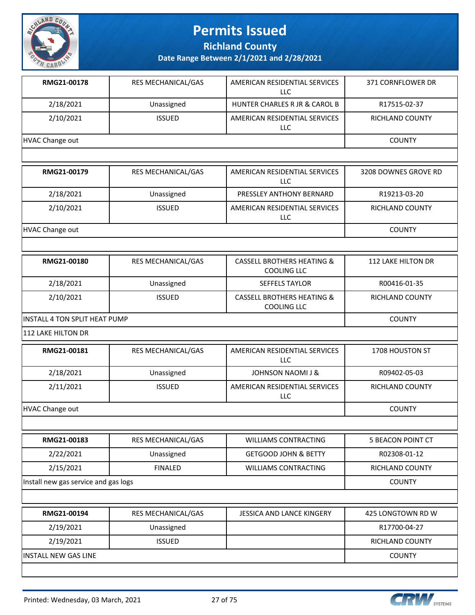

**Richland County**

| RMG21-00178                          | RES MECHANICAL/GAS        | AMERICAN RESIDENTIAL SERVICES<br><b>LLC</b>                 | 371 CORNFLOWER DR        |
|--------------------------------------|---------------------------|-------------------------------------------------------------|--------------------------|
| 2/18/2021                            | Unassigned                | HUNTER CHARLES R JR & CAROL B                               | R17515-02-37             |
| 2/10/2021                            | <b>ISSUED</b>             | AMERICAN RESIDENTIAL SERVICES<br>LLC                        | RICHLAND COUNTY          |
| <b>HVAC Change out</b>               |                           |                                                             | <b>COUNTY</b>            |
|                                      |                           |                                                             |                          |
| RMG21-00179                          | <b>RES MECHANICAL/GAS</b> | AMERICAN RESIDENTIAL SERVICES<br><b>LLC</b>                 | 3208 DOWNES GROVE RD     |
| 2/18/2021                            | Unassigned                | PRESSLEY ANTHONY BERNARD                                    | R19213-03-20             |
| 2/10/2021                            | <b>ISSUED</b>             | AMERICAN RESIDENTIAL SERVICES<br><b>LLC</b>                 | RICHLAND COUNTY          |
| <b>HVAC Change out</b>               |                           |                                                             | <b>COUNTY</b>            |
|                                      |                           |                                                             |                          |
| RMG21-00180                          | RES MECHANICAL/GAS        | <b>CASSELL BROTHERS HEATING &amp;</b><br><b>COOLING LLC</b> | 112 LAKE HILTON DR       |
| 2/18/2021                            | Unassigned                | <b>SEFFELS TAYLOR</b>                                       | R00416-01-35             |
| 2/10/2021                            | <b>ISSUED</b>             | <b>CASSELL BROTHERS HEATING &amp;</b><br><b>COOLING LLC</b> | RICHLAND COUNTY          |
| INSTALL 4 TON SPLIT HEAT PUMP        |                           |                                                             | <b>COUNTY</b>            |
| <b>112 LAKE HILTON DR</b>            |                           |                                                             |                          |
| RMG21-00181                          | RES MECHANICAL/GAS        | AMERICAN RESIDENTIAL SERVICES<br><b>LLC</b>                 | 1708 HOUSTON ST          |
| 2/18/2021                            | Unassigned                | <b>JOHNSON NAOMI J &amp;</b>                                | R09402-05-03             |
| 2/11/2021                            | <b>ISSUED</b>             | AMERICAN RESIDENTIAL SERVICES<br>LLC                        | RICHLAND COUNTY          |
| <b>HVAC Change out</b>               |                           |                                                             | <b>COUNTY</b>            |
|                                      |                           |                                                             |                          |
| RMG21-00183                          | RES MECHANICAL/GAS        | <b>WILLIAMS CONTRACTING</b>                                 | <b>5 BEACON POINT CT</b> |
| 2/22/2021                            | Unassigned                | <b>GETGOOD JOHN &amp; BETTY</b>                             | R02308-01-12             |
| 2/15/2021                            | <b>FINALED</b>            | <b>WILLIAMS CONTRACTING</b>                                 | RICHLAND COUNTY          |
| Install new gas service and gas logs |                           |                                                             | <b>COUNTY</b>            |
|                                      |                           |                                                             |                          |
| RMG21-00194                          | RES MECHANICAL/GAS        | JESSICA AND LANCE KINGERY                                   | 425 LONGTOWN RD W        |
| 2/19/2021                            | Unassigned                |                                                             | R17700-04-27             |
| 2/19/2021                            | <b>ISSUED</b>             |                                                             | RICHLAND COUNTY          |
| <b>INSTALL NEW GAS LINE</b>          |                           |                                                             | <b>COUNTY</b>            |
|                                      |                           |                                                             |                          |

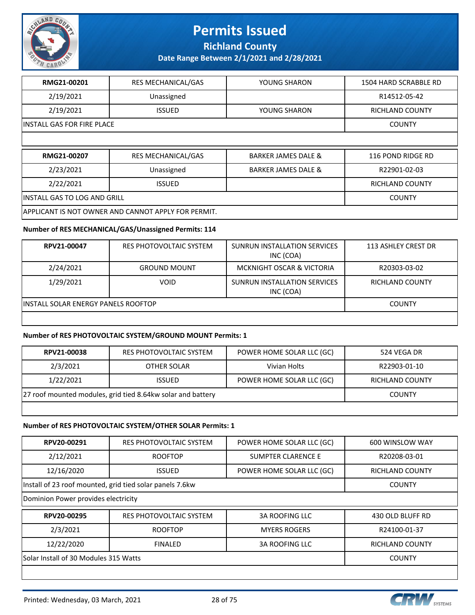

**Richland County**

**Date Range Between 2/1/2021 and 2/28/2021**

| RMG21-00201                  | <b>RES MECHANICAL/GAS</b> | YOUNG SHARON                   | 1504 HARD SCRABBLE RD  |
|------------------------------|---------------------------|--------------------------------|------------------------|
| 2/19/2021                    | Unassigned                |                                | R14512-05-42           |
| 2/19/2021                    | <b>ISSUED</b>             | YOUNG SHARON                   | <b>RICHLAND COUNTY</b> |
| INSTALL GAS FOR FIRE PLACE   | <b>COUNTY</b>             |                                |                        |
|                              |                           |                                |                        |
|                              |                           |                                |                        |
| RMG21-00207                  | <b>RES MECHANICAL/GAS</b> | <b>BARKER JAMES DALE &amp;</b> | 116 POND RIDGE RD      |
| 2/23/2021                    | Unassigned                | <b>BARKER JAMES DALE &amp;</b> | R22901-02-03           |
| 2/22/2021                    | <b>ISSUED</b>             |                                | <b>RICHLAND COUNTY</b> |
| INSTALL GAS TO LOG AND GRILL |                           |                                | <b>COUNTY</b>          |

#### **Number of RES MECHANICAL/GAS/Unassigned Permits: 114**

| RPV21-00047                          | RES PHOTOVOLTAIC SYSTEM | SUNRUN INSTALLATION SERVICES<br>INC (COA) | 113 ASHLEY CREST DR    |
|--------------------------------------|-------------------------|-------------------------------------------|------------------------|
| 2/24/2021                            | <b>GROUND MOUNT</b>     | <b>MCKNIGHT OSCAR &amp; VICTORIA</b>      | R20303-03-02           |
| 1/29/2021                            | <b>VOID</b>             | SUNRUN INSTALLATION SERVICES<br>INC (COA) | <b>RICHLAND COUNTY</b> |
| IINSTALL SOLAR ENERGY PANELS ROOFTOP | <b>COUNTY</b>           |                                           |                        |
|                                      |                         |                                           |                        |

#### **Number of RES PHOTOVOLTAIC SYSTEM/GROUND MOUNT Permits: 1**

| RPV21-00038                                                 | RES PHOTOVOLTAIC SYSTEM | POWER HOME SOLAR LLC (GC) | 524 VEGA DR     |
|-------------------------------------------------------------|-------------------------|---------------------------|-----------------|
| 2/3/2021                                                    | OTHER SOLAR             | Vivian Holts              | R22903-01-10    |
| 1/22/2021                                                   | <b>ISSUED</b>           | POWER HOME SOLAR LLC (GC) | RICHLAND COUNTY |
| 27 roof mounted modules, grid tied 8.64kw solar and battery |                         |                           | <b>COUNTY</b>   |
|                                                             |                         |                           |                 |

#### **Number of RES PHOTOVOLTAIC SYSTEM/OTHER SOLAR Permits: 1**

| RPV20-00291                           | <b>RES PHOTOVOLTAIC SYSTEM</b>                           | POWER HOME SOLAR LLC (GC) | 600 WINSLOW WAY  |
|---------------------------------------|----------------------------------------------------------|---------------------------|------------------|
| 2/12/2021                             | <b>ROOFTOP</b>                                           | <b>SUMPTER CLARENCE E</b> | R20208-03-01     |
| 12/16/2020                            | <b>ISSUED</b>                                            | POWER HOME SOLAR LLC (GC) | RICHLAND COUNTY  |
|                                       | Install of 23 roof mounted, grid tied solar panels 7.6kw |                           | <b>COUNTY</b>    |
| Dominion Power provides electricity   |                                                          |                           |                  |
| RPV20-00295                           | RES PHOTOVOLTAIC SYSTEM                                  | <b>3A ROOFING LLC</b>     | 430 OLD BLUFF RD |
| 2/3/2021                              | <b>ROOFTOP</b>                                           | <b>MYERS ROGERS</b>       | R24100-01-37     |
| 12/22/2020                            | <b>RICHLAND COUNTY</b>                                   |                           |                  |
| Solar Install of 30 Modules 315 Watts |                                                          |                           | <b>COUNTY</b>    |
|                                       |                                                          |                           |                  |

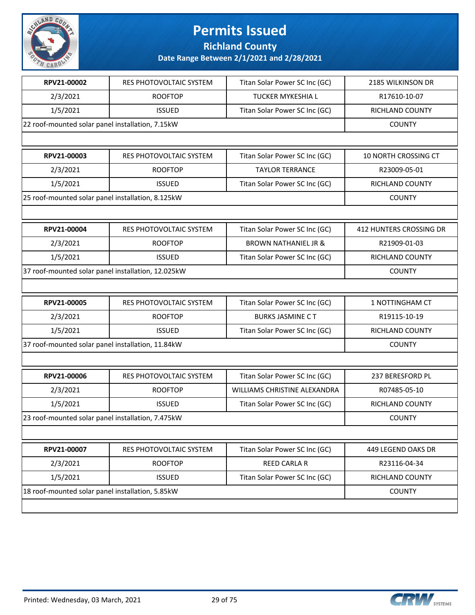

**Richland County**

| RPV21-00002                                        | RES PHOTOVOLTAIC SYSTEM        | Titan Solar Power SC Inc (GC)   | 2185 WILKINSON DR       |
|----------------------------------------------------|--------------------------------|---------------------------------|-------------------------|
| 2/3/2021                                           | <b>ROOFTOP</b>                 | <b>TUCKER MYKESHIA L</b>        | R17610-10-07            |
| 1/5/2021                                           | <b>ISSUED</b>                  | Titan Solar Power SC Inc (GC)   | RICHLAND COUNTY         |
| 22 roof-mounted solar panel installation, 7.15kW   |                                |                                 | <b>COUNTY</b>           |
|                                                    |                                |                                 |                         |
| RPV21-00003                                        | RES PHOTOVOLTAIC SYSTEM        | Titan Solar Power SC Inc (GC)   | 10 NORTH CROSSING CT    |
| 2/3/2021                                           | <b>ROOFTOP</b>                 | <b>TAYLOR TERRANCE</b>          | R23009-05-01            |
| 1/5/2021                                           | <b>ISSUED</b>                  | Titan Solar Power SC Inc (GC)   | RICHLAND COUNTY         |
| 25 roof-mounted solar panel installation, 8.125kW  |                                |                                 | <b>COUNTY</b>           |
|                                                    |                                |                                 |                         |
| RPV21-00004                                        | RES PHOTOVOLTAIC SYSTEM        | Titan Solar Power SC Inc (GC)   | 412 HUNTERS CROSSING DR |
| 2/3/2021                                           | <b>ROOFTOP</b>                 | <b>BROWN NATHANIEL JR &amp;</b> | R21909-01-03            |
| 1/5/2021                                           | <b>ISSUED</b>                  | Titan Solar Power SC Inc (GC)   | <b>RICHLAND COUNTY</b>  |
| 37 roof-mounted solar panel installation, 12.025kW |                                |                                 | <b>COUNTY</b>           |
|                                                    |                                |                                 |                         |
| RPV21-00005                                        | <b>RES PHOTOVOLTAIC SYSTEM</b> | Titan Solar Power SC Inc (GC)   | 1 NOTTINGHAM CT         |
| 2/3/2021                                           | <b>ROOFTOP</b>                 | <b>BURKS JASMINE CT</b>         | R19115-10-19            |
| 1/5/2021                                           | <b>ISSUED</b>                  | Titan Solar Power SC Inc (GC)   | RICHLAND COUNTY         |
| 37 roof-mounted solar panel installation, 11.84kW  |                                |                                 | <b>COUNTY</b>           |
|                                                    |                                |                                 |                         |
| RPV21-00006                                        | RES PHOTOVOLTAIC SYSTEM        | Titan Solar Power SC Inc (GC)   | 237 BERESFORD PL        |
| 2/3/2021                                           | <b>ROOFTOP</b>                 | WILLIAMS CHRISTINE ALEXANDRA    | R07485-05-10            |
| 1/5/2021                                           | <b>ISSUED</b>                  | Titan Solar Power SC Inc (GC)   | <b>RICHLAND COUNTY</b>  |
| 23 roof-mounted solar panel installation, 7.475kW  |                                |                                 | <b>COUNTY</b>           |
|                                                    |                                |                                 |                         |
| RPV21-00007                                        | RES PHOTOVOLTAIC SYSTEM        | Titan Solar Power SC Inc (GC)   | 449 LEGEND OAKS DR      |
| 2/3/2021                                           | <b>ROOFTOP</b>                 | REED CARLA R                    | R23116-04-34            |
| 1/5/2021                                           | <b>ISSUED</b>                  | Titan Solar Power SC Inc (GC)   | RICHLAND COUNTY         |
| 18 roof-mounted solar panel installation, 5.85kW   |                                |                                 | <b>COUNTY</b>           |
|                                                    |                                |                                 |                         |

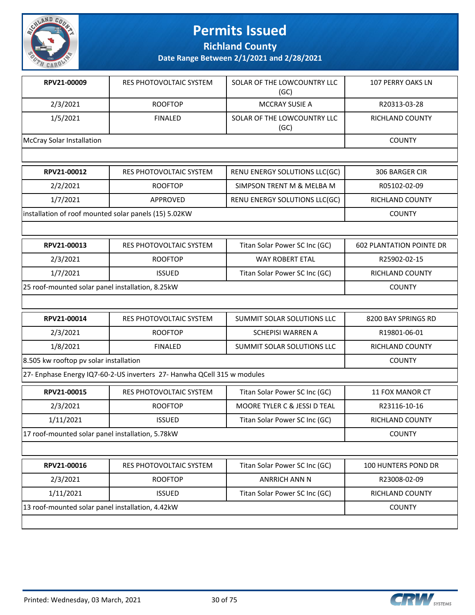

**Richland County**

**Date Range Between 2/1/2021 and 2/28/2021**

| RPV21-00009                                           | RES PHOTOVOLTAIC SYSTEM | SOLAR OF THE LOWCOUNTRY LLC<br>(GC) | <b>107 PERRY OAKS LN</b>        |
|-------------------------------------------------------|-------------------------|-------------------------------------|---------------------------------|
| 2/3/2021                                              | <b>ROOFTOP</b>          | <b>MCCRAY SUSIE A</b>               | R20313-03-28                    |
| 1/5/2021                                              | <b>FINALED</b>          | SOLAR OF THE LOWCOUNTRY LLC<br>(GC) | <b>RICHLAND COUNTY</b>          |
| <b>McCray Solar Installation</b>                      |                         |                                     | <b>COUNTY</b>                   |
|                                                       |                         |                                     |                                 |
| RPV21-00012                                           | RES PHOTOVOLTAIC SYSTEM | RENU ENERGY SOLUTIONS LLC(GC)       | 306 BARGER CIR                  |
| 2/2/2021                                              | <b>ROOFTOP</b>          | SIMPSON TRENT M & MELBA M           | R05102-02-09                    |
| 1/7/2021                                              | <b>APPROVED</b>         | RENU ENERGY SOLUTIONS LLC(GC)       | <b>RICHLAND COUNTY</b>          |
| installation of roof mounted solar panels (15) 5.02KW |                         |                                     | <b>COUNTY</b>                   |
|                                                       |                         |                                     |                                 |
| RPV21-00013                                           | RES PHOTOVOLTAIC SYSTEM | Titan Solar Power SC Inc (GC)       | <b>602 PLANTATION POINTE DR</b> |
| 2/3/2021                                              | <b>ROOFTOP</b>          | <b>WAY ROBERT ETAL</b>              | R25902-02-15                    |
| 1/7/2021                                              | <b>ISSUED</b>           | Titan Solar Power SC Inc (GC)       | <b>RICHLAND COUNTY</b>          |
| 25 roof-mounted solar panel installation, 8.25kW      |                         |                                     | <b>COUNTY</b>                   |

| RPV21-00014                            | RES PHOTOVOLTAIC SYSTEM | SUMMIT SOLAR SOLUTIONS LLC | 8200 BAY SPRINGS RD |
|----------------------------------------|-------------------------|----------------------------|---------------------|
| 2/3/2021                               | <b>ROOFTOP</b>          | SCHEPISI WARREN A          | R19801-06-01        |
| 1/8/2021                               | <b>FINALED</b>          | SUMMIT SOLAR SOLUTIONS LLC | RICHLAND COUNTY     |
| 8.505 kw rooftop pv solar installation |                         |                            | <b>COUNTY</b>       |

27- Enphase Energy IQ7-60-2-US inverters 27- Hanwha QCell 315 w modules

| RPV21-00015                                      | RES PHOTOVOLTAIC SYSTEM | Titan Solar Power SC Inc (GC) | 11 FOX MANOR CT        |
|--------------------------------------------------|-------------------------|-------------------------------|------------------------|
| 2/3/2021                                         | <b>ROOFTOP</b>          | MOORE TYLER C & JESSI D TEAL  | R23116-10-16           |
| 1/11/2021                                        | <b>ISSUED</b>           | Titan Solar Power SC Inc (GC) | <b>RICHLAND COUNTY</b> |
| 17 roof-mounted solar panel installation, 5.78kW |                         |                               | <b>COUNTY</b>          |
|                                                  |                         |                               |                        |

| 13 roof-mounted solar panel installation, 4.42kW |                         |                               | <b>COUNTY</b>              |
|--------------------------------------------------|-------------------------|-------------------------------|----------------------------|
| 1/11/2021                                        | <b>ISSUED</b>           | Titan Solar Power SC Inc (GC) | RICHLAND COUNTY            |
| 2/3/2021                                         | <b>ROOFTOP</b>          | ANRRICH ANN N                 | R23008-02-09               |
| RPV21-00016                                      | RES PHOTOVOLTAIC SYSTEM | Titan Solar Power SC Inc (GC) | <b>100 HUNTERS POND DR</b> |

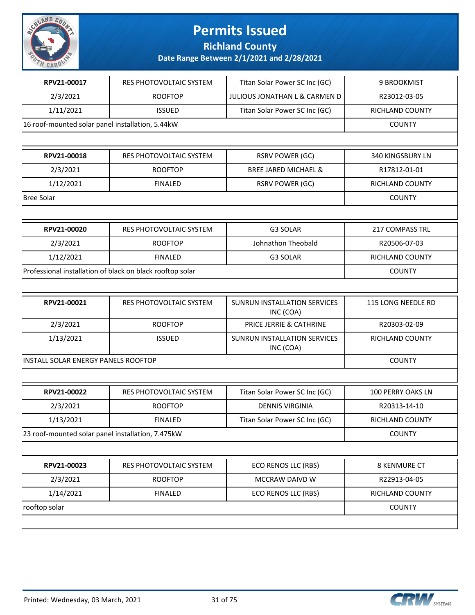

**Richland County**

| RPV21-00017                                      | RES PHOTOVOLTAIC SYSTEM                                   | Titan Solar Power SC Inc (GC)             | 9 BROOKMIST         |
|--------------------------------------------------|-----------------------------------------------------------|-------------------------------------------|---------------------|
| 2/3/2021                                         | <b>ROOFTOP</b>                                            | JULIOUS JONATHAN L & CARMEN D             | R23012-03-05        |
| 1/11/2021                                        | <b>ISSUED</b>                                             | Titan Solar Power SC Inc (GC)             | RICHLAND COUNTY     |
| 16 roof-mounted solar panel installation, 5.44kW |                                                           |                                           | <b>COUNTY</b>       |
|                                                  |                                                           |                                           |                     |
| RPV21-00018                                      | RES PHOTOVOLTAIC SYSTEM                                   | <b>RSRV POWER (GC)</b>                    | 340 KINGSBURY LN    |
| 2/3/2021                                         | <b>ROOFTOP</b>                                            | <b>BREE JARED MICHAEL &amp;</b>           | R17812-01-01        |
| 1/12/2021                                        | <b>FINALED</b>                                            | <b>RSRV POWER (GC)</b>                    | RICHLAND COUNTY     |
| <b>Bree Solar</b>                                |                                                           |                                           | <b>COUNTY</b>       |
|                                                  |                                                           |                                           |                     |
| RPV21-00020                                      | RES PHOTOVOLTAIC SYSTEM                                   | G3 SOLAR                                  | 217 COMPASS TRL     |
| 2/3/2021                                         | <b>ROOFTOP</b>                                            | Johnathon Theobald                        | R20506-07-03        |
| 1/12/2021                                        | <b>FINALED</b>                                            | G3 SOLAR                                  | RICHLAND COUNTY     |
|                                                  | Professional installation of black on black rooftop solar |                                           | <b>COUNTY</b>       |
|                                                  |                                                           |                                           |                     |
| RPV21-00021                                      | RES PHOTOVOLTAIC SYSTEM                                   | SUNRUN INSTALLATION SERVICES<br>INC (COA) | 115 LONG NEEDLE RD  |
| 2/3/2021                                         | <b>ROOFTOP</b>                                            | PRICE JERRIE & CATHRINE                   | R20303-02-09        |
| 1/13/2021                                        | <b>ISSUED</b>                                             | SUNRUN INSTALLATION SERVICES<br>INC (COA) | RICHLAND COUNTY     |
| INSTALL SOLAR ENERGY PANELS ROOFTOP              |                                                           |                                           | <b>COUNTY</b>       |
|                                                  |                                                           |                                           |                     |
| RPV21-00022                                      | RES PHOTOVOLTAIC SYSTEM                                   | Titan Solar Power SC Inc (GC)             | 100 PERRY OAKS LN   |
| 2/3/2021                                         | <b>ROOFTOP</b>                                            | <b>DENNIS VIRGINIA</b>                    | R20313-14-10        |
| 1/13/2021                                        | <b>FINALED</b>                                            | Titan Solar Power SC Inc (GC)             | RICHLAND COUNTY     |
|                                                  | 23 roof-mounted solar panel installation, 7.475kW         |                                           | <b>COUNTY</b>       |
|                                                  |                                                           |                                           |                     |
| RPV21-00023                                      | RES PHOTOVOLTAIC SYSTEM                                   | ECO RENOS LLC (RBS)                       | <b>8 KENMURE CT</b> |
|                                                  |                                                           | MCCRAW DAIVD W                            | R22913-04-05        |
| 2/3/2021                                         | <b>ROOFTOP</b>                                            |                                           |                     |
| 1/14/2021                                        | <b>FINALED</b>                                            | ECO RENOS LLC (RBS)                       | RICHLAND COUNTY     |

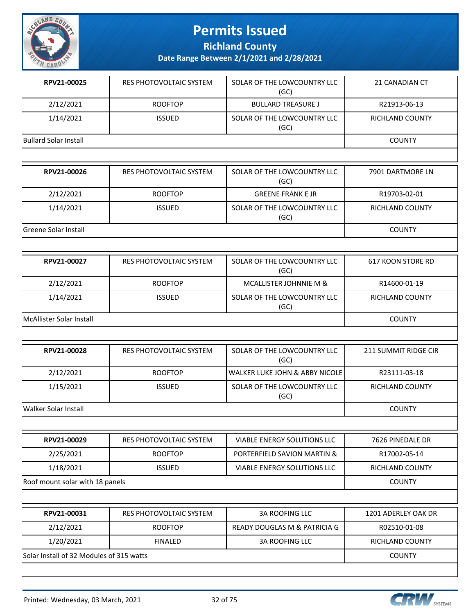

**Richland County**

**Date Range Between 2/1/2021 and 2/28/2021**

| RPV21-00025                     | RES PHOTOVOLTAIC SYSTEM        | SOLAR OF THE LOWCOUNTRY LLC<br>(GC)       | 21 CANADIAN CT           |
|---------------------------------|--------------------------------|-------------------------------------------|--------------------------|
| 2/12/2021                       | <b>ROOFTOP</b>                 | <b>BULLARD TREASURE J</b>                 | R21913-06-13             |
| 1/14/2021                       | <b>ISSUED</b>                  | SOLAR OF THE LOWCOUNTRY LLC<br>(GC)       | <b>RICHLAND COUNTY</b>   |
| <b>Bullard Solar Install</b>    |                                |                                           | <b>COUNTY</b>            |
|                                 |                                |                                           |                          |
| RPV21-00026                     | RES PHOTOVOLTAIC SYSTEM        | SOLAR OF THE LOWCOUNTRY LLC<br>(GC)       | 7901 DARTMORE LN         |
| 2/12/2021                       | <b>ROOFTOP</b>                 | <b>GREENE FRANK E JR</b>                  | R19703-02-01             |
| 1/14/2021                       | <b>ISSUED</b>                  | SOLAR OF THE LOWCOUNTRY LLC<br>(GC)       | RICHLAND COUNTY          |
| <b>Greene Solar Install</b>     |                                |                                           | <b>COUNTY</b>            |
|                                 |                                |                                           |                          |
| RPV21-00027                     | RES PHOTOVOLTAIC SYSTEM        | SOLAR OF THE LOWCOUNTRY LLC<br>(GC)       | <b>617 KOON STORE RD</b> |
| 2/12/2021                       | <b>ROOFTOP</b>                 | MCALLISTER JOHNNIE M &                    | R14600-01-19             |
| 1/14/2021                       | <b>ISSUED</b>                  | SOLAR OF THE LOWCOUNTRY LLC<br>(GC)       | RICHLAND COUNTY          |
| McAllister Solar Install        |                                |                                           | <b>COUNTY</b>            |
|                                 |                                |                                           |                          |
| RPV21-00028                     | <b>RES PHOTOVOLTAIC SYSTEM</b> | SOLAR OF THE LOWCOUNTRY LLC<br>(GC)       | 211 SUMMIT RIDGE CIR     |
| 2/12/2021                       | <b>ROOFTOP</b>                 | <b>WALKER LUKE JOHN &amp; ABBY NICOLE</b> | R23111-03-18             |
| 1/15/2021                       | <b>ISSUED</b>                  | SOLAR OF THE LOWCOUNTRY LLC<br>(GC)       | <b>RICHLAND COUNTY</b>   |
| <b>Walker Solar Install</b>     |                                |                                           | <b>COUNTY</b>            |
|                                 |                                |                                           |                          |
| RPV21-00029                     | RES PHOTOVOLTAIC SYSTEM        | VIABLE ENERGY SOLUTIONS LLC               | 7626 PINEDALE DR         |
| 2/25/2021                       | <b>ROOFTOP</b>                 | PORTERFIELD SAVION MARTIN &               | R17002-05-14             |
| 1/18/2021                       | <b>ISSUED</b>                  | VIABLE ENERGY SOLUTIONS LLC               | RICHLAND COUNTY          |
| Roof mount solar with 18 panels |                                |                                           | <b>COUNTY</b>            |
|                                 |                                |                                           |                          |
| RPV21-00031                     | RES PHOTOVOLTAIC SYSTEM        | <b>3A ROOFING LLC</b>                     | 1201 ADERLEY OAK DR      |
| 2/12/2021                       | <b>ROOFTOP</b>                 | READY DOUGLAS M & PATRICIA G              | R02510-01-08             |
| 1/20/2021                       | <b>FINALED</b>                 | <b>3A ROOFING LLC</b>                     | RICHLAND COUNTY          |

Solar Install of 32 Modules of 315 watts COUNTY

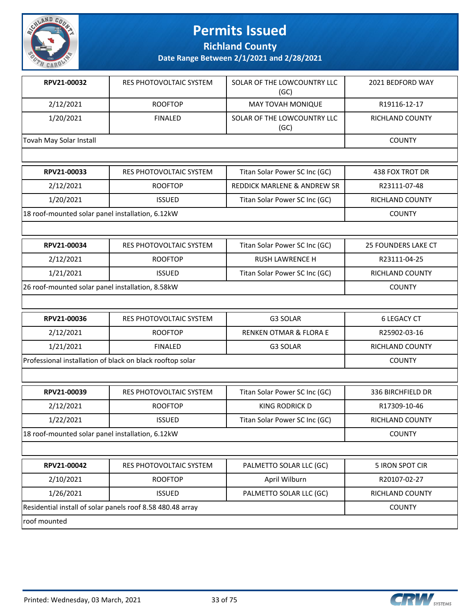

**Richland County**

**Date Range Between 2/1/2021 and 2/28/2021**

| RPV21-00032                                               | <b>RES PHOTOVOLTAIC SYSTEM</b> | SOLAR OF THE LOWCOUNTRY LLC<br>(GC) | 2021 BEDFORD WAY           |
|-----------------------------------------------------------|--------------------------------|-------------------------------------|----------------------------|
| 2/12/2021                                                 | <b>ROOFTOP</b>                 | MAY TOVAH MONIQUE                   | R19116-12-17               |
| 1/20/2021                                                 | <b>FINALED</b>                 | SOLAR OF THE LOWCOUNTRY LLC<br>(GC) | <b>RICHLAND COUNTY</b>     |
| Tovah May Solar Install                                   |                                |                                     | <b>COUNTY</b>              |
|                                                           |                                |                                     |                            |
| RPV21-00033                                               | RES PHOTOVOLTAIC SYSTEM        | Titan Solar Power SC Inc (GC)       | 438 FOX TROT DR            |
| 2/12/2021                                                 | <b>ROOFTOP</b>                 | REDDICK MARLENE & ANDREW SR         | R23111-07-48               |
| 1/20/2021                                                 | <b>ISSUED</b>                  | Titan Solar Power SC Inc (GC)       | <b>RICHLAND COUNTY</b>     |
| 18 roof-mounted solar panel installation, 6.12kW          |                                |                                     | <b>COUNTY</b>              |
|                                                           |                                |                                     |                            |
| RPV21-00034                                               | RES PHOTOVOLTAIC SYSTEM        | Titan Solar Power SC Inc (GC)       | <b>25 FOUNDERS LAKE CT</b> |
| 2/12/2021                                                 | <b>ROOFTOP</b>                 | <b>RUSH LAWRENCE H</b>              | R23111-04-25               |
| 1/21/2021                                                 | <b>ISSUED</b>                  | Titan Solar Power SC Inc (GC)       | RICHLAND COUNTY            |
| 26 roof-mounted solar panel installation, 8.58kW          |                                |                                     | <b>COUNTY</b>              |
|                                                           |                                |                                     |                            |
| RPV21-00036                                               | RES PHOTOVOLTAIC SYSTEM        | G3 SOLAR                            | <b>6 LEGACY CT</b>         |
| 2/12/2021                                                 | <b>ROOFTOP</b>                 | <b>RENKEN OTMAR &amp; FLORA E</b>   | R25902-03-16               |
| 1/21/2021                                                 | <b>FINALED</b>                 | G3 SOLAR                            | RICHLAND COUNTY            |
| Professional installation of black on black rooftop solar |                                |                                     | <b>COUNTY</b>              |
|                                                           |                                |                                     |                            |
| RPV21-00039                                               | <b>RES PHOTOVOLTAIC SYSTEM</b> | Titan Solar Power SC Inc (GC)       | 336 BIRCHFIELD DR          |

| IN VEL-UUUJJ                                     | 11 LJ 1 1 I 1 U 1 U 1 U 1 U L 1 A I L J I J I L I VI | <b>THE TUBE TOWER SETTLE (OCT</b> | <b>JJU DINGHI ILLU DIN</b> |
|--------------------------------------------------|------------------------------------------------------|-----------------------------------|----------------------------|
| 2/12/2021                                        | <b>ROOFTOP</b>                                       | KING RODRICK D                    | R17309-10-46               |
| 1/22/2021                                        | <b>ISSUED</b>                                        | Titan Solar Power SC Inc (GC)     | RICHLAND COUNTY            |
| 18 roof-mounted solar panel installation, 6.12kW | <b>COUNTY</b>                                        |                                   |                            |
|                                                  |                                                      |                                   |                            |
| RPV21-00042                                      | RES PHOTOVOLTAIC SYSTEM                              | PALMETTO SOLAR LLC (GC)           | 5 IRON SPOT CIR            |
| 2/10/2021                                        | <b>ROOFTOP</b>                                       | April Wilburn                     | R20107-02-27               |

1/26/2021 | ISSUED | PALMETTO SOLAR LLC (GC) | RICHLAND COUNTY

Residential install of solar panels roof 8.58 480.48 array COUNTY COUNTY roof mounted

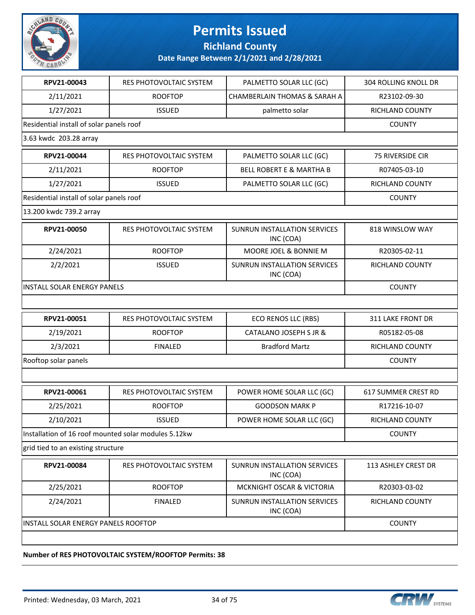

**Richland County**

**Date Range Between 2/1/2021 and 2/28/2021**

| RPV21-00043                                          | RES PHOTOVOLTAIC SYSTEM | PALMETTO SOLAR LLC (GC)                   | <b>304 ROLLING KNOLL DR</b> |
|------------------------------------------------------|-------------------------|-------------------------------------------|-----------------------------|
| 2/11/2021                                            | <b>ROOFTOP</b>          | <b>CHAMBERLAIN THOMAS &amp; SARAH A</b>   | R23102-09-30                |
| 1/27/2021                                            | <b>ISSUED</b>           | palmetto solar                            | RICHLAND COUNTY             |
| Residential install of solar panels roof             |                         |                                           | <b>COUNTY</b>               |
| 3.63 kwdc 203.28 array                               |                         |                                           |                             |
| RPV21-00044                                          | RES PHOTOVOLTAIC SYSTEM | PALMETTO SOLAR LLC (GC)                   | <b>75 RIVERSIDE CIR</b>     |
| 2/11/2021                                            | <b>ROOFTOP</b>          | <b>BELL ROBERT E &amp; MARTHA B</b>       | R07405-03-10                |
| 1/27/2021                                            | <b>ISSUED</b>           | PALMETTO SOLAR LLC (GC)                   | RICHLAND COUNTY             |
| Residential install of solar panels roof             |                         |                                           | <b>COUNTY</b>               |
| 13.200 kwdc 739.2 array                              |                         |                                           |                             |
| RPV21-00050                                          | RES PHOTOVOLTAIC SYSTEM | SUNRUN INSTALLATION SERVICES<br>INC (COA) | 818 WINSLOW WAY             |
| 2/24/2021                                            | <b>ROOFTOP</b>          | MOORE JOEL & BONNIE M                     | R20305-02-11                |
| 2/2/2021                                             | <b>ISSUED</b>           | SUNRUN INSTALLATION SERVICES<br>INC (COA) | RICHLAND COUNTY             |
| <b>INSTALL SOLAR ENERGY PANELS</b>                   | <b>COUNTY</b>           |                                           |                             |
|                                                      |                         |                                           |                             |
| RPV21-00051                                          | RES PHOTOVOLTAIC SYSTEM | ECO RENOS LLC (RBS)                       | <b>311 LAKE FRONT DR</b>    |
| 2/19/2021                                            | <b>ROOFTOP</b>          | CATALANO JOSEPH S JR &                    | R05182-05-08                |
| 2/3/2021                                             | <b>FINALED</b>          | <b>Bradford Martz</b>                     | RICHLAND COUNTY             |
| Rooftop solar panels                                 |                         |                                           | <b>COUNTY</b>               |
|                                                      |                         |                                           |                             |
| RPV21-00061                                          | RES PHOTOVOLTAIC SYSTEM | POWER HOME SOLAR LLC (GC)                 | 617 SUMMER CREST RD         |
| 2/25/2021                                            | <b>ROOFTOP</b>          | <b>GOODSON MARK P</b>                     | R17216-10-07                |
| 2/10/2021                                            | <b>ISSUED</b>           | POWER HOME SOLAR LLC (GC)                 | RICHLAND COUNTY             |
| Installation of 16 roof mounted solar modules 5.12kw |                         |                                           | <b>COUNTY</b>               |
| grid tied to an existing structure                   |                         |                                           |                             |
| RPV21-00084                                          | RES PHOTOVOLTAIC SYSTEM | SUNRUN INSTALLATION SERVICES<br>INC (COA) | 113 ASHLEY CREST DR         |
| 2/25/2021                                            | <b>ROOFTOP</b>          | MCKNIGHT OSCAR & VICTORIA                 | R20303-03-02                |
| 2/24/2021                                            | <b>FINALED</b>          | SUNRUN INSTALLATION SERVICES<br>INC (COA) | RICHLAND COUNTY             |
| INSTALL SOLAR ENERGY PANELS ROOFTOP                  |                         |                                           | <b>COUNTY</b>               |
|                                                      |                         |                                           |                             |

#### **Number of RES PHOTOVOLTAIC SYSTEM/ROOFTOP Permits: 38**

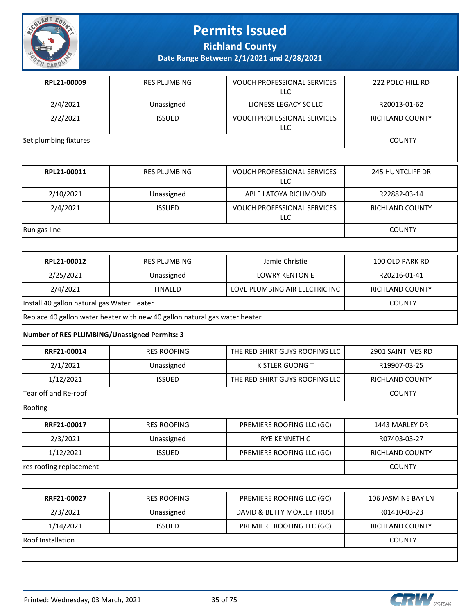

**Richland County**

**Date Range Between 2/1/2021 and 2/28/2021**

| RPL21-00009           | <b>RES PLUMBING</b> | <b>VOUCH PROFESSIONAL SERVICES</b><br>LLC | 222 POLO HILL RD |
|-----------------------|---------------------|-------------------------------------------|------------------|
| 2/4/2021              | Unassigned          | LIONESS LEGACY SC LLC                     | R20013-01-62     |
| 2/2/2021              | <b>ISSUED</b>       | <b>VOUCH PROFESSIONAL SERVICES</b><br>LLC | RICHLAND COUNTY  |
| Set plumbing fixtures |                     |                                           | <b>COUNTY</b>    |
|                       |                     |                                           |                  |

| RPL21-00011  | <b>RES PLUMBING</b> | <b>VOUCH PROFESSIONAL SERVICES</b><br>LLC | <b>245 HUNTCLIFF DR</b> |
|--------------|---------------------|-------------------------------------------|-------------------------|
| 2/10/2021    | Unassigned          | ABLE LATOYA RICHMOND                      | R22882-03-14            |
| 2/4/2021     | <b>ISSUED</b>       | <b>VOUCH PROFESSIONAL SERVICES</b><br>LLC | <b>RICHLAND COUNTY</b>  |
| Run gas line |                     |                                           | <b>COUNTY</b>           |

| RPL21-00012                                                                | <b>RES PLUMBING</b> | Jamie Christie                 | 100 OLD PARK RD |  |  |
|----------------------------------------------------------------------------|---------------------|--------------------------------|-----------------|--|--|
| 2/25/2021                                                                  | Unassigned          | <b>LOWRY KENTON E</b>          | R20216-01-41    |  |  |
| 2/4/2021                                                                   | <b>FINALED</b>      | LOVE PLUMBING AIR ELECTRIC INC | RICHLAND COUNTY |  |  |
| Install 40 gallon natural gas Water Heater                                 |                     |                                | <b>COUNTY</b>   |  |  |
| Replace 40 gallon water heater with new 40 gallon natural gas water heater |                     |                                |                 |  |  |

#### **Number of RES PLUMBING/Unassigned Permits: 3**

| RRF21-00014              | <b>RES ROOFING</b> | THE RED SHIRT GUYS ROOFING LLC | 2901 SAINT IVES RD     |
|--------------------------|--------------------|--------------------------------|------------------------|
| 2/1/2021                 | Unassigned         | KISTLER GUONG T                | R19907-03-25           |
| 1/12/2021                | <b>ISSUED</b>      | THE RED SHIRT GUYS ROOFING LLC | <b>RICHLAND COUNTY</b> |
| Tear off and Re-roof     | <b>COUNTY</b>      |                                |                        |
| Roofing                  |                    |                                |                        |
| RRF21-00017              | <b>RES ROOFING</b> | PREMIERE ROOFING LLC (GC)      | 1443 MARLEY DR         |
| 2/3/2021                 | Unassigned         | <b>RYE KENNETH C</b>           | R07403-03-27           |
| 1/12/2021                | <b>ISSUED</b>      | PREMIERE ROOFING LLC (GC)      | RICHLAND COUNTY        |
| res roofing replacement  | <b>COUNTY</b>      |                                |                        |
|                          |                    |                                |                        |
| RRF21-00027              | <b>RES ROOFING</b> | PREMIERE ROOFING LLC (GC)      | 106 JASMINE BAY LN     |
| 2/3/2021                 | Unassigned         | DAVID & BETTY MOXLEY TRUST     | R01410-03-23           |
| 1/14/2021                | <b>ISSUED</b>      | PREMIERE ROOFING LLC (GC)      | <b>RICHLAND COUNTY</b> |
| <b>Roof Installation</b> | <b>COUNTY</b>      |                                |                        |
|                          |                    |                                |                        |

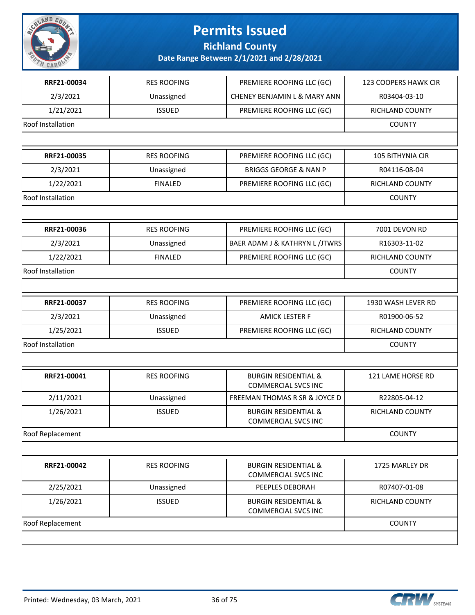

**Richland County**

| RRF21-00034       | <b>RES ROOFING</b> | PREMIERE ROOFING LLC (GC)                                     | <b>123 COOPERS HAWK CIR</b> |
|-------------------|--------------------|---------------------------------------------------------------|-----------------------------|
| 2/3/2021          | Unassigned         | CHENEY BENJAMIN L & MARY ANN                                  | R03404-03-10                |
| 1/21/2021         | <b>ISSUED</b>      | PREMIERE ROOFING LLC (GC)                                     | RICHLAND COUNTY             |
| Roof Installation |                    |                                                               | <b>COUNTY</b>               |
|                   |                    |                                                               |                             |
| RRF21-00035       | <b>RES ROOFING</b> | PREMIERE ROOFING LLC (GC)                                     | 105 BITHYNIA CIR            |
| 2/3/2021          | Unassigned         | <b>BRIGGS GEORGE &amp; NAN P</b>                              | R04116-08-04                |
| 1/22/2021         | <b>FINALED</b>     | PREMIERE ROOFING LLC (GC)                                     | RICHLAND COUNTY             |
| Roof Installation |                    |                                                               | <b>COUNTY</b>               |
|                   |                    |                                                               |                             |
| RRF21-00036       | <b>RES ROOFING</b> | PREMIERE ROOFING LLC (GC)                                     | 7001 DEVON RD               |
| 2/3/2021          | Unassigned         | BAER ADAM J & KATHRYN L /JTWRS                                | R16303-11-02                |
| 1/22/2021         | <b>FINALED</b>     | PREMIERE ROOFING LLC (GC)                                     | RICHLAND COUNTY             |
| Roof Installation |                    |                                                               | <b>COUNTY</b>               |
|                   |                    |                                                               |                             |
| RRF21-00037       | <b>RES ROOFING</b> | PREMIERE ROOFING LLC (GC)                                     | 1930 WASH LEVER RD          |
| 2/3/2021          | Unassigned         | <b>AMICK LESTER F</b>                                         | R01900-06-52                |
| 1/25/2021         | <b>ISSUED</b>      | PREMIERE ROOFING LLC (GC)                                     | RICHLAND COUNTY             |
| Roof Installation |                    |                                                               | <b>COUNTY</b>               |
|                   |                    |                                                               |                             |
| RRF21-00041       | <b>RES ROOFING</b> | <b>BURGIN RESIDENTIAL &amp;</b><br><b>COMMERCIAL SVCS INC</b> | 121 LAME HORSE RD           |
| 2/11/2021         | Unassigned         | FREEMAN THOMAS R SR & JOYCE D                                 | R22805-04-12                |
| 1/26/2021         | <b>ISSUED</b>      | <b>BURGIN RESIDENTIAL &amp;</b><br><b>COMMERCIAL SVCS INC</b> | RICHLAND COUNTY             |
| Roof Replacement  |                    |                                                               | <b>COUNTY</b>               |
|                   |                    |                                                               |                             |
| RRF21-00042       | <b>RES ROOFING</b> | <b>BURGIN RESIDENTIAL &amp;</b><br><b>COMMERCIAL SVCS INC</b> | 1725 MARLEY DR              |
| 2/25/2021         | Unassigned         | PEEPLES DEBORAH                                               | R07407-01-08                |
| 1/26/2021         | <b>ISSUED</b>      | <b>BURGIN RESIDENTIAL &amp;</b><br><b>COMMERCIAL SVCS INC</b> | RICHLAND COUNTY             |
| Roof Replacement  |                    |                                                               | <b>COUNTY</b>               |
|                   |                    |                                                               |                             |

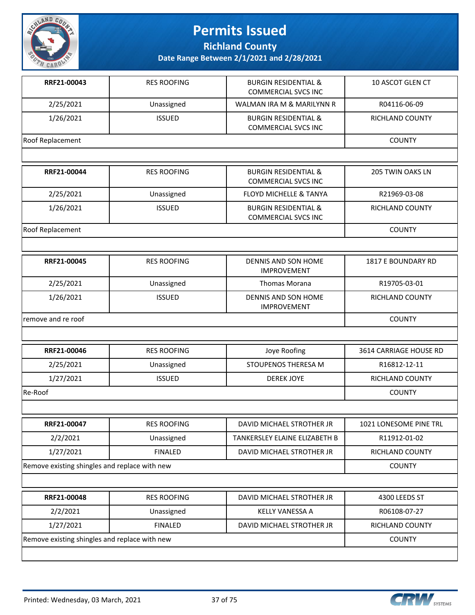

**Richland County**

| RRF21-00043                                   | <b>RES ROOFING</b> | <b>BURGIN RESIDENTIAL &amp;</b><br><b>COMMERCIAL SVCS INC</b> | 10 ASCOT GLEN CT       |
|-----------------------------------------------|--------------------|---------------------------------------------------------------|------------------------|
| 2/25/2021                                     | Unassigned         | WALMAN IRA M & MARILYNN R                                     | R04116-06-09           |
| 1/26/2021                                     | <b>ISSUED</b>      | <b>BURGIN RESIDENTIAL &amp;</b><br><b>COMMERCIAL SVCS INC</b> | RICHLAND COUNTY        |
| Roof Replacement                              |                    |                                                               | <b>COUNTY</b>          |
|                                               |                    |                                                               |                        |
| RRF21-00044                                   | <b>RES ROOFING</b> | <b>BURGIN RESIDENTIAL &amp;</b><br><b>COMMERCIAL SVCS INC</b> | 205 TWIN OAKS LN       |
| 2/25/2021                                     | Unassigned         | <b>FLOYD MICHELLE &amp; TANYA</b>                             | R21969-03-08           |
| 1/26/2021                                     | <b>ISSUED</b>      | <b>BURGIN RESIDENTIAL &amp;</b><br><b>COMMERCIAL SVCS INC</b> | RICHLAND COUNTY        |
| Roof Replacement                              |                    |                                                               | <b>COUNTY</b>          |
|                                               |                    |                                                               |                        |
| RRF21-00045                                   | <b>RES ROOFING</b> | DENNIS AND SON HOME<br><b>IMPROVEMENT</b>                     | 1817 E BOUNDARY RD     |
| 2/25/2021                                     | Unassigned         | Thomas Morana                                                 | R19705-03-01           |
| 1/26/2021                                     | <b>ISSUED</b>      | DENNIS AND SON HOME<br><b>IMPROVEMENT</b>                     | <b>RICHLAND COUNTY</b> |
| remove and re roof                            |                    |                                                               | <b>COUNTY</b>          |
|                                               |                    |                                                               |                        |
| RRF21-00046                                   | <b>RES ROOFING</b> | Joye Roofing                                                  | 3614 CARRIAGE HOUSE RD |
| 2/25/2021                                     | Unassigned         | STOUPENOS THERESA M                                           | R16812-12-11           |
| 1/27/2021                                     | <b>ISSUED</b>      | <b>DEREK JOYE</b>                                             | <b>RICHLAND COUNTY</b> |
| Re-Roof                                       |                    |                                                               | <b>COUNTY</b>          |
|                                               |                    |                                                               |                        |
| RRF21-00047                                   | <b>RES ROOFING</b> | DAVID MICHAEL STROTHER JR                                     | 1021 LONESOME PINE TRL |
| 2/2/2021                                      | Unassigned         | TANKERSLEY ELAINE ELIZABETH B                                 | R11912-01-02           |
| 1/27/2021                                     | <b>FINALED</b>     | DAVID MICHAEL STROTHER JR                                     | RICHLAND COUNTY        |
| Remove existing shingles and replace with new |                    |                                                               | <b>COUNTY</b>          |
|                                               |                    |                                                               |                        |
| RRF21-00048                                   | <b>RES ROOFING</b> | DAVID MICHAEL STROTHER JR                                     | 4300 LEEDS ST          |
| 2/2/2021                                      | Unassigned         | KELLY VANESSA A                                               | R06108-07-27           |
| 1/27/2021                                     | <b>FINALED</b>     | DAVID MICHAEL STROTHER JR                                     | RICHLAND COUNTY        |
| Remove existing shingles and replace with new |                    |                                                               | <b>COUNTY</b>          |
|                                               |                    |                                                               |                        |

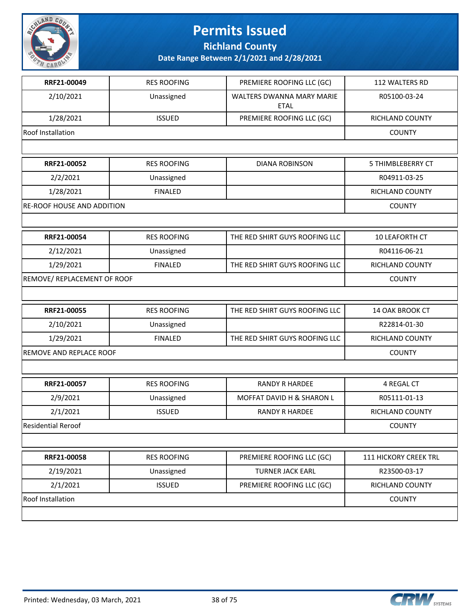

**Richland County**

| RRF21-00049                       | <b>RES ROOFING</b> | PREMIERE ROOFING LLC (GC)                       | 112 WALTERS RD           |
|-----------------------------------|--------------------|-------------------------------------------------|--------------------------|
| 2/10/2021                         | Unassigned         | <b>WALTERS DWANNA MARY MARIE</b><br><b>ETAL</b> | R05100-03-24             |
| 1/28/2021                         | <b>ISSUED</b>      | PREMIERE ROOFING LLC (GC)                       | RICHLAND COUNTY          |
| <b>Roof Installation</b>          |                    |                                                 | <b>COUNTY</b>            |
|                                   |                    |                                                 |                          |
| RRF21-00052                       | <b>RES ROOFING</b> | <b>DIANA ROBINSON</b>                           | <b>5 THIMBLEBERRY CT</b> |
| 2/2/2021                          | Unassigned         |                                                 | R04911-03-25             |
| 1/28/2021                         | <b>FINALED</b>     |                                                 | RICHLAND COUNTY          |
| <b>RE-ROOF HOUSE AND ADDITION</b> |                    |                                                 | <b>COUNTY</b>            |
|                                   |                    |                                                 |                          |
| RRF21-00054                       | <b>RES ROOFING</b> | THE RED SHIRT GUYS ROOFING LLC                  | 10 LEAFORTH CT           |
| 2/12/2021                         | Unassigned         |                                                 | R04116-06-21             |
| 1/29/2021                         | <b>FINALED</b>     | THE RED SHIRT GUYS ROOFING LLC                  | RICHLAND COUNTY          |
| REMOVE/ REPLACEMENT OF ROOF       |                    |                                                 | <b>COUNTY</b>            |
|                                   |                    |                                                 |                          |
| RRF21-00055                       | <b>RES ROOFING</b> | THE RED SHIRT GUYS ROOFING LLC                  | 14 OAK BROOK CT          |
| 2/10/2021                         | Unassigned         |                                                 | R22814-01-30             |
| 1/29/2021                         | <b>FINALED</b>     | THE RED SHIRT GUYS ROOFING LLC                  | RICHLAND COUNTY          |
| <b>REMOVE AND REPLACE ROOF</b>    |                    |                                                 | <b>COUNTY</b>            |
|                                   |                    |                                                 |                          |
| RRF21-00057                       | <b>RES ROOFING</b> | <b>RANDY R HARDEE</b>                           | 4 REGAL CT               |
| 2/9/2021                          | Unassigned         | MOFFAT DAVID H & SHARON L                       | R05111-01-13             |
| 2/1/2021                          | <b>ISSUED</b>      | <b>RANDY R HARDEE</b>                           | RICHLAND COUNTY          |
| <b>Residential Reroof</b>         |                    |                                                 | <b>COUNTY</b>            |
|                                   |                    |                                                 |                          |
| RRF21-00058                       | <b>RES ROOFING</b> | PREMIERE ROOFING LLC (GC)                       | 111 HICKORY CREEK TRL    |
| 2/19/2021                         | Unassigned         | <b>TURNER JACK EARL</b>                         | R23500-03-17             |
| 2/1/2021                          | <b>ISSUED</b>      | PREMIERE ROOFING LLC (GC)                       | RICHLAND COUNTY          |
| <b>Roof Installation</b>          |                    |                                                 | <b>COUNTY</b>            |
|                                   |                    |                                                 |                          |

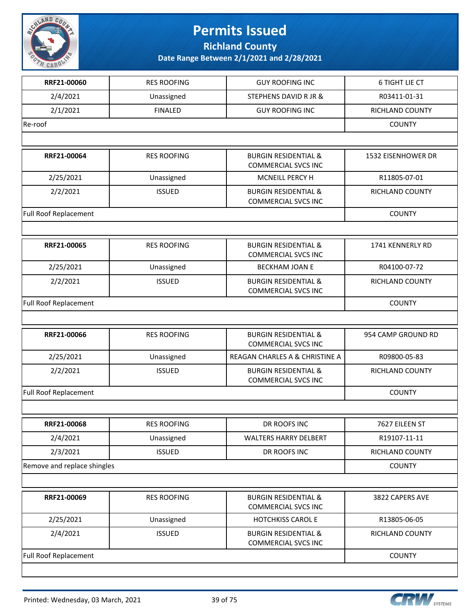

**Richland County**

| RRF21-00060                 | <b>RES ROOFING</b> | <b>GUY ROOFING INC</b>                                        | 6 TIGHT LIE CT         |
|-----------------------------|--------------------|---------------------------------------------------------------|------------------------|
| 2/4/2021                    | Unassigned         | STEPHENS DAVID R JR &                                         | R03411-01-31           |
| 2/1/2021                    | <b>FINALED</b>     | <b>GUY ROOFING INC</b>                                        | RICHLAND COUNTY        |
| Re-roof                     |                    |                                                               | <b>COUNTY</b>          |
|                             |                    |                                                               |                        |
| RRF21-00064                 | <b>RES ROOFING</b> | <b>BURGIN RESIDENTIAL &amp;</b><br><b>COMMERCIAL SVCS INC</b> | 1532 EISENHOWER DR     |
| 2/25/2021                   | Unassigned         | MCNEILL PERCY H                                               | R11805-07-01           |
| 2/2/2021                    | <b>ISSUED</b>      | <b>BURGIN RESIDENTIAL &amp;</b><br><b>COMMERCIAL SVCS INC</b> | RICHLAND COUNTY        |
| Full Roof Replacement       |                    |                                                               | <b>COUNTY</b>          |
|                             |                    |                                                               |                        |
| RRF21-00065                 | <b>RES ROOFING</b> | <b>BURGIN RESIDENTIAL &amp;</b><br><b>COMMERCIAL SVCS INC</b> | 1741 KENNERLY RD       |
| 2/25/2021                   | Unassigned         | <b>BECKHAM JOAN E</b>                                         | R04100-07-72           |
| 2/2/2021                    | <b>ISSUED</b>      | <b>BURGIN RESIDENTIAL &amp;</b><br><b>COMMERCIAL SVCS INC</b> | RICHLAND COUNTY        |
| Full Roof Replacement       |                    |                                                               | <b>COUNTY</b>          |
|                             |                    |                                                               |                        |
| RRF21-00066                 | <b>RES ROOFING</b> | <b>BURGIN RESIDENTIAL &amp;</b><br><b>COMMERCIAL SVCS INC</b> | 954 CAMP GROUND RD     |
| 2/25/2021                   | Unassigned         | REAGAN CHARLES A & CHRISTINE A                                | R09800-05-83           |
| 2/2/2021                    | <b>ISSUED</b>      | <b>BURGIN RESIDENTIAL &amp;</b><br><b>COMMERCIAL SVCS INC</b> | RICHLAND COUNTY        |
| Full Roof Replacement       |                    |                                                               | <b>COUNTY</b>          |
|                             |                    |                                                               |                        |
| RRF21-00068                 | <b>RES ROOFING</b> | DR ROOFS INC                                                  | 7627 EILEEN ST         |
| 2/4/2021                    | Unassigned         | <b>WALTERS HARRY DELBERT</b>                                  | R19107-11-11           |
| 2/3/2021                    | <b>ISSUED</b>      | DR ROOFS INC                                                  | <b>RICHLAND COUNTY</b> |
| Remove and replace shingles |                    |                                                               | <b>COUNTY</b>          |
|                             |                    |                                                               |                        |
| RRF21-00069                 | <b>RES ROOFING</b> | <b>BURGIN RESIDENTIAL &amp;</b><br><b>COMMERCIAL SVCS INC</b> | 3822 CAPERS AVE        |
| 2/25/2021                   | Unassigned         | <b>HOTCHKISS CAROL E</b>                                      | R13805-06-05           |
| 2/4/2021                    | <b>ISSUED</b>      | <b>BURGIN RESIDENTIAL &amp;</b><br><b>COMMERCIAL SVCS INC</b> | RICHLAND COUNTY        |
| Full Roof Replacement       |                    |                                                               | <b>COUNTY</b>          |
|                             |                    |                                                               |                        |

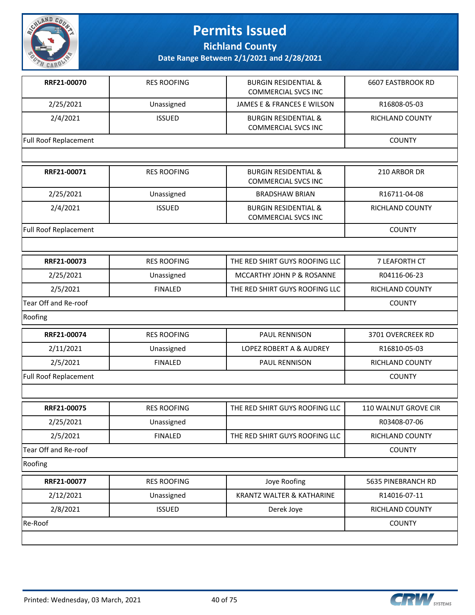

**Richland County**

| RRF21-00070           | <b>RES ROOFING</b> | <b>BURGIN RESIDENTIAL &amp;</b><br><b>COMMERCIAL SVCS INC</b> | <b>6607 EASTBROOK RD</b> |
|-----------------------|--------------------|---------------------------------------------------------------|--------------------------|
| 2/25/2021             | Unassigned         | JAMES E & FRANCES E WILSON                                    | R16808-05-03             |
| 2/4/2021              | <b>ISSUED</b>      | <b>BURGIN RESIDENTIAL &amp;</b><br><b>COMMERCIAL SVCS INC</b> | <b>RICHLAND COUNTY</b>   |
| Full Roof Replacement |                    |                                                               | <b>COUNTY</b>            |
|                       |                    |                                                               |                          |
| RRF21-00071           | <b>RES ROOFING</b> | <b>BURGIN RESIDENTIAL &amp;</b><br><b>COMMERCIAL SVCS INC</b> | 210 ARBOR DR             |
| 2/25/2021             | Unassigned         | <b>BRADSHAW BRIAN</b>                                         | R16711-04-08             |
| 2/4/2021              | <b>ISSUED</b>      | <b>BURGIN RESIDENTIAL &amp;</b><br><b>COMMERCIAL SVCS INC</b> | RICHLAND COUNTY          |
| Full Roof Replacement |                    |                                                               | <b>COUNTY</b>            |
|                       |                    |                                                               |                          |
| RRF21-00073           | <b>RES ROOFING</b> | THE RED SHIRT GUYS ROOFING LLC                                | 7 LEAFORTH CT            |
| 2/25/2021             | Unassigned         | MCCARTHY JOHN P & ROSANNE                                     | R04116-06-23             |
| 2/5/2021              | <b>FINALED</b>     | THE RED SHIRT GUYS ROOFING LLC                                | RICHLAND COUNTY          |
| Tear Off and Re-roof  |                    |                                                               | <b>COUNTY</b>            |
| Roofing               |                    |                                                               |                          |
| RRF21-00074           | <b>RES ROOFING</b> | PAUL RENNISON                                                 | 3701 OVERCREEK RD        |
| 2/11/2021             | Unassigned         | LOPEZ ROBERT A & AUDREY                                       | R16810-05-03             |
| 2/5/2021              | <b>FINALED</b>     | PAUL RENNISON                                                 | RICHLAND COUNTY          |
| Full Roof Replacement |                    |                                                               | <b>COUNTY</b>            |
|                       |                    |                                                               |                          |
| RRF21-00075           | <b>RES ROOFING</b> | THE RED SHIRT GUYS ROOFING LLC                                | 110 WALNUT GROVE CIR     |
| 2/25/2021             | Unassigned         |                                                               | R03408-07-06             |
| 2/5/2021              | <b>FINALED</b>     | THE RED SHIRT GUYS ROOFING LLC                                | <b>RICHLAND COUNTY</b>   |
| Tear Off and Re-roof  |                    |                                                               | <b>COUNTY</b>            |
| Roofing               |                    |                                                               |                          |
| RRF21-00077           | <b>RES ROOFING</b> | Joye Roofing                                                  | 5635 PINEBRANCH RD       |
| 2/12/2021             | Unassigned         | <b>KRANTZ WALTER &amp; KATHARINE</b>                          | R14016-07-11             |
| 2/8/2021              | <b>ISSUED</b>      | Derek Joye                                                    | RICHLAND COUNTY          |
| Re-Roof               |                    |                                                               | <b>COUNTY</b>            |
|                       |                    |                                                               |                          |

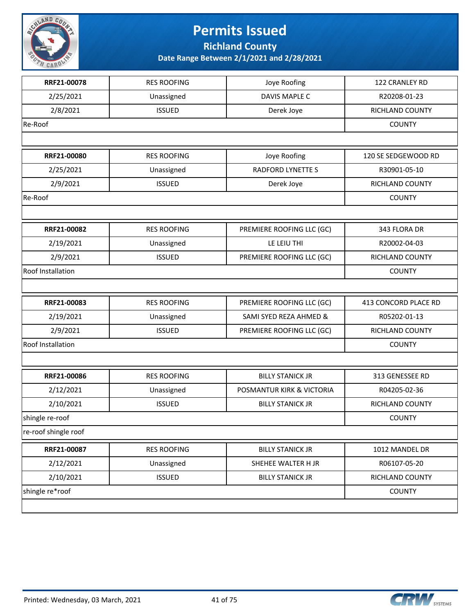

#### **Permits Issued Richland County**

| RRF21-00078              | <b>RES ROOFING</b> | Joye Roofing              | 122 CRANLEY RD         |
|--------------------------|--------------------|---------------------------|------------------------|
| 2/25/2021                | Unassigned         | DAVIS MAPLE C             | R20208-01-23           |
| 2/8/2021                 | <b>ISSUED</b>      | Derek Joye                | RICHLAND COUNTY        |
| Re-Roof                  |                    |                           | <b>COUNTY</b>          |
|                          |                    |                           |                        |
| RRF21-00080              | <b>RES ROOFING</b> | Joye Roofing              | 120 SE SEDGEWOOD RD    |
| 2/25/2021                | Unassigned         | <b>RADFORD LYNETTE S</b>  | R30901-05-10           |
| 2/9/2021                 | <b>ISSUED</b>      | Derek Joye                | RICHLAND COUNTY        |
| Re-Roof                  |                    |                           | <b>COUNTY</b>          |
|                          |                    |                           |                        |
| RRF21-00082              | <b>RES ROOFING</b> | PREMIERE ROOFING LLC (GC) | 343 FLORA DR           |
| 2/19/2021                | Unassigned         | LE LEIU THI               | R20002-04-03           |
| 2/9/2021                 | <b>ISSUED</b>      | PREMIERE ROOFING LLC (GC) | RICHLAND COUNTY        |
| <b>Roof Installation</b> |                    |                           | <b>COUNTY</b>          |
|                          |                    |                           |                        |
| RRF21-00083              | <b>RES ROOFING</b> | PREMIERE ROOFING LLC (GC) | 413 CONCORD PLACE RD   |
| 2/19/2021                | Unassigned         | SAMI SYED REZA AHMED &    | R05202-01-13           |
| 2/9/2021                 | <b>ISSUED</b>      | PREMIERE ROOFING LLC (GC) | RICHLAND COUNTY        |
| Roof Installation        |                    |                           | <b>COUNTY</b>          |
|                          |                    |                           |                        |
| RRF21-00086              | <b>RES ROOFING</b> | <b>BILLY STANICK JR</b>   | 313 GENESSEE RD        |
| 2/12/2021                | Unassigned         | POSMANTUR KIRK & VICTORIA | R04205-02-36           |
| 2/10/2021                | <b>ISSUED</b>      | <b>BILLY STANICK JR</b>   | <b>RICHLAND COUNTY</b> |
| shingle re-roof          |                    |                           | <b>COUNTY</b>          |
| re-roof shingle roof     |                    |                           |                        |
| RRF21-00087              | <b>RES ROOFING</b> | <b>BILLY STANICK JR</b>   | 1012 MANDEL DR         |
| 2/12/2021                | Unassigned         | SHEHEE WALTER H JR        | R06107-05-20           |
| 2/10/2021                | <b>ISSUED</b>      | <b>BILLY STANICK JR</b>   | RICHLAND COUNTY        |
| shingle re*roof          |                    |                           | <b>COUNTY</b>          |
|                          |                    |                           |                        |

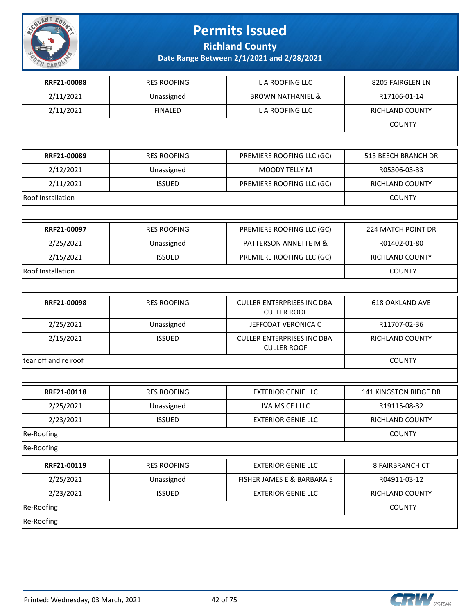

**Richland County**

| RRF21-00088          | <b>RES ROOFING</b> | L A ROOFING LLC                                         | 8205 FAIRGLEN LN       |
|----------------------|--------------------|---------------------------------------------------------|------------------------|
| 2/11/2021            | Unassigned         | <b>BROWN NATHANIEL &amp;</b>                            | R17106-01-14           |
| 2/11/2021            | <b>FINALED</b>     | L A ROOFING LLC                                         | RICHLAND COUNTY        |
|                      |                    |                                                         | <b>COUNTY</b>          |
|                      |                    |                                                         |                        |
| RRF21-00089          | <b>RES ROOFING</b> | PREMIERE ROOFING LLC (GC)                               | 513 BEECH BRANCH DR    |
| 2/12/2021            | Unassigned         | MOODY TELLY M                                           | R05306-03-33           |
| 2/11/2021            | <b>ISSUED</b>      | PREMIERE ROOFING LLC (GC)                               | RICHLAND COUNTY        |
| Roof Installation    |                    |                                                         | <b>COUNTY</b>          |
|                      |                    |                                                         |                        |
| RRF21-00097          | <b>RES ROOFING</b> | PREMIERE ROOFING LLC (GC)                               | 224 MATCH POINT DR     |
| 2/25/2021            | Unassigned         | PATTERSON ANNETTE M &                                   | R01402-01-80           |
| 2/15/2021            | <b>ISSUED</b>      | PREMIERE ROOFING LLC (GC)                               | RICHLAND COUNTY        |
| Roof Installation    |                    |                                                         | <b>COUNTY</b>          |
|                      |                    |                                                         |                        |
| RRF21-00098          | <b>RES ROOFING</b> | <b>CULLER ENTERPRISES INC DBA</b><br><b>CULLER ROOF</b> | <b>618 OAKLAND AVE</b> |
| 2/25/2021            | Unassigned         | JEFFCOAT VERONICA C                                     | R11707-02-36           |
| 2/15/2021            | <b>ISSUED</b>      | <b>CULLER ENTERPRISES INC DBA</b><br><b>CULLER ROOF</b> | RICHLAND COUNTY        |
| tear off and re roof |                    |                                                         | <b>COUNTY</b>          |
|                      |                    |                                                         |                        |
| RRF21-00118          | <b>RES ROOFING</b> | <b>EXTERIOR GENIE LLC</b>                               | 141 KINGSTON RIDGE DR  |
| 2/25/2021            | Unassigned         | JVA MS CF I LLC                                         | R19115-08-32           |
| 2/23/2021            | <b>ISSUED</b>      | <b>EXTERIOR GENIE LLC</b>                               | RICHLAND COUNTY        |
| Re-Roofing           |                    |                                                         | <b>COUNTY</b>          |
| Re-Roofing           |                    |                                                         |                        |
| RRF21-00119          | <b>RES ROOFING</b> | <b>EXTERIOR GENIE LLC</b>                               | 8 FAIRBRANCH CT        |
| 2/25/2021            | Unassigned         | FISHER JAMES E & BARBARA S                              | R04911-03-12           |
| 2/23/2021            | <b>ISSUED</b>      | <b>EXTERIOR GENIE LLC</b>                               | RICHLAND COUNTY        |
| Re-Roofing           |                    |                                                         | <b>COUNTY</b>          |
| Re-Roofing           |                    |                                                         |                        |

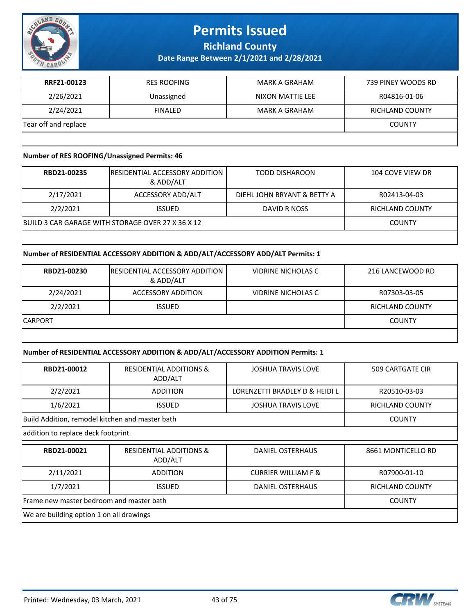

#### **Permits Issued Richland County**

**Date Range Between 2/1/2021 and 2/28/2021**

| RRF21-00123          | <b>RES ROOFING</b> | MARK A GRAHAM    | 739 PINEY WOODS RD |
|----------------------|--------------------|------------------|--------------------|
| 2/26/2021            | Unassigned         | NIXON MATTIE LEE | R04816-01-06       |
| 2/24/2021            | <b>FINALED</b>     | MARK A GRAHAM    | RICHLAND COUNTY    |
| Tear off and replace | <b>COUNTY</b>      |                  |                    |
|                      |                    |                  |                    |

#### **Number of RES ROOFING/Unassigned Permits: 46**

| RBD21-00235 | <b>IRESIDENTIAL ACCESSORY ADDITION</b><br>& ADD/ALT | TODD DISHAROON              | 104 COVE VIEW DR       |
|-------------|-----------------------------------------------------|-----------------------------|------------------------|
| 2/17/2021   | ACCESSORY ADD/ALT                                   | DIEHL JOHN BRYANT & BETTY A | R02413-04-03           |
| 2/2/2021    | <b>ISSUED</b>                                       | DAVID R NOSS                | <b>RICHLAND COUNTY</b> |
|             | BUILD 3 CAR GARAGE WITH STORAGE OVER 27 X 36 X 12   |                             | <b>COUNTY</b>          |
|             |                                                     |                             |                        |

#### **Number of RESIDENTIAL ACCESSORY ADDITION & ADD/ALT/ACCESSORY ADD/ALT Permits: 1**

| RBD21-00230 | <b>IRESIDENTIAL ACCESSORY ADDITION</b><br>& ADD/ALT | VIDRINE NICHOLAS C | 216 LANCEWOOD RD |
|-------------|-----------------------------------------------------|--------------------|------------------|
| 2/24/2021   | ACCESSORY ADDITION                                  | VIDRINE NICHOLAS C | R07303-03-05     |
| 2/2/2021    | <b>ISSUED</b>                                       |                    | RICHLAND COUNTY  |
| ICARPORT    |                                                     |                    | <b>COUNTY</b>    |
|             |                                                     |                    |                  |

#### **Number of RESIDENTIAL ACCESSORY ADDITION & ADD/ALT/ACCESSORY ADDITION Permits: 1**

| RBD21-00012                              | <b>RESIDENTIAL ADDITIONS &amp;</b><br>ADD/ALT   | <b>JOSHUA TRAVIS LOVE</b>      | <b>509 CARTGATE CIR</b> |  |  |
|------------------------------------------|-------------------------------------------------|--------------------------------|-------------------------|--|--|
| 2/2/2021                                 | <b>ADDITION</b>                                 | LORENZETTI BRADLEY D & HEIDI L | R20510-03-03            |  |  |
| 1/6/2021                                 | <b>ISSUED</b>                                   | <b>JOSHUA TRAVIS LOVE</b>      | <b>RICHLAND COUNTY</b>  |  |  |
|                                          | Build Addition, remodel kitchen and master bath |                                |                         |  |  |
| addition to replace deck footprint       |                                                 |                                |                         |  |  |
| RBD21-00021                              | <b>RESIDENTIAL ADDITIONS &amp;</b><br>ADD/ALT   | DANIEL OSTERHAUS               | 8661 MONTICELLO RD      |  |  |
| 2/11/2021                                | <b>ADDITION</b>                                 | <b>CURRIER WILLIAM F &amp;</b> | R07900-01-10            |  |  |
| 1/7/2021                                 | <b>ISSUED</b>                                   | <b>DANIEL OSTERHAUS</b>        | <b>RICHLAND COUNTY</b>  |  |  |
| Frame new master bedroom and master bath | <b>COUNTY</b>                                   |                                |                         |  |  |
| We are building option 1 on all drawings |                                                 |                                |                         |  |  |



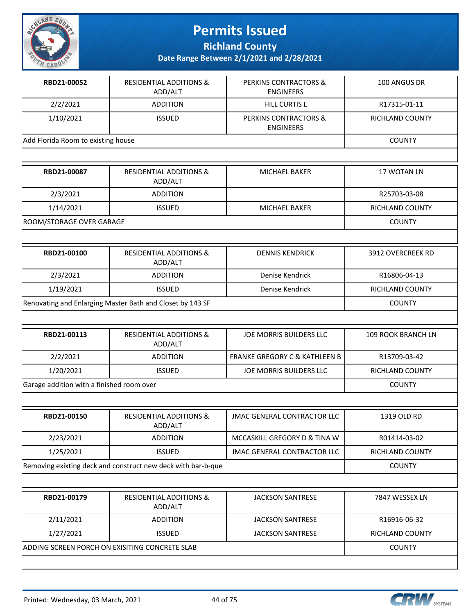

**Richland County**

| RBD21-00052                                               | <b>RESIDENTIAL ADDITIONS &amp;</b><br>ADD/ALT                | <b>PERKINS CONTRACTORS &amp;</b><br><b>ENGINEERS</b> | 100 ANGUS DR       |
|-----------------------------------------------------------|--------------------------------------------------------------|------------------------------------------------------|--------------------|
| 2/2/2021                                                  | <b>ADDITION</b>                                              | <b>HILL CURTIS L</b>                                 | R17315-01-11       |
| 1/10/2021                                                 | <b>ISSUED</b>                                                | PERKINS CONTRACTORS &<br><b>ENGINEERS</b>            | RICHLAND COUNTY    |
| Add Florida Room to existing house                        |                                                              |                                                      | <b>COUNTY</b>      |
|                                                           |                                                              |                                                      |                    |
| RBD21-00087                                               | <b>RESIDENTIAL ADDITIONS &amp;</b><br>ADD/ALT                | <b>MICHAEL BAKER</b>                                 | 17 WOTAN LN        |
| 2/3/2021                                                  | <b>ADDITION</b>                                              |                                                      | R25703-03-08       |
| 1/14/2021                                                 | <b>ISSUED</b>                                                | MICHAEL BAKER                                        | RICHLAND COUNTY    |
| ROOM/STORAGE OVER GARAGE                                  |                                                              |                                                      | <b>COUNTY</b>      |
|                                                           |                                                              |                                                      |                    |
| RBD21-00100                                               | <b>RESIDENTIAL ADDITIONS &amp;</b><br>ADD/ALT                | <b>DENNIS KENDRICK</b>                               | 3912 OVERCREEK RD  |
| 2/3/2021                                                  | <b>ADDITION</b>                                              | Denise Kendrick                                      | R16806-04-13       |
| 1/19/2021                                                 | <b>ISSUED</b>                                                | Denise Kendrick                                      | RICHLAND COUNTY    |
| Renovating and Enlarging Master Bath and Closet by 143 SF | <b>COUNTY</b>                                                |                                                      |                    |
|                                                           |                                                              |                                                      |                    |
| RBD21-00113                                               | <b>RESIDENTIAL ADDITIONS &amp;</b><br>ADD/ALT                | JOE MORRIS BUILDERS LLC                              | 109 ROOK BRANCH LN |
| 2/2/2021                                                  | <b>ADDITION</b>                                              | <b>FRANKE GREGORY C &amp; KATHLEEN B</b>             | R13709-03-42       |
| 1/20/2021                                                 | <b>ISSUED</b>                                                | JOE MORRIS BUILDERS LLC                              | RICHLAND COUNTY    |
| Garage addition with a finished room over                 |                                                              |                                                      | <b>COUNTY</b>      |
|                                                           |                                                              |                                                      |                    |
| RBD21-00150                                               | <b>RESIDENTIAL ADDITIONS &amp;</b><br>ADD/ALT                | <b>JMAC GENERAL CONTRACTOR LLC</b>                   | 1319 OLD RD        |
| 2/23/2021                                                 | <b>ADDITION</b>                                              | MCCASKILL GREGORY D & TINA W                         | R01414-03-02       |
| 1/25/2021                                                 | <b>ISSUED</b>                                                | <b>JMAC GENERAL CONTRACTOR LLC</b>                   | RICHLAND COUNTY    |
|                                                           | Removing exixting deck and construct new deck with bar-b-que |                                                      | <b>COUNTY</b>      |
|                                                           |                                                              |                                                      |                    |
| RBD21-00179                                               | <b>RESIDENTIAL ADDITIONS &amp;</b><br>ADD/ALT                | <b>JACKSON SANTRESE</b>                              | 7847 WESSEX LN     |
| 2/11/2021                                                 | <b>ADDITION</b>                                              | <b>JACKSON SANTRESE</b>                              | R16916-06-32       |
| 1/27/2021                                                 | <b>ISSUED</b>                                                | <b>JACKSON SANTRESE</b>                              | RICHLAND COUNTY    |
|                                                           | ADDING SCREEN PORCH ON EXISITING CONCRETE SLAB               |                                                      | <b>COUNTY</b>      |

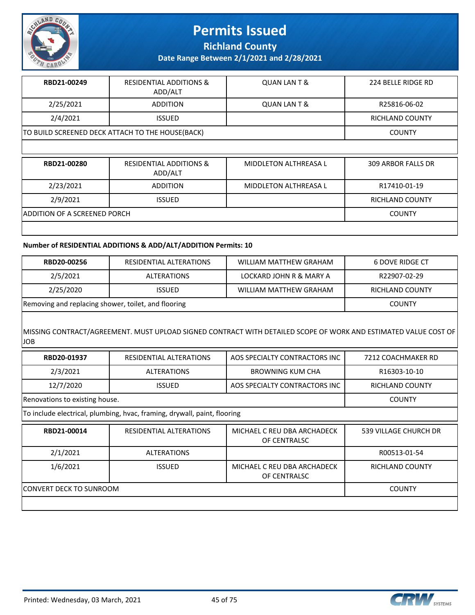

**Richland County**

**Date Range Between 2/1/2021 and 2/28/2021**

| RBD21-00249                                      | <b>RESIDENTIAL ADDITIONS &amp;</b><br>ADD/ALT | QUAN LAN T & | 224 BELLE RIDGE RD |
|--------------------------------------------------|-----------------------------------------------|--------------|--------------------|
| 2/25/2021                                        | <b>ADDITION</b>                               | QUAN LAN T & | R25816-06-02       |
| 2/4/2021                                         | <b>ISSUED</b>                                 |              | RICHLAND COUNTY    |
| TO BUILD SCREENED DECK ATTACH TO THE HOUSE(BACK) |                                               |              | <b>COUNTY</b>      |

| RBD21-00280                         | <b>RESIDENTIAL ADDITIONS &amp;</b><br>ADD/ALT | MIDDLETON ALTHREASA L | 309 ARBOR FALLS DR |
|-------------------------------------|-----------------------------------------------|-----------------------|--------------------|
| 2/23/2021                           | <b>ADDITION</b>                               | MIDDLETON ALTHREASA L | R17410-01-19       |
| 2/9/2021                            | <b>ISSUED</b>                                 |                       | RICHLAND COUNTY    |
| <b>ADDITION OF A SCREENED PORCH</b> |                                               |                       | <b>COUNTY</b>      |
|                                     |                                               |                       |                    |

#### **Number of RESIDENTIAL ADDITIONS & ADD/ALT/ADDITION Permits: 10**

| RBD20-00256                                         | RESIDENTIAL ALTERATIONS | WILLIAM MATTHEW GRAHAM  | 6 DOVE RIDGE CT |
|-----------------------------------------------------|-------------------------|-------------------------|-----------------|
| 2/5/2021                                            | <b>ALTERATIONS</b>      | LOCKARD JOHN R & MARY A | R22907-02-29    |
| 2/25/2020                                           | <b>ISSUED</b>           | WILLIAM MATTHEW GRAHAM  | RICHLAND COUNTY |
| Removing and replacing shower, toilet, and flooring |                         |                         | COUNTY          |

#### MISSING CONTRACT/AGREEMENT. MUST UPLOAD SIGNED CONTRACT WITH DETAILED SCOPE OF WORK AND ESTIMATED VALUE COST OF JOB

| RBD20-01937                    | RESIDENTIAL ALTERATIONS                                                  | AOS SPECIALTY CONTRACTORS INC               | 7212 COACHMAKER RD     |
|--------------------------------|--------------------------------------------------------------------------|---------------------------------------------|------------------------|
| 2/3/2021                       | <b>ALTERATIONS</b>                                                       | BROWNING KUM CHA                            | R16303-10-10           |
| 12/7/2020                      | <b>ISSUED</b>                                                            | AOS SPECIALTY CONTRACTORS INC               | <b>RICHLAND COUNTY</b> |
| Renovations to existing house. |                                                                          |                                             | <b>COUNTY</b>          |
|                                | To include electrical, plumbing, hvac, framing, drywall, paint, flooring |                                             |                        |
| RBD21-00014                    | RESIDENTIAL ALTERATIONS                                                  | MICHAEL C REU DBA ARCHADECK<br>OF CENTRALSC | 539 VILLAGE CHURCH DR  |
| 2/1/2021                       | <b>ALTERATIONS</b>                                                       |                                             | R00513-01-54           |
| 1/6/2021                       | <b>ISSUED</b>                                                            | MICHAEL C REU DBA ARCHADECK<br>OF CENTRALSC | <b>RICHLAND COUNTY</b> |
| CONVERT DECK TO SUNROOM        |                                                                          |                                             | <b>COUNTY</b>          |
|                                |                                                                          |                                             |                        |



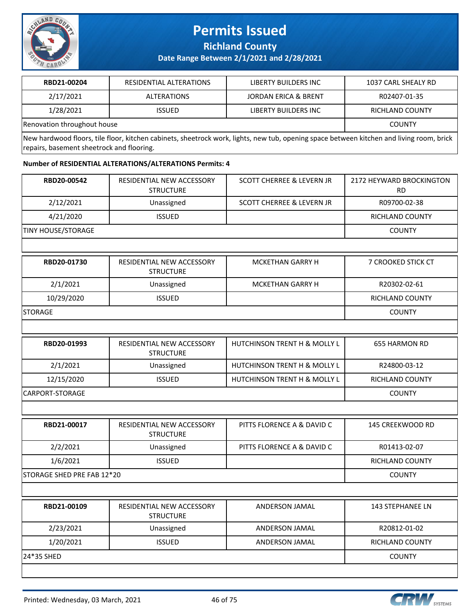

**Richland County**

**Date Range Between 2/1/2021 and 2/28/2021**

| RBD21-00204                 | RESIDENTIAL ALTERATIONS | LIBERTY BUILDERS INC            | 1037 CARL SHEALY RD |
|-----------------------------|-------------------------|---------------------------------|---------------------|
| 2/17/2021                   | ALTERATIONS             | <b>JORDAN ERICA &amp; BRENT</b> | R02407-01-35        |
| 1/28/2021                   | <b>ISSUED</b>           | LIBERTY BUILDERS INC            | RICHLAND COUNTY     |
| Renovation throughout house |                         |                                 | <b>COUNTY</b>       |

New hardwood floors, tile floor, kitchen cabinets, sheetrock work, lights, new tub, opening space between kitchen and living room, brick repairs, basement sheetrock and flooring.

#### **Number of RESIDENTIAL ALTERATIONS/ALTERATIONS Permits: 4**

| RBD20-00542                | RESIDENTIAL NEW ACCESSORY<br><b>STRUCTURE</b> | <b>SCOTT CHERREE &amp; LEVERN JR</b>    | 2172 HEYWARD BROCKINGTON<br><b>RD</b> |
|----------------------------|-----------------------------------------------|-----------------------------------------|---------------------------------------|
| 2/12/2021                  | Unassigned                                    | <b>SCOTT CHERREE &amp; LEVERN JR</b>    | R09700-02-38                          |
| 4/21/2020                  | <b>ISSUED</b>                                 |                                         | RICHLAND COUNTY                       |
| <b>TINY HOUSE/STORAGE</b>  |                                               |                                         | <b>COUNTY</b>                         |
|                            |                                               |                                         |                                       |
| RBD20-01730                | RESIDENTIAL NEW ACCESSORY<br><b>STRUCTURE</b> | <b>MCKETHAN GARRY H</b>                 | 7 CROOKED STICK CT                    |
| 2/1/2021                   | Unassigned                                    | <b>MCKETHAN GARRY H</b>                 | R20302-02-61                          |
| 10/29/2020                 | <b>ISSUED</b>                                 |                                         | RICHLAND COUNTY                       |
| <b>STORAGE</b>             |                                               |                                         | <b>COUNTY</b>                         |
|                            |                                               |                                         |                                       |
| RBD20-01993                | RESIDENTIAL NEW ACCESSORY<br><b>STRUCTURE</b> | <b>HUTCHINSON TRENT H &amp; MOLLY L</b> | <b>655 HARMON RD</b>                  |
| 2/1/2021                   | Unassigned                                    | HUTCHINSON TRENT H & MOLLY L            | R24800-03-12                          |
| 12/15/2020                 | <b>ISSUED</b>                                 | <b>HUTCHINSON TRENT H &amp; MOLLY L</b> | RICHLAND COUNTY                       |
| CARPORT-STORAGE            |                                               |                                         | <b>COUNTY</b>                         |
|                            |                                               |                                         |                                       |
| RBD21-00017                | RESIDENTIAL NEW ACCESSORY<br><b>STRUCTURE</b> | PITTS FLORENCE A & DAVID C              | 145 CREEKWOOD RD                      |
| 2/2/2021                   | Unassigned                                    | PITTS FLORENCE A & DAVID C              | R01413-02-07                          |
| 1/6/2021                   | <b>ISSUED</b>                                 |                                         | RICHLAND COUNTY                       |
| STORAGE SHED PRE FAB 12*20 |                                               |                                         | <b>COUNTY</b>                         |
|                            |                                               |                                         |                                       |
| RBD21-00109                | RESIDENTIAL NEW ACCESSORY<br><b>STRUCTURE</b> | <b>ANDERSON JAMAL</b>                   | <b>143 STEPHANEE LN</b>               |
| 2/23/2021                  | Unassigned                                    | ANDERSON JAMAL                          | R20812-01-02                          |
| 1/20/2021                  | <b>ISSUED</b>                                 | ANDERSON JAMAL                          | RICHLAND COUNTY                       |
| 24*35 SHED                 |                                               |                                         | <b>COUNTY</b>                         |
|                            |                                               |                                         |                                       |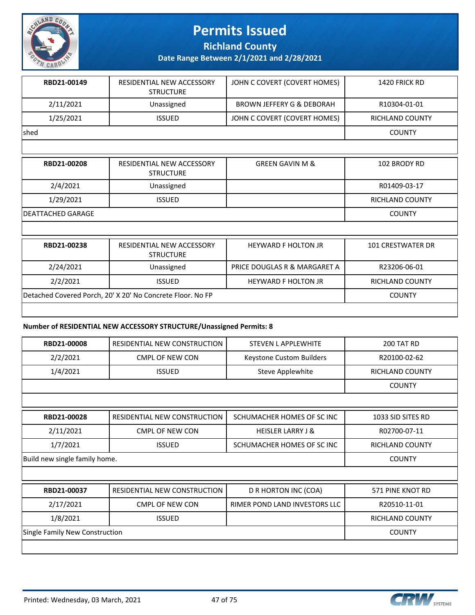

**Richland County**

**Date Range Between 2/1/2021 and 2/28/2021**

| RBD21-00149  | RESIDENTIAL NEW ACCESSORY<br><b>STRUCTURE</b> | JOHN C COVERT (COVERT HOMES) | 1420 FRICK RD   |
|--------------|-----------------------------------------------|------------------------------|-----------------|
| 2/11/2021    | Unassigned                                    | BROWN JEFFERY G & DEBORAH    | R10304-01-01    |
| 1/25/2021    | <b>ISSUED</b>                                 | JOHN C COVERT (COVERT HOMES) | RICHLAND COUNTY |
| <b>Ished</b> |                                               |                              | <b>COUNTY</b>   |
|              |                                               |                              |                 |

| RBD21-00208        | RESIDENTIAL NEW ACCESSORY<br><b>STRUCTURE</b>              | <b>GREEN GAVIN M &amp;</b>   | 102 BRODY RD             |
|--------------------|------------------------------------------------------------|------------------------------|--------------------------|
| 2/4/2021           | Unassigned                                                 |                              | R01409-03-17             |
| 1/29/2021          | <b>ISSUED</b>                                              |                              | <b>RICHLAND COUNTY</b>   |
| IDEATTACHED GARAGE |                                                            |                              | <b>COUNTY</b>            |
|                    |                                                            |                              |                          |
| RBD21-00238        | <b>RESIDENTIAL NEW ACCESSORY</b><br><b>STRUCTURE</b>       | <b>HEYWARD F HOLTON JR</b>   | <b>101 CRESTWATER DR</b> |
| 2/24/2021          | Unassigned                                                 | PRICE DOUGLAS R & MARGARET A | R23206-06-01             |
| 2/2/2021           | <b>ISSUED</b>                                              | <b>HEYWARD F HOLTON JR</b>   | <b>RICHLAND COUNTY</b>   |
|                    | Detached Covered Porch, 20' X 20' No Concrete Floor. No FP |                              | <b>COUNTY</b>            |

#### **Number of RESIDENTIAL NEW ACCESSORY STRUCTURE/Unassigned Permits: 8**

| RBD21-00008                    | RESIDENTIAL NEW CONSTRUCTION | <b>STEVEN L APPLEWHITE</b>    | <b>200 TAT RD</b>      |
|--------------------------------|------------------------------|-------------------------------|------------------------|
| 2/2/2021                       | <b>CMPL OF NEW CON</b>       | Keystone Custom Builders      | R20100-02-62           |
| 1/4/2021                       | <b>ISSUED</b>                | Steve Applewhite              | <b>RICHLAND COUNTY</b> |
|                                |                              |                               | <b>COUNTY</b>          |
|                                |                              |                               |                        |
| RBD21-00028                    | RESIDENTIAL NEW CONSTRUCTION | SCHUMACHER HOMES OF SC INC    | 1033 SID SITES RD      |
| 2/11/2021                      | CMPL OF NEW CON              | <b>HEISLER LARRY J &amp;</b>  | R02700-07-11           |
| 1/7/2021                       | <b>ISSUED</b>                | SCHUMACHER HOMES OF SC INC    | <b>RICHLAND COUNTY</b> |
| Build new single family home.  |                              |                               | <b>COUNTY</b>          |
|                                |                              |                               |                        |
| RBD21-00037                    | RESIDENTIAL NEW CONSTRUCTION | D R HORTON INC (COA)          | 571 PINE KNOT RD       |
| 2/17/2021                      | CMPL OF NEW CON              | RIMER POND LAND INVESTORS LLC | R20510-11-01           |
| 1/8/2021                       | <b>ISSUED</b>                |                               | <b>RICHLAND COUNTY</b> |
| Single Family New Construction |                              |                               | <b>COUNTY</b>          |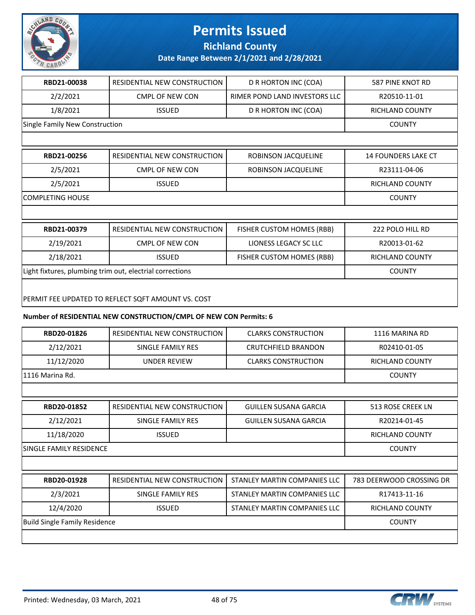

**Richland County**

**Date Range Between 2/1/2021 and 2/28/2021**

| RBD21-00038                    | RESIDENTIAL NEW CONSTRUCTION                             | D R HORTON INC (COA)          | 587 PINE KNOT RD           |
|--------------------------------|----------------------------------------------------------|-------------------------------|----------------------------|
| 2/2/2021                       | <b>CMPL OF NEW CON</b>                                   | RIMER POND LAND INVESTORS LLC | R20510-11-01               |
| 1/8/2021                       | <b>ISSUED</b>                                            | D R HORTON INC (COA)          | <b>RICHLAND COUNTY</b>     |
| Single Family New Construction |                                                          |                               | <b>COUNTY</b>              |
|                                |                                                          |                               |                            |
| RBD21-00256                    | RESIDENTIAL NEW CONSTRUCTION                             | ROBINSON JACQUELINE           | <b>14 FOUNDERS LAKE CT</b> |
| 2/5/2021                       | CMPL OF NEW CON                                          | ROBINSON JACQUELINE           | R23111-04-06               |
| 2/5/2021                       | <b>ISSUED</b>                                            |                               | <b>RICHLAND COUNTY</b>     |
| COMPLETING HOUSE               |                                                          |                               | <b>COUNTY</b>              |
|                                |                                                          |                               |                            |
| RBD21-00379                    | RESIDENTIAL NEW CONSTRUCTION                             | FISHER CUSTOM HOMES (RBB)     | 222 POLO HILL RD           |
| 2/19/2021                      | <b>CMPL OF NEW CON</b>                                   | LIONESS LEGACY SC LLC         | R20013-01-62               |
| 2/18/2021                      | <b>ISSUED</b>                                            | FISHER CUSTOM HOMES (RBB)     | <b>RICHLAND COUNTY</b>     |
|                                | Light fixtures, plumbing trim out, electrial corrections |                               | <b>COUNTY</b>              |
|                                | PERMIT FEE UPDATED TO REFLECT SQFT AMOUNT VS. COST       |                               |                            |

#### **Number of RESIDENTIAL NEW CONSTRUCTION/CMPL OF NEW CON Permits: 6**

| RBD20-01826                          | RESIDENTIAL NEW CONSTRUCTION | <b>CLARKS CONSTRUCTION</b>   | 1116 MARINA RD           |
|--------------------------------------|------------------------------|------------------------------|--------------------------|
| 2/12/2021                            | SINGLE FAMILY RES            | <b>CRUTCHFIELD BRANDON</b>   | R02410-01-05             |
| 11/12/2020                           | <b>UNDER REVIEW</b>          | <b>CLARKS CONSTRUCTION</b>   | <b>RICHLAND COUNTY</b>   |
| 1116 Marina Rd.                      |                              |                              | <b>COUNTY</b>            |
|                                      |                              |                              |                          |
| RBD20-01852                          | RESIDENTIAL NEW CONSTRUCTION | <b>GUILLEN SUSANA GARCIA</b> | 513 ROSE CREEK LN        |
| 2/12/2021                            | SINGLE FAMILY RES            | <b>GUILLEN SUSANA GARCIA</b> | R20214-01-45             |
| 11/18/2020                           | <b>ISSUED</b>                |                              | <b>RICHLAND COUNTY</b>   |
| SINGLE FAMILY RESIDENCE              |                              |                              | <b>COUNTY</b>            |
|                                      |                              |                              |                          |
| RBD20-01928                          | RESIDENTIAL NEW CONSTRUCTION | STANLEY MARTIN COMPANIES LLC | 783 DEERWOOD CROSSING DR |
| 2/3/2021                             | SINGLE FAMILY RES            | STANLEY MARTIN COMPANIES LLC | R17413-11-16             |
| 12/4/2020                            | <b>ISSUED</b>                | STANLEY MARTIN COMPANIES LLC | RICHLAND COUNTY          |
| <b>Build Single Family Residence</b> |                              |                              | <b>COUNTY</b>            |
|                                      |                              |                              |                          |

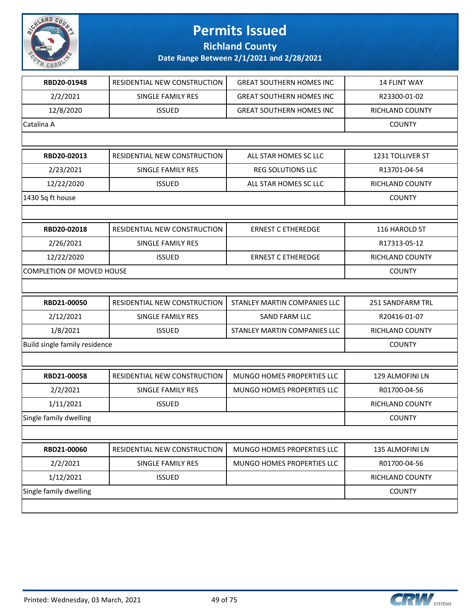

#### **Richland County**

| RBD20-01948                      | RESIDENTIAL NEW CONSTRUCTION | <b>GREAT SOUTHERN HOMES INC</b> | 14 FLINT WAY     |
|----------------------------------|------------------------------|---------------------------------|------------------|
| 2/2/2021                         | SINGLE FAMILY RES            | <b>GREAT SOUTHERN HOMES INC</b> | R23300-01-02     |
| 12/8/2020                        | <b>ISSUED</b>                | <b>GREAT SOUTHERN HOMES INC</b> | RICHLAND COUNTY  |
| Catalina A                       |                              |                                 | <b>COUNTY</b>    |
|                                  |                              |                                 |                  |
| RBD20-02013                      | RESIDENTIAL NEW CONSTRUCTION | ALL STAR HOMES SC LLC           | 1231 TOLLIVER ST |
| 2/23/2021                        | SINGLE FAMILY RES            | <b>REG SOLUTIONS LLC</b>        | R13701-04-54     |
| 12/22/2020                       | <b>ISSUED</b>                | ALL STAR HOMES SC LLC           | RICHLAND COUNTY  |
| 1430 Sq ft house                 |                              |                                 | <b>COUNTY</b>    |
|                                  |                              |                                 |                  |
| RBD20-02018                      | RESIDENTIAL NEW CONSTRUCTION | <b>ERNEST C ETHEREDGE</b>       | 116 HAROLD ST    |
| 2/26/2021                        | SINGLE FAMILY RES            |                                 | R17313-05-12     |
| 12/22/2020                       | <b>ISSUED</b>                | <b>ERNEST C ETHEREDGE</b>       | RICHLAND COUNTY  |
| <b>COMPLETION OF MOVED HOUSE</b> |                              |                                 | <b>COUNTY</b>    |
|                                  |                              |                                 |                  |
| RBD21-00050                      | RESIDENTIAL NEW CONSTRUCTION | STANLEY MARTIN COMPANIES LLC    | 251 SANDFARM TRL |
| 2/12/2021                        | SINGLE FAMILY RES            | SAND FARM LLC                   | R20416-01-07     |
| 1/8/2021                         | <b>ISSUED</b>                | STANLEY MARTIN COMPANIES LLC    | RICHLAND COUNTY  |
| Build single family residence    |                              |                                 | <b>COUNTY</b>    |
|                                  |                              |                                 |                  |
| RBD21-00058                      | RESIDENTIAL NEW CONSTRUCTION | MUNGO HOMES PROPERTIES LLC      | 129 ALMOFINI LN  |
| 2/2/2021                         | SINGLE FAMILY RES            | MUNGO HOMES PROPERTIES LLC      | R01700-04-56     |
| 1/11/2021                        | <b>ISSUED</b>                |                                 | RICHLAND COUNTY  |
| Single family dwelling           |                              |                                 | <b>COUNTY</b>    |
|                                  |                              |                                 |                  |
| RBD21-00060                      | RESIDENTIAL NEW CONSTRUCTION | MUNGO HOMES PROPERTIES LLC      | 135 ALMOFINI LN  |
|                                  |                              |                                 |                  |
| 2/2/2021                         | SINGLE FAMILY RES            | MUNGO HOMES PROPERTIES LLC      | R01700-04-56     |
| 1/12/2021                        | <b>ISSUED</b>                |                                 | RICHLAND COUNTY  |
| Single family dwelling           |                              |                                 | <b>COUNTY</b>    |

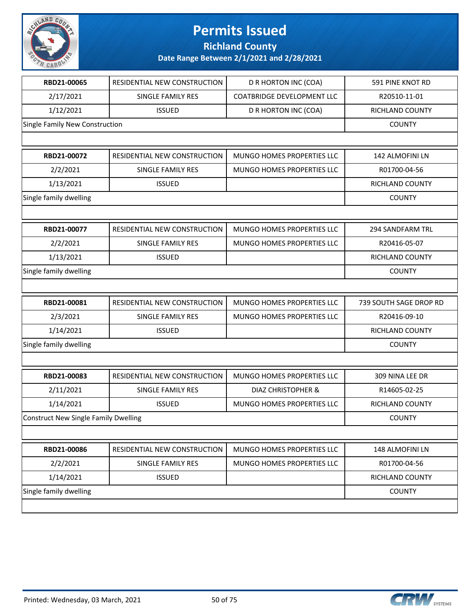

**Richland County**

| RESIDENTIAL NEW CONSTRUCTION                | D R HORTON INC (COA)              | 591 PINE KNOT RD       |
|---------------------------------------------|-----------------------------------|------------------------|
| SINGLE FAMILY RES                           | <b>COATBRIDGE DEVELOPMENT LLC</b> | R20510-11-01           |
| <b>ISSUED</b>                               | D R HORTON INC (COA)              | RICHLAND COUNTY        |
| Single Family New Construction              |                                   | <b>COUNTY</b>          |
|                                             |                                   |                        |
| RESIDENTIAL NEW CONSTRUCTION                | MUNGO HOMES PROPERTIES LLC        | 142 ALMOFINI LN        |
| SINGLE FAMILY RES                           | MUNGO HOMES PROPERTIES LLC        | R01700-04-56           |
| <b>ISSUED</b>                               |                                   | RICHLAND COUNTY        |
|                                             |                                   | <b>COUNTY</b>          |
|                                             |                                   |                        |
| RESIDENTIAL NEW CONSTRUCTION                | MUNGO HOMES PROPERTIES LLC        | 294 SANDFARM TRL       |
| SINGLE FAMILY RES                           | MUNGO HOMES PROPERTIES LLC        | R20416-05-07           |
| <b>ISSUED</b>                               |                                   | RICHLAND COUNTY        |
|                                             |                                   | <b>COUNTY</b>          |
|                                             |                                   |                        |
|                                             | MUNGO HOMES PROPERTIES LLC        |                        |
| RESIDENTIAL NEW CONSTRUCTION                |                                   | 739 SOUTH SAGE DROP RD |
| SINGLE FAMILY RES                           | MUNGO HOMES PROPERTIES LLC        | R20416-09-10           |
| <b>ISSUED</b>                               |                                   | RICHLAND COUNTY        |
|                                             |                                   | <b>COUNTY</b>          |
|                                             |                                   |                        |
| RESIDENTIAL NEW CONSTRUCTION                | MUNGO HOMES PROPERTIES LLC        | 309 NINA LEE DR        |
| SINGLE FAMILY RES                           | DIAZ CHRISTOPHER &                | R14605-02-25           |
| <b>ISSUED</b>                               | <b>MUNGO HOMES PROPERTIES LLC</b> | RICHLAND COUNTY        |
| <b>Construct New Single Family Dwelling</b> |                                   | <b>COUNTY</b>          |
|                                             |                                   |                        |
| RESIDENTIAL NEW CONSTRUCTION                | MUNGO HOMES PROPERTIES LLC        | 148 ALMOFINI LN        |
| SINGLE FAMILY RES                           | MUNGO HOMES PROPERTIES LLC        | R01700-04-56           |
| <b>ISSUED</b>                               |                                   | RICHLAND COUNTY        |
|                                             |                                   | <b>COUNTY</b>          |
|                                             |                                   |                        |

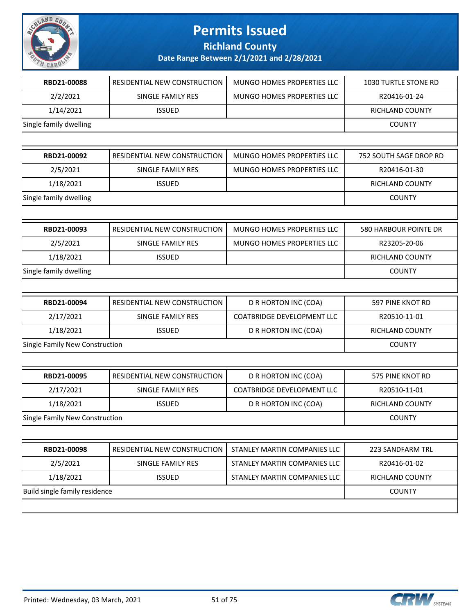

**Richland County**

| RBD21-00088                           | RESIDENTIAL NEW CONSTRUCTION | MUNGO HOMES PROPERTIES LLC        | 1030 TURTLE STONE RD   |
|---------------------------------------|------------------------------|-----------------------------------|------------------------|
| 2/2/2021                              | SINGLE FAMILY RES            | MUNGO HOMES PROPERTIES LLC        | R20416-01-24           |
| 1/14/2021                             | <b>ISSUED</b>                |                                   | RICHLAND COUNTY        |
| Single family dwelling                |                              |                                   | <b>COUNTY</b>          |
|                                       |                              |                                   |                        |
| RBD21-00092                           | RESIDENTIAL NEW CONSTRUCTION | MUNGO HOMES PROPERTIES LLC        | 752 SOUTH SAGE DROP RD |
| 2/5/2021                              | SINGLE FAMILY RES            | MUNGO HOMES PROPERTIES LLC        | R20416-01-30           |
| 1/18/2021                             | <b>ISSUED</b>                |                                   | <b>RICHLAND COUNTY</b> |
| Single family dwelling                |                              |                                   | <b>COUNTY</b>          |
|                                       |                              |                                   |                        |
| RBD21-00093                           | RESIDENTIAL NEW CONSTRUCTION | MUNGO HOMES PROPERTIES LLC        | 580 HARBOUR POINTE DR  |
| 2/5/2021                              | SINGLE FAMILY RES            | <b>MUNGO HOMES PROPERTIES LLC</b> | R23205-20-06           |
| 1/18/2021                             | <b>ISSUED</b>                |                                   | RICHLAND COUNTY        |
| Single family dwelling                |                              |                                   | <b>COUNTY</b>          |
|                                       |                              |                                   |                        |
| RBD21-00094                           | RESIDENTIAL NEW CONSTRUCTION | D R HORTON INC (COA)              | 597 PINE KNOT RD       |
| 2/17/2021                             | SINGLE FAMILY RES            | <b>COATBRIDGE DEVELOPMENT LLC</b> | R20510-11-01           |
| 1/18/2021                             | <b>ISSUED</b>                | D R HORTON INC (COA)              | RICHLAND COUNTY        |
| <b>Single Family New Construction</b> |                              |                                   | <b>COUNTY</b>          |
|                                       |                              |                                   |                        |
| RBD21-00095                           | RESIDENTIAL NEW CONSTRUCTION | D R HORTON INC (COA)              | 575 PINE KNOT RD       |
| 2/17/2021                             | SINGLE FAMILY RES            | <b>COATBRIDGE DEVELOPMENT LLC</b> | R20510-11-01           |
| 1/18/2021                             | <b>ISSUED</b>                | D R HORTON INC (COA)              | <b>RICHLAND COUNTY</b> |
| Single Family New Construction        |                              |                                   | <b>COUNTY</b>          |
|                                       |                              |                                   |                        |
| RBD21-00098                           | RESIDENTIAL NEW CONSTRUCTION | STANLEY MARTIN COMPANIES LLC      | 223 SANDFARM TRL       |
| 2/5/2021                              | SINGLE FAMILY RES            | STANLEY MARTIN COMPANIES LLC      | R20416-01-02           |
| 1/18/2021                             | <b>ISSUED</b>                | STANLEY MARTIN COMPANIES LLC      | RICHLAND COUNTY        |
| Build single family residence         |                              |                                   | <b>COUNTY</b>          |
|                                       |                              |                                   |                        |

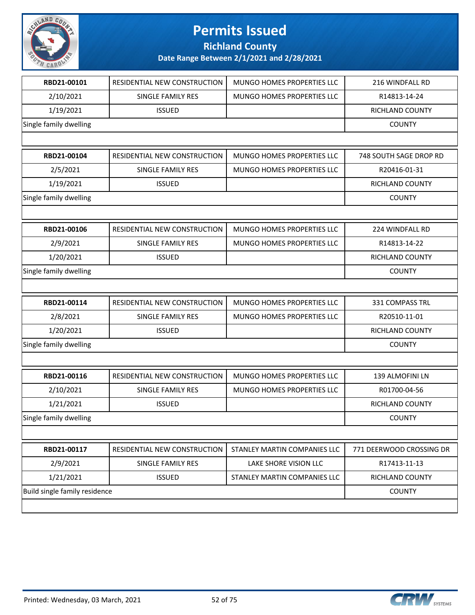

**Richland County**

| RESIDENTIAL NEW CONSTRUCTION  | MUNGO HOMES PROPERTIES LLC   | 216 WINDFALL RD          |
|-------------------------------|------------------------------|--------------------------|
| SINGLE FAMILY RES             | MUNGO HOMES PROPERTIES LLC   | R14813-14-24             |
| <b>ISSUED</b>                 |                              | <b>RICHLAND COUNTY</b>   |
|                               |                              | <b>COUNTY</b>            |
|                               |                              |                          |
| RESIDENTIAL NEW CONSTRUCTION  | MUNGO HOMES PROPERTIES LLC   | 748 SOUTH SAGE DROP RD   |
| SINGLE FAMILY RES             | MUNGO HOMES PROPERTIES LLC   | R20416-01-31             |
| <b>ISSUED</b>                 |                              | <b>RICHLAND COUNTY</b>   |
|                               |                              | <b>COUNTY</b>            |
|                               |                              |                          |
| RESIDENTIAL NEW CONSTRUCTION  | MUNGO HOMES PROPERTIES LLC   | 224 WINDFALL RD          |
| SINGLE FAMILY RES             | MUNGO HOMES PROPERTIES LLC   | R14813-14-22             |
| <b>ISSUED</b>                 |                              | <b>RICHLAND COUNTY</b>   |
|                               |                              | <b>COUNTY</b>            |
|                               |                              |                          |
| RESIDENTIAL NEW CONSTRUCTION  | MUNGO HOMES PROPERTIES LLC   | 331 COMPASS TRL          |
| SINGLE FAMILY RES             | MUNGO HOMES PROPERTIES LLC   | R20510-11-01             |
| <b>ISSUED</b>                 |                              | <b>RICHLAND COUNTY</b>   |
|                               |                              |                          |
|                               |                              | <b>COUNTY</b>            |
|                               |                              |                          |
| RESIDENTIAL NEW CONSTRUCTION  | MUNGO HOMES PROPERTIES LLC   | 139 ALMOFINI LN          |
| <b>SINGLE FAMILY RES</b>      | MUNGO HOMES PROPERTIES LLC   | R01700-04-56             |
| <b>ISSUED</b>                 |                              | <b>RICHLAND COUNTY</b>   |
|                               |                              | <b>COUNTY</b>            |
|                               |                              |                          |
| RESIDENTIAL NEW CONSTRUCTION  | STANLEY MARTIN COMPANIES LLC | 771 DEERWOOD CROSSING DR |
| SINGLE FAMILY RES             | LAKE SHORE VISION LLC        | R17413-11-13             |
| <b>ISSUED</b>                 | STANLEY MARTIN COMPANIES LLC | RICHLAND COUNTY          |
| Build single family residence |                              | <b>COUNTY</b>            |
|                               |                              |                          |

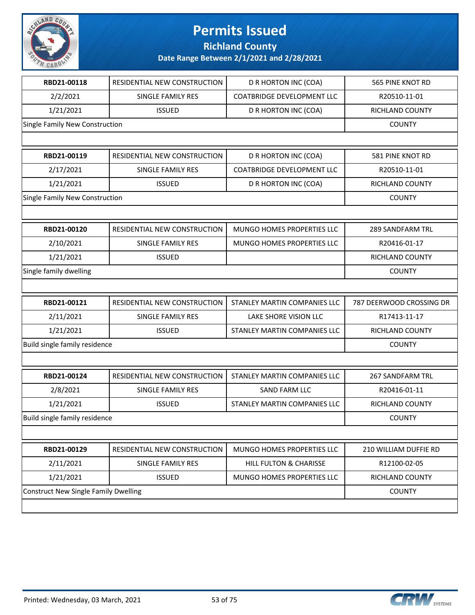

**Richland County**

| RBD21-00118                                 | RESIDENTIAL NEW CONSTRUCTION | D R HORTON INC (COA)              | 565 PINE KNOT RD         |
|---------------------------------------------|------------------------------|-----------------------------------|--------------------------|
| 2/2/2021                                    | SINGLE FAMILY RES            | <b>COATBRIDGE DEVELOPMENT LLC</b> | R20510-11-01             |
| 1/21/2021                                   | <b>ISSUED</b>                | D R HORTON INC (COA)              | RICHLAND COUNTY          |
| Single Family New Construction              |                              |                                   | <b>COUNTY</b>            |
|                                             |                              |                                   |                          |
| RBD21-00119                                 | RESIDENTIAL NEW CONSTRUCTION | D R HORTON INC (COA)              | 581 PINE KNOT RD         |
| 2/17/2021                                   | SINGLE FAMILY RES            | <b>COATBRIDGE DEVELOPMENT LLC</b> | R20510-11-01             |
| 1/21/2021                                   | <b>ISSUED</b>                | D R HORTON INC (COA)              | RICHLAND COUNTY          |
| Single Family New Construction              |                              |                                   | <b>COUNTY</b>            |
|                                             |                              |                                   |                          |
| RBD21-00120                                 | RESIDENTIAL NEW CONSTRUCTION | MUNGO HOMES PROPERTIES LLC        | <b>289 SANDFARM TRL</b>  |
| 2/10/2021                                   | SINGLE FAMILY RES            | MUNGO HOMES PROPERTIES LLC        | R20416-01-17             |
| 1/21/2021                                   | <b>ISSUED</b>                |                                   | RICHLAND COUNTY          |
| Single family dwelling                      |                              |                                   | <b>COUNTY</b>            |
|                                             |                              |                                   |                          |
| RBD21-00121                                 | RESIDENTIAL NEW CONSTRUCTION | STANLEY MARTIN COMPANIES LLC      | 787 DEERWOOD CROSSING DR |
| 2/11/2021                                   | SINGLE FAMILY RES            | LAKE SHORE VISION LLC             | R17413-11-17             |
| 1/21/2021                                   | <b>ISSUED</b>                | STANLEY MARTIN COMPANIES LLC      | RICHLAND COUNTY          |
| Build single family residence               |                              |                                   | <b>COUNTY</b>            |
|                                             |                              |                                   |                          |
| RBD21-00124                                 | RESIDENTIAL NEW CONSTRUCTION | STANLEY MARTIN COMPANIES LLC      | <b>267 SANDFARM TRL</b>  |
| 2/8/2021                                    | SINGLE FAMILY RES            | SAND FARM LLC                     | R20416-01-11             |
| 1/21/2021                                   | <b>ISSUED</b>                | STANLEY MARTIN COMPANIES LLC      | RICHLAND COUNTY          |
| Build single family residence               |                              |                                   | <b>COUNTY</b>            |
|                                             |                              |                                   |                          |
| RBD21-00129                                 | RESIDENTIAL NEW CONSTRUCTION | MUNGO HOMES PROPERTIES LLC        | 210 WILLIAM DUFFIE RD    |
| 2/11/2021                                   | SINGLE FAMILY RES            | HILL FULTON & CHARISSE            | R12100-02-05             |
|                                             |                              |                                   |                          |
| 1/21/2021                                   | <b>ISSUED</b>                | MUNGO HOMES PROPERTIES LLC        | RICHLAND COUNTY          |
| <b>Construct New Single Family Dwelling</b> |                              |                                   | <b>COUNTY</b>            |
|                                             |                              |                                   |                          |

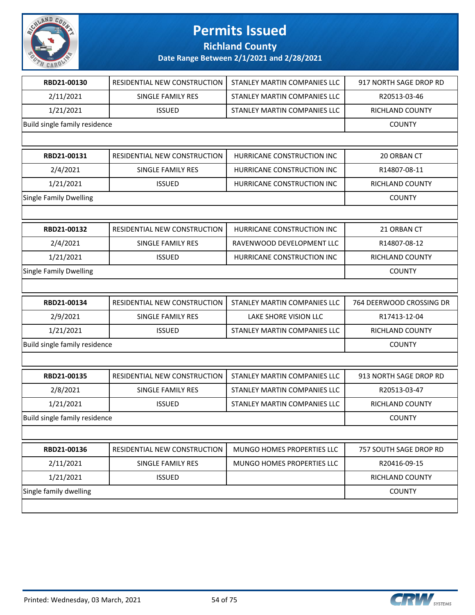

**Richland County**

| RESIDENTIAL NEW CONSTRUCTION        | STANLEY MARTIN COMPANIES LLC  | 917 NORTH SAGE DROP RD   |
|-------------------------------------|-------------------------------|--------------------------|
| SINGLE FAMILY RES                   | STANLEY MARTIN COMPANIES LLC  | R20513-03-46             |
| <b>ISSUED</b>                       | STANLEY MARTIN COMPANIES LLC  | RICHLAND COUNTY          |
|                                     |                               | <b>COUNTY</b>            |
|                                     |                               |                          |
| <b>RESIDENTIAL NEW CONSTRUCTION</b> | HURRICANE CONSTRUCTION INC    | 20 ORBAN CT              |
| <b>SINGLE FAMILY RES</b>            | HURRICANE CONSTRUCTION INC    | R14807-08-11             |
| <b>ISSUED</b>                       | HURRICANE CONSTRUCTION INC    | RICHLAND COUNTY          |
|                                     |                               | <b>COUNTY</b>            |
|                                     |                               |                          |
| RESIDENTIAL NEW CONSTRUCTION        | HURRICANE CONSTRUCTION INC    | 21 ORBAN CT              |
| SINGLE FAMILY RES                   | RAVENWOOD DEVELOPMENT LLC     | R14807-08-12             |
| <b>ISSUED</b>                       | HURRICANE CONSTRUCTION INC    | RICHLAND COUNTY          |
|                                     |                               |                          |
|                                     |                               | <b>COUNTY</b>            |
|                                     |                               |                          |
| RESIDENTIAL NEW CONSTRUCTION        | STANLEY MARTIN COMPANIES LLC  | 764 DEERWOOD CROSSING DR |
| SINGLE FAMILY RES                   | LAKE SHORE VISION LLC         | R17413-12-04             |
| <b>ISSUED</b>                       | STANLEY MARTIN COMPANIES LLC  | RICHLAND COUNTY          |
| Build single family residence       |                               | <b>COUNTY</b>            |
|                                     |                               |                          |
| RESIDENTIAL NEW CONSTRUCTION        | STANLEY MARTIN COMPANIES LLC  | 913 NORTH SAGE DROP RD   |
| SINGLE FAMILY RES                   | STANLEY MARTIN COMPANIES LLC  | R20513-03-47             |
| <b>ISSUED</b>                       | STANLEY MARTIN COMPANIES LLC  | <b>RICHLAND COUNTY</b>   |
| Build single family residence       |                               | <b>COUNTY</b>            |
|                                     |                               |                          |
| RESIDENTIAL NEW CONSTRUCTION        | MUNGO HOMES PROPERTIES LLC    | 757 SOUTH SAGE DROP RD   |
| SINGLE FAMILY RES                   | MUNGO HOMES PROPERTIES LLC    | R20416-09-15             |
| <b>ISSUED</b>                       |                               | RICHLAND COUNTY          |
|                                     |                               | <b>COUNTY</b>            |
|                                     | Build single family residence |                          |

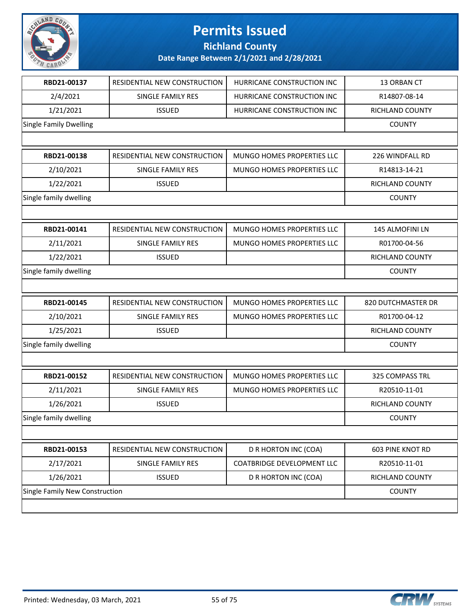

**Richland County**

| RBD21-00137                           | RESIDENTIAL NEW CONSTRUCTION | HURRICANE CONSTRUCTION INC | 13 ORBAN CT        |
|---------------------------------------|------------------------------|----------------------------|--------------------|
| 2/4/2021                              | SINGLE FAMILY RES            | HURRICANE CONSTRUCTION INC | R14807-08-14       |
| 1/21/2021                             | <b>ISSUED</b>                | HURRICANE CONSTRUCTION INC | RICHLAND COUNTY    |
| <b>Single Family Dwelling</b>         |                              |                            | <b>COUNTY</b>      |
|                                       |                              |                            |                    |
| RBD21-00138                           | RESIDENTIAL NEW CONSTRUCTION | MUNGO HOMES PROPERTIES LLC | 226 WINDFALL RD    |
| 2/10/2021                             | SINGLE FAMILY RES            | MUNGO HOMES PROPERTIES LLC | R14813-14-21       |
| 1/22/2021                             | <b>ISSUED</b>                |                            | RICHLAND COUNTY    |
| Single family dwelling                |                              |                            | <b>COUNTY</b>      |
|                                       |                              |                            |                    |
| RBD21-00141                           | RESIDENTIAL NEW CONSTRUCTION | MUNGO HOMES PROPERTIES LLC | 145 ALMOFINI LN    |
| 2/11/2021                             | SINGLE FAMILY RES            | MUNGO HOMES PROPERTIES LLC | R01700-04-56       |
| 1/22/2021                             | <b>ISSUED</b>                |                            | RICHLAND COUNTY    |
| Single family dwelling                |                              |                            | <b>COUNTY</b>      |
|                                       |                              |                            |                    |
| RBD21-00145                           | RESIDENTIAL NEW CONSTRUCTION | MUNGO HOMES PROPERTIES LLC | 820 DUTCHMASTER DR |
| 2/10/2021                             | SINGLE FAMILY RES            | MUNGO HOMES PROPERTIES LLC | R01700-04-12       |
| 1/25/2021                             | <b>ISSUED</b>                |                            | RICHLAND COUNTY    |
| Single family dwelling                |                              |                            | <b>COUNTY</b>      |
|                                       |                              |                            |                    |
| RBD21-00152                           | RESIDENTIAL NEW CONSTRUCTION | MUNGO HOMES PROPERTIES LLC | 325 COMPASS TRL    |
| 2/11/2021                             | <b>SINGLE FAMILY RES</b>     | MUNGO HOMES PROPERTIES LLC | R20510-11-01       |
| 1/26/2021                             | <b>ISSUED</b>                |                            | RICHLAND COUNTY    |
| Single family dwelling                |                              |                            | <b>COUNTY</b>      |
|                                       |                              |                            |                    |
| RBD21-00153                           | RESIDENTIAL NEW CONSTRUCTION | D R HORTON INC (COA)       | 603 PINE KNOT RD   |
| 2/17/2021                             | SINGLE FAMILY RES            | COATBRIDGE DEVELOPMENT LLC | R20510-11-01       |
| 1/26/2021                             | <b>ISSUED</b>                | D R HORTON INC (COA)       | RICHLAND COUNTY    |
| <b>Single Family New Construction</b> |                              |                            | <b>COUNTY</b>      |
|                                       |                              |                            |                    |

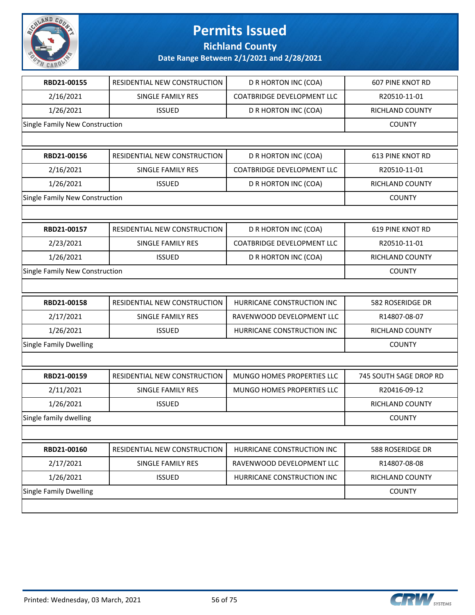

**Richland County**

| RBD21-00155                    | RESIDENTIAL NEW CONSTRUCTION | D R HORTON INC (COA)              | <b>607 PINE KNOT RD</b> |
|--------------------------------|------------------------------|-----------------------------------|-------------------------|
| 2/16/2021                      | SINGLE FAMILY RES            | <b>COATBRIDGE DEVELOPMENT LLC</b> | R20510-11-01            |
| 1/26/2021                      | <b>ISSUED</b>                | D R HORTON INC (COA)              | RICHLAND COUNTY         |
| Single Family New Construction |                              |                                   | <b>COUNTY</b>           |
|                                |                              |                                   |                         |
| RBD21-00156                    | RESIDENTIAL NEW CONSTRUCTION | D R HORTON INC (COA)              | <b>613 PINE KNOT RD</b> |
| 2/16/2021                      | <b>SINGLE FAMILY RES</b>     | <b>COATBRIDGE DEVELOPMENT LLC</b> | R20510-11-01            |
| 1/26/2021                      | <b>ISSUED</b>                | D R HORTON INC (COA)              | RICHLAND COUNTY         |
| Single Family New Construction |                              |                                   | <b>COUNTY</b>           |
|                                |                              |                                   |                         |
| RBD21-00157                    | RESIDENTIAL NEW CONSTRUCTION | D R HORTON INC (COA)              | 619 PINE KNOT RD        |
| 2/23/2021                      | SINGLE FAMILY RES            | <b>COATBRIDGE DEVELOPMENT LLC</b> | R20510-11-01            |
| 1/26/2021                      | <b>ISSUED</b>                | D R HORTON INC (COA)              | RICHLAND COUNTY         |
| Single Family New Construction |                              |                                   | <b>COUNTY</b>           |
|                                |                              |                                   |                         |
| RBD21-00158                    | RESIDENTIAL NEW CONSTRUCTION | HURRICANE CONSTRUCTION INC        | 582 ROSERIDGE DR        |
| 2/17/2021                      | SINGLE FAMILY RES            | RAVENWOOD DEVELOPMENT LLC         | R14807-08-07            |
| 1/26/2021                      | <b>ISSUED</b>                | HURRICANE CONSTRUCTION INC        | RICHLAND COUNTY         |
| <b>Single Family Dwelling</b>  |                              |                                   | <b>COUNTY</b>           |
|                                |                              |                                   |                         |
| RBD21-00159                    | RESIDENTIAL NEW CONSTRUCTION | MUNGO HOMES PROPERTIES LLC        | 745 SOUTH SAGE DROP RD  |
| 2/11/2021                      | SINGLE FAMILY RES            | MUNGO HOMES PROPERTIES LLC        | R20416-09-12            |
| 1/26/2021                      | <b>ISSUED</b>                |                                   | RICHLAND COUNTY         |
| Single family dwelling         |                              |                                   | <b>COUNTY</b>           |
|                                |                              |                                   |                         |
| RBD21-00160                    | RESIDENTIAL NEW CONSTRUCTION | HURRICANE CONSTRUCTION INC        | 588 ROSERIDGE DR        |
| 2/17/2021                      | SINGLE FAMILY RES            | RAVENWOOD DEVELOPMENT LLC         | R14807-08-08            |
| 1/26/2021                      | <b>ISSUED</b>                | HURRICANE CONSTRUCTION INC        | RICHLAND COUNTY         |
| <b>Single Family Dwelling</b>  |                              |                                   | <b>COUNTY</b>           |
|                                |                              |                                   |                         |
|                                |                              |                                   |                         |

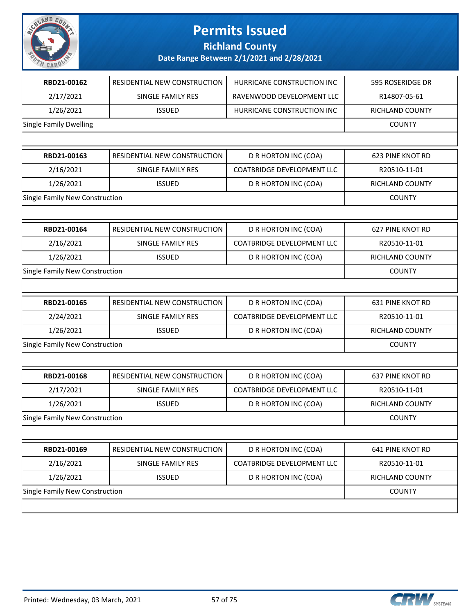

**Richland County**

| RBD21-00162                    | RESIDENTIAL NEW CONSTRUCTION | HURRICANE CONSTRUCTION INC        | 595 ROSERIDGE DR        |
|--------------------------------|------------------------------|-----------------------------------|-------------------------|
| 2/17/2021                      | SINGLE FAMILY RES            | RAVENWOOD DEVELOPMENT LLC         | R14807-05-61            |
| 1/26/2021                      | <b>ISSUED</b>                | HURRICANE CONSTRUCTION INC        | RICHLAND COUNTY         |
| Single Family Dwelling         |                              |                                   | <b>COUNTY</b>           |
|                                |                              |                                   |                         |
| RBD21-00163                    | RESIDENTIAL NEW CONSTRUCTION | D R HORTON INC (COA)              | <b>623 PINE KNOT RD</b> |
| 2/16/2021                      | SINGLE FAMILY RES            | <b>COATBRIDGE DEVELOPMENT LLC</b> | R20510-11-01            |
| 1/26/2021                      | <b>ISSUED</b>                | D R HORTON INC (COA)              | RICHLAND COUNTY         |
| Single Family New Construction |                              |                                   | <b>COUNTY</b>           |
|                                |                              |                                   |                         |
| RBD21-00164                    | RESIDENTIAL NEW CONSTRUCTION | D R HORTON INC (COA)              | <b>627 PINE KNOT RD</b> |
| 2/16/2021                      | SINGLE FAMILY RES            | <b>COATBRIDGE DEVELOPMENT LLC</b> | R20510-11-01            |
| 1/26/2021                      | <b>ISSUED</b>                | D R HORTON INC (COA)              | RICHLAND COUNTY         |
| Single Family New Construction |                              |                                   | <b>COUNTY</b>           |
|                                |                              |                                   |                         |
| RBD21-00165                    | RESIDENTIAL NEW CONSTRUCTION | D R HORTON INC (COA)              | <b>631 PINE KNOT RD</b> |
| 2/24/2021                      | SINGLE FAMILY RES            | <b>COATBRIDGE DEVELOPMENT LLC</b> | R20510-11-01            |
| 1/26/2021                      | <b>ISSUED</b>                | D R HORTON INC (COA)              | RICHLAND COUNTY         |
| Single Family New Construction |                              |                                   | <b>COUNTY</b>           |
|                                |                              |                                   |                         |
| RBD21-00168                    | RESIDENTIAL NEW CONSTRUCTION | D R HORTON INC (COA)              | <b>637 PINE KNOT RD</b> |
| 2/17/2021                      | SINGLE FAMILY RES            | COATBRIDGE DEVELOPMENT LLC        | R20510-11-01            |
| 1/26/2021                      | <b>ISSUED</b>                | D R HORTON INC (COA)              | RICHLAND COUNTY         |
| Single Family New Construction |                              |                                   | <b>COUNTY</b>           |
|                                |                              |                                   |                         |
| RBD21-00169                    | RESIDENTIAL NEW CONSTRUCTION | D R HORTON INC (COA)              | 641 PINE KNOT RD        |
| 2/16/2021                      | SINGLE FAMILY RES            | <b>COATBRIDGE DEVELOPMENT LLC</b> | R20510-11-01            |
| 1/26/2021                      | <b>ISSUED</b>                | D R HORTON INC (COA)              | RICHLAND COUNTY         |
| Single Family New Construction |                              |                                   | <b>COUNTY</b>           |
|                                |                              |                                   |                         |

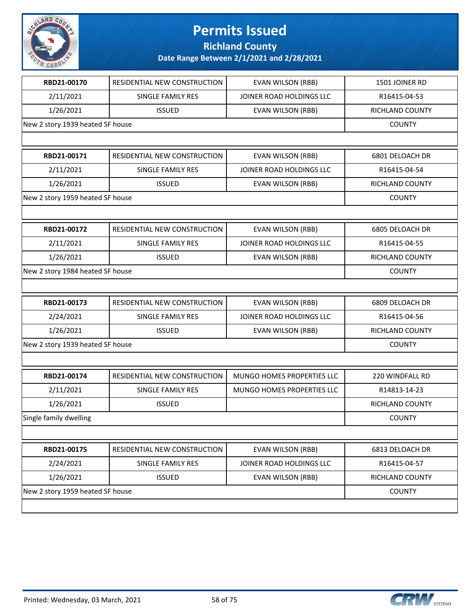

**Richland County**

| RBD21-00170                      | RESIDENTIAL NEW CONSTRUCTION | EVAN WILSON (RBB)          | 1501 JOINER RD  |
|----------------------------------|------------------------------|----------------------------|-----------------|
| 2/11/2021                        | <b>SINGLE FAMILY RES</b>     | JOINER ROAD HOLDINGS LLC   | R16415-04-53    |
| 1/26/2021                        | <b>ISSUED</b>                | EVAN WILSON (RBB)          | RICHLAND COUNTY |
| New 2 story 1939 heated SF house |                              |                            | <b>COUNTY</b>   |
|                                  |                              |                            |                 |
| RBD21-00171                      | RESIDENTIAL NEW CONSTRUCTION | EVAN WILSON (RBB)          | 6801 DELOACH DR |
| 2/11/2021                        | <b>SINGLE FAMILY RES</b>     | JOINER ROAD HOLDINGS LLC   | R16415-04-54    |
| 1/26/2021                        | <b>ISSUED</b>                | <b>EVAN WILSON (RBB)</b>   | RICHLAND COUNTY |
| New 2 story 1959 heated SF house |                              |                            | <b>COUNTY</b>   |
|                                  |                              |                            |                 |
| RBD21-00172                      | RESIDENTIAL NEW CONSTRUCTION | EVAN WILSON (RBB)          | 6805 DELOACH DR |
| 2/11/2021                        | SINGLE FAMILY RES            | JOINER ROAD HOLDINGS LLC   | R16415-04-55    |
| 1/26/2021                        | <b>ISSUED</b>                | EVAN WILSON (RBB)          | RICHLAND COUNTY |
| New 2 story 1984 heated SF house |                              |                            | <b>COUNTY</b>   |
|                                  |                              |                            |                 |
| RBD21-00173                      | RESIDENTIAL NEW CONSTRUCTION | EVAN WILSON (RBB)          | 6809 DELOACH DR |
| 2/24/2021                        | SINGLE FAMILY RES            | JOINER ROAD HOLDINGS LLC   | R16415-04-56    |
| 1/26/2021                        | <b>ISSUED</b>                | <b>EVAN WILSON (RBB)</b>   | RICHLAND COUNTY |
| New 2 story 1939 heated SF house |                              |                            | <b>COUNTY</b>   |
|                                  |                              |                            |                 |
| RBD21-00174                      | RESIDENTIAL NEW CONSTRUCTION | MUNGO HOMES PROPERTIES LLC | 220 WINDFALL RD |
| 2/11/2021                        | <b>SINGLE FAMILY RES</b>     | MUNGO HOMES PROPERTIES LLC | R14813-14-23    |
| 1/26/2021                        | <b>ISSUED</b>                |                            | RICHLAND COUNTY |
| Single family dwelling           |                              |                            | <b>COUNTY</b>   |
|                                  |                              |                            |                 |
| RBD21-00175                      | RESIDENTIAL NEW CONSTRUCTION | <b>EVAN WILSON (RBB)</b>   | 6813 DELOACH DR |
| 2/24/2021                        | SINGLE FAMILY RES            | JOINER ROAD HOLDINGS LLC   | R16415-04-57    |
| 1/26/2021                        | <b>ISSUED</b>                | EVAN WILSON (RBB)          | RICHLAND COUNTY |
| New 2 story 1959 heated SF house |                              |                            | <b>COUNTY</b>   |
|                                  |                              |                            |                 |

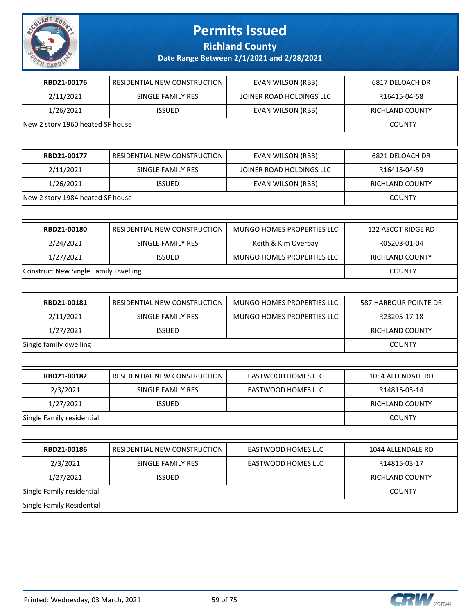

**Richland County**

| RBD21-00176                                 | RESIDENTIAL NEW CONSTRUCTION | <b>EVAN WILSON (RBB)</b>   | 6817 DELOACH DR        |
|---------------------------------------------|------------------------------|----------------------------|------------------------|
| 2/11/2021                                   | SINGLE FAMILY RES            | JOINER ROAD HOLDINGS LLC   | R16415-04-58           |
| 1/26/2021                                   | <b>ISSUED</b>                | EVAN WILSON (RBB)          | RICHLAND COUNTY        |
| New 2 story 1960 heated SF house            |                              |                            | <b>COUNTY</b>          |
|                                             |                              |                            |                        |
| RBD21-00177                                 | RESIDENTIAL NEW CONSTRUCTION | EVAN WILSON (RBB)          | 6821 DELOACH DR        |
| 2/11/2021                                   | SINGLE FAMILY RES            | JOINER ROAD HOLDINGS LLC   | R16415-04-59           |
| 1/26/2021                                   | <b>ISSUED</b>                | EVAN WILSON (RBB)          | <b>RICHLAND COUNTY</b> |
| New 2 story 1984 heated SF house            |                              |                            | <b>COUNTY</b>          |
|                                             |                              |                            |                        |
| RBD21-00180                                 | RESIDENTIAL NEW CONSTRUCTION | MUNGO HOMES PROPERTIES LLC | 122 ASCOT RIDGE RD     |
| 2/24/2021                                   | SINGLE FAMILY RES            | Keith & Kim Overbay        | R05203-01-04           |
| 1/27/2021                                   | <b>ISSUED</b>                | MUNGO HOMES PROPERTIES LLC | RICHLAND COUNTY        |
| <b>Construct New Single Family Dwelling</b> |                              |                            | <b>COUNTY</b>          |
|                                             |                              |                            |                        |
| RBD21-00181                                 | RESIDENTIAL NEW CONSTRUCTION | MUNGO HOMES PROPERTIES LLC | 587 HARBOUR POINTE DR  |
| 2/11/2021                                   | SINGLE FAMILY RES            | MUNGO HOMES PROPERTIES LLC | R23205-17-18           |
| 1/27/2021                                   | <b>ISSUED</b>                |                            | RICHLAND COUNTY        |
| Single family dwelling                      |                              |                            | <b>COUNTY</b>          |
|                                             |                              |                            |                        |
| RBD21-00182                                 | RESIDENTIAL NEW CONSTRUCTION | <b>EASTWOOD HOMES LLC</b>  | 1054 ALLENDALE RD      |
| 2/3/2021                                    | SINGLE FAMILY RES            | EASTWOOD HOMES LLC         | R14815-03-14           |
| 1/27/2021                                   | <b>ISSUED</b>                |                            | RICHLAND COUNTY        |
| Single Family residential                   |                              |                            | <b>COUNTY</b>          |
|                                             |                              |                            |                        |
| RBD21-00186                                 | RESIDENTIAL NEW CONSTRUCTION | <b>EASTWOOD HOMES LLC</b>  | 1044 ALLENDALE RD      |
| 2/3/2021                                    | SINGLE FAMILY RES            | EASTWOOD HOMES LLC         | R14815-03-17           |
| 1/27/2021                                   | <b>ISSUED</b>                |                            | <b>RICHLAND COUNTY</b> |
| Single Family residential                   |                              |                            | <b>COUNTY</b>          |
| Single Family Residential                   |                              |                            |                        |

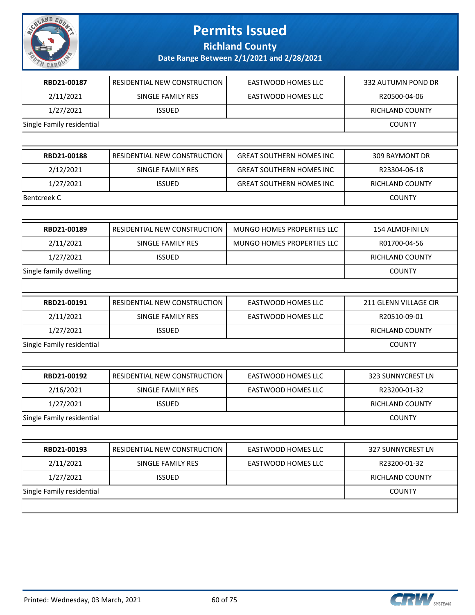

**Richland County**

| RBD21-00187               | RESIDENTIAL NEW CONSTRUCTION | <b>EASTWOOD HOMES LLC</b>         | 332 AUTUMN POND DR    |
|---------------------------|------------------------------|-----------------------------------|-----------------------|
| 2/11/2021                 | SINGLE FAMILY RES            | EASTWOOD HOMES LLC                | R20500-04-06          |
| 1/27/2021                 | <b>ISSUED</b>                |                                   | RICHLAND COUNTY       |
| Single Family residential |                              |                                   | <b>COUNTY</b>         |
|                           |                              |                                   |                       |
| RBD21-00188               | RESIDENTIAL NEW CONSTRUCTION | <b>GREAT SOUTHERN HOMES INC</b>   | 309 BAYMONT DR        |
| 2/12/2021                 | SINGLE FAMILY RES            | <b>GREAT SOUTHERN HOMES INC</b>   | R23304-06-18          |
| 1/27/2021                 | <b>ISSUED</b>                | <b>GREAT SOUTHERN HOMES INC</b>   | RICHLAND COUNTY       |
| <b>Bentcreek C</b>        |                              |                                   | <b>COUNTY</b>         |
|                           |                              |                                   |                       |
| RBD21-00189               | RESIDENTIAL NEW CONSTRUCTION | MUNGO HOMES PROPERTIES LLC        | 154 ALMOFINI LN       |
| 2/11/2021                 | SINGLE FAMILY RES            | <b>MUNGO HOMES PROPERTIES LLC</b> | R01700-04-56          |
| 1/27/2021                 | <b>ISSUED</b>                |                                   | RICHLAND COUNTY       |
| Single family dwelling    |                              |                                   | <b>COUNTY</b>         |
|                           |                              |                                   |                       |
| RBD21-00191               | RESIDENTIAL NEW CONSTRUCTION | <b>EASTWOOD HOMES LLC</b>         | 211 GLENN VILLAGE CIR |
|                           |                              |                                   |                       |
| 2/11/2021                 | <b>SINGLE FAMILY RES</b>     | EASTWOOD HOMES LLC                | R20510-09-01          |
| 1/27/2021                 | <b>ISSUED</b>                |                                   | RICHLAND COUNTY       |
| Single Family residential |                              |                                   | <b>COUNTY</b>         |
|                           |                              |                                   |                       |
| RBD21-00192               | RESIDENTIAL NEW CONSTRUCTION | <b>EASTWOOD HOMES LLC</b>         | 323 SUNNYCREST LN     |
| 2/16/2021                 | SINGLE FAMILY RES            | <b>EASTWOOD HOMES LLC</b>         | R23200-01-32          |
| 1/27/2021                 | <b>ISSUED</b>                |                                   | RICHLAND COUNTY       |
| Single Family residential |                              |                                   | <b>COUNTY</b>         |
|                           |                              |                                   |                       |
| RBD21-00193               | RESIDENTIAL NEW CONSTRUCTION | EASTWOOD HOMES LLC                | 327 SUNNYCREST LN     |
| 2/11/2021                 | SINGLE FAMILY RES            | <b>EASTWOOD HOMES LLC</b>         | R23200-01-32          |
| 1/27/2021                 | <b>ISSUED</b>                |                                   | RICHLAND COUNTY       |
| Single Family residential |                              |                                   | <b>COUNTY</b>         |

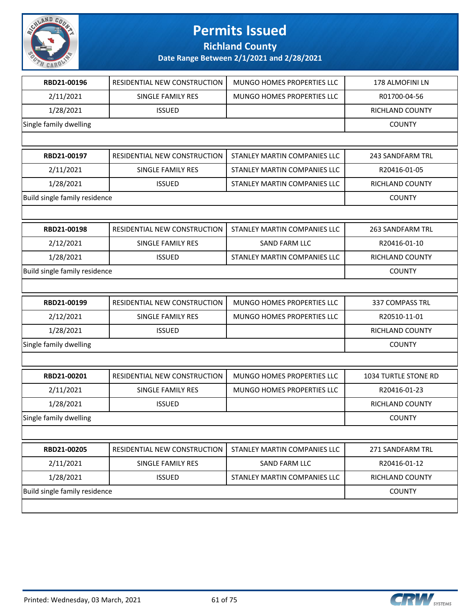

**Richland County**

| RBD21-00196                   | RESIDENTIAL NEW CONSTRUCTION | MUNGO HOMES PROPERTIES LLC   | 178 ALMOFINI LN         |
|-------------------------------|------------------------------|------------------------------|-------------------------|
| 2/11/2021                     | <b>SINGLE FAMILY RES</b>     | MUNGO HOMES PROPERTIES LLC   | R01700-04-56            |
| 1/28/2021                     | <b>ISSUED</b>                |                              | <b>RICHLAND COUNTY</b>  |
| Single family dwelling        |                              |                              | <b>COUNTY</b>           |
|                               |                              |                              |                         |
| RBD21-00197                   | RESIDENTIAL NEW CONSTRUCTION | STANLEY MARTIN COMPANIES LLC | 243 SANDFARM TRL        |
| 2/11/2021                     | <b>SINGLE FAMILY RES</b>     | STANLEY MARTIN COMPANIES LLC | R20416-01-05            |
| 1/28/2021                     | <b>ISSUED</b>                | STANLEY MARTIN COMPANIES LLC | <b>RICHLAND COUNTY</b>  |
| Build single family residence |                              |                              | <b>COUNTY</b>           |
|                               |                              |                              |                         |
| RBD21-00198                   | RESIDENTIAL NEW CONSTRUCTION | STANLEY MARTIN COMPANIES LLC | <b>263 SANDFARM TRL</b> |
| 2/12/2021                     | SINGLE FAMILY RES            | SAND FARM LLC                | R20416-01-10            |
| 1/28/2021                     | <b>ISSUED</b>                | STANLEY MARTIN COMPANIES LLC | RICHLAND COUNTY         |
| Build single family residence |                              |                              | <b>COUNTY</b>           |
|                               |                              |                              |                         |
| RBD21-00199                   | RESIDENTIAL NEW CONSTRUCTION | MUNGO HOMES PROPERTIES LLC   | 337 COMPASS TRL         |
| 2/12/2021                     | SINGLE FAMILY RES            | MUNGO HOMES PROPERTIES LLC   | R20510-11-01            |
| 1/28/2021                     | <b>ISSUED</b>                |                              | RICHLAND COUNTY         |
| Single family dwelling        |                              |                              | <b>COUNTY</b>           |
|                               |                              |                              |                         |
| RBD21-00201                   | RESIDENTIAL NEW CONSTRUCTION | MUNGO HOMES PROPERTIES LLC   | 1034 TURTLE STONE RD    |
| 2/11/2021                     | SINGLE FAMILY RES            | MUNGO HOMES PROPERTIES LLC   | R20416-01-23            |
| 1/28/2021                     | <b>ISSUED</b>                |                              | RICHLAND COUNTY         |
| Single family dwelling        |                              |                              | <b>COUNTY</b>           |
|                               |                              |                              |                         |
| RBD21-00205                   | RESIDENTIAL NEW CONSTRUCTION | STANLEY MARTIN COMPANIES LLC | 271 SANDFARM TRL        |
| 2/11/2021                     | SINGLE FAMILY RES            | <b>SAND FARM LLC</b>         | R20416-01-12            |
| 1/28/2021                     | <b>ISSUED</b>                | STANLEY MARTIN COMPANIES LLC | RICHLAND COUNTY         |
| Build single family residence |                              |                              | <b>COUNTY</b>           |
|                               |                              |                              |                         |

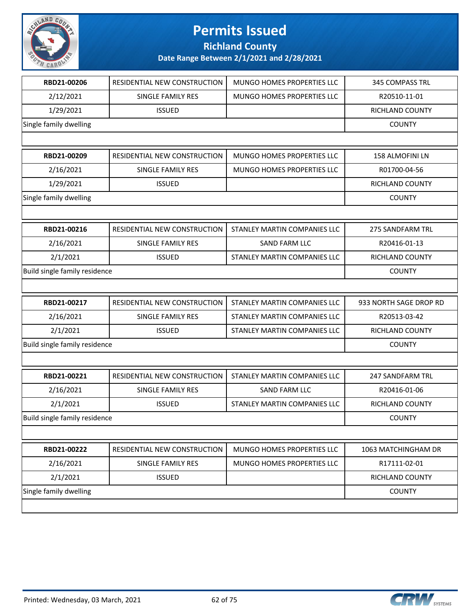

**Richland County**

| RBD21-00206                   | RESIDENTIAL NEW CONSTRUCTION | MUNGO HOMES PROPERTIES LLC   | 345 COMPASS TRL        |
|-------------------------------|------------------------------|------------------------------|------------------------|
| 2/12/2021                     | SINGLE FAMILY RES            | MUNGO HOMES PROPERTIES LLC   | R20510-11-01           |
| 1/29/2021                     | <b>ISSUED</b>                |                              | RICHLAND COUNTY        |
| Single family dwelling        |                              |                              | <b>COUNTY</b>          |
|                               |                              |                              |                        |
| RBD21-00209                   | RESIDENTIAL NEW CONSTRUCTION | MUNGO HOMES PROPERTIES LLC   | 158 ALMOFINI LN        |
| 2/16/2021                     | <b>SINGLE FAMILY RES</b>     | MUNGO HOMES PROPERTIES LLC   | R01700-04-56           |
| 1/29/2021                     | <b>ISSUED</b>                |                              | RICHLAND COUNTY        |
| Single family dwelling        |                              |                              | <b>COUNTY</b>          |
|                               |                              |                              |                        |
| RBD21-00216                   | RESIDENTIAL NEW CONSTRUCTION | STANLEY MARTIN COMPANIES LLC | 275 SANDFARM TRL       |
| 2/16/2021                     | SINGLE FAMILY RES            | <b>SAND FARM LLC</b>         | R20416-01-13           |
| 2/1/2021                      | <b>ISSUED</b>                | STANLEY MARTIN COMPANIES LLC | RICHLAND COUNTY        |
| Build single family residence |                              |                              | <b>COUNTY</b>          |
|                               |                              |                              |                        |
|                               |                              |                              |                        |
| RBD21-00217                   | RESIDENTIAL NEW CONSTRUCTION | STANLEY MARTIN COMPANIES LLC | 933 NORTH SAGE DROP RD |
| 2/16/2021                     | SINGLE FAMILY RES            | STANLEY MARTIN COMPANIES LLC | R20513-03-42           |
| 2/1/2021                      | <b>ISSUED</b>                | STANLEY MARTIN COMPANIES LLC | RICHLAND COUNTY        |
| Build single family residence |                              |                              | <b>COUNTY</b>          |
|                               |                              |                              |                        |
| RBD21-00221                   | RESIDENTIAL NEW CONSTRUCTION | STANLEY MARTIN COMPANIES LLC | 247 SANDFARM TRL       |
| 2/16/2021                     | SINGLE FAMILY RES            | SAND FARM LLC                | R20416-01-06           |
| 2/1/2021                      | <b>ISSUED</b>                | STANLEY MARTIN COMPANIES LLC | RICHLAND COUNTY        |
| Build single family residence |                              |                              | <b>COUNTY</b>          |
|                               |                              |                              |                        |
| RBD21-00222                   | RESIDENTIAL NEW CONSTRUCTION | MUNGO HOMES PROPERTIES LLC   | 1063 MATCHINGHAM DR    |
| 2/16/2021                     | SINGLE FAMILY RES            | MUNGO HOMES PROPERTIES LLC   | R17111-02-01           |
| 2/1/2021                      | <b>ISSUED</b>                |                              | RICHLAND COUNTY        |
| Single family dwelling        |                              |                              | <b>COUNTY</b>          |

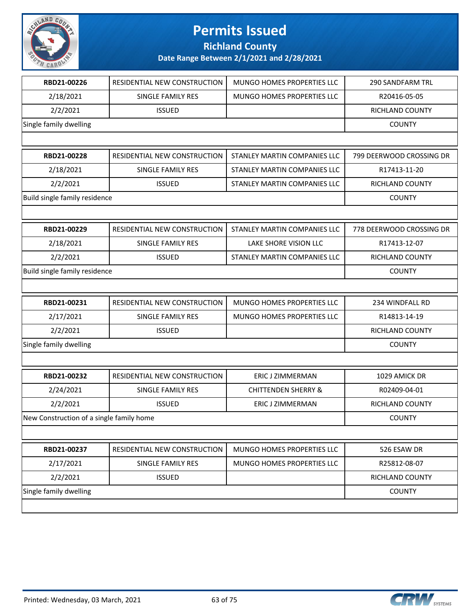

**Richland County**

| RBD21-00226                              | RESIDENTIAL NEW CONSTRUCTION | MUNGO HOMES PROPERTIES LLC     | <b>290 SANDFARM TRL</b>  |
|------------------------------------------|------------------------------|--------------------------------|--------------------------|
| 2/18/2021                                | SINGLE FAMILY RES            | MUNGO HOMES PROPERTIES LLC     | R20416-05-05             |
| 2/2/2021                                 | <b>ISSUED</b>                |                                | RICHLAND COUNTY          |
| Single family dwelling                   |                              |                                | <b>COUNTY</b>            |
|                                          |                              |                                |                          |
| RBD21-00228                              | RESIDENTIAL NEW CONSTRUCTION | STANLEY MARTIN COMPANIES LLC   | 799 DEERWOOD CROSSING DR |
| 2/18/2021                                | SINGLE FAMILY RES            | STANLEY MARTIN COMPANIES LLC   | R17413-11-20             |
| 2/2/2021                                 | <b>ISSUED</b>                | STANLEY MARTIN COMPANIES LLC   | RICHLAND COUNTY          |
| Build single family residence            |                              |                                | <b>COUNTY</b>            |
|                                          |                              |                                |                          |
| RBD21-00229                              | RESIDENTIAL NEW CONSTRUCTION | STANLEY MARTIN COMPANIES LLC   | 778 DEERWOOD CROSSING DR |
| 2/18/2021                                | <b>SINGLE FAMILY RES</b>     | LAKE SHORE VISION LLC          | R17413-12-07             |
| 2/2/2021                                 | <b>ISSUED</b>                | STANLEY MARTIN COMPANIES LLC   | RICHLAND COUNTY          |
| Build single family residence            |                              |                                | <b>COUNTY</b>            |
|                                          |                              |                                |                          |
| RBD21-00231                              | RESIDENTIAL NEW CONSTRUCTION | MUNGO HOMES PROPERTIES LLC     | 234 WINDFALL RD          |
| 2/17/2021                                | SINGLE FAMILY RES            | MUNGO HOMES PROPERTIES LLC     | R14813-14-19             |
| 2/2/2021                                 | <b>ISSUED</b>                |                                | RICHLAND COUNTY          |
| Single family dwelling                   |                              |                                | <b>COUNTY</b>            |
|                                          |                              |                                |                          |
| RBD21-00232                              | RESIDENTIAL NEW CONSTRUCTION | ERIC J ZIMMERMAN               | 1029 AMICK DR            |
| 2/24/2021                                | SINGLE FAMILY RES            | <b>CHITTENDEN SHERRY &amp;</b> | R02409-04-01             |
| 2/2/2021                                 | <b>ISSUED</b>                | ERIC J ZIMMERMAN               | RICHLAND COUNTY          |
| New Construction of a single family home |                              |                                | <b>COUNTY</b>            |
|                                          |                              |                                |                          |
| RBD21-00237                              | RESIDENTIAL NEW CONSTRUCTION | MUNGO HOMES PROPERTIES LLC     | 526 ESAW DR              |
| 2/17/2021                                | SINGLE FAMILY RES            | MUNGO HOMES PROPERTIES LLC     | R25812-08-07             |
| 2/2/2021                                 | <b>ISSUED</b>                |                                | RICHLAND COUNTY          |
| Single family dwelling                   |                              |                                | <b>COUNTY</b>            |
|                                          |                              |                                |                          |

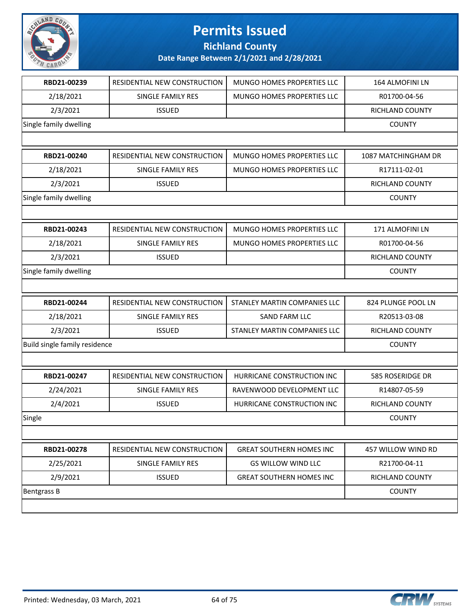

**Richland County**

| RBD21-00239                   | RESIDENTIAL NEW CONSTRUCTION | MUNGO HOMES PROPERTIES LLC      | 164 ALMOFINI LN     |
|-------------------------------|------------------------------|---------------------------------|---------------------|
| 2/18/2021                     | <b>SINGLE FAMILY RES</b>     | MUNGO HOMES PROPERTIES LLC      | R01700-04-56        |
| 2/3/2021                      | <b>ISSUED</b>                |                                 | RICHLAND COUNTY     |
| Single family dwelling        |                              |                                 | <b>COUNTY</b>       |
|                               |                              |                                 |                     |
| RBD21-00240                   | RESIDENTIAL NEW CONSTRUCTION | MUNGO HOMES PROPERTIES LLC      | 1087 MATCHINGHAM DR |
| 2/18/2021                     | SINGLE FAMILY RES            | MUNGO HOMES PROPERTIES LLC      | R17111-02-01        |
| 2/3/2021                      | <b>ISSUED</b>                |                                 | RICHLAND COUNTY     |
| Single family dwelling        |                              |                                 | <b>COUNTY</b>       |
|                               |                              |                                 |                     |
| RBD21-00243                   | RESIDENTIAL NEW CONSTRUCTION | MUNGO HOMES PROPERTIES LLC      | 171 ALMOFINI LN     |
| 2/18/2021                     | SINGLE FAMILY RES            | MUNGO HOMES PROPERTIES LLC      | R01700-04-56        |
| 2/3/2021                      | <b>ISSUED</b>                |                                 | RICHLAND COUNTY     |
| Single family dwelling        |                              |                                 | <b>COUNTY</b>       |
|                               |                              |                                 |                     |
| RBD21-00244                   | RESIDENTIAL NEW CONSTRUCTION | STANLEY MARTIN COMPANIES LLC    | 824 PLUNGE POOL LN  |
| 2/18/2021                     | SINGLE FAMILY RES            | SAND FARM LLC                   | R20513-03-08        |
| 2/3/2021                      | <b>ISSUED</b>                | STANLEY MARTIN COMPANIES LLC    | RICHLAND COUNTY     |
| Build single family residence |                              |                                 | <b>COUNTY</b>       |
|                               |                              |                                 |                     |
| RBD21-00247                   | RESIDENTIAL NEW CONSTRUCTION | HURRICANE CONSTRUCTION INC      | 585 ROSERIDGE DR    |
| 2/24/2021                     | SINGLE FAMILY RES            | RAVENWOOD DEVELOPMENT LLC       | R14807-05-59        |
| 2/4/2021                      | <b>ISSUED</b>                | HURRICANE CONSTRUCTION INC      | RICHLAND COUNTY     |
| Single                        |                              |                                 | <b>COUNTY</b>       |
|                               |                              |                                 |                     |
| RBD21-00278                   | RESIDENTIAL NEW CONSTRUCTION | <b>GREAT SOUTHERN HOMES INC</b> | 457 WILLOW WIND RD  |
| 2/25/2021                     | SINGLE FAMILY RES            | <b>GS WILLOW WIND LLC</b>       | R21700-04-11        |
| 2/9/2021                      | <b>ISSUED</b>                | <b>GREAT SOUTHERN HOMES INC</b> | RICHLAND COUNTY     |
| Bentgrass B                   |                              |                                 | <b>COUNTY</b>       |
|                               |                              |                                 |                     |

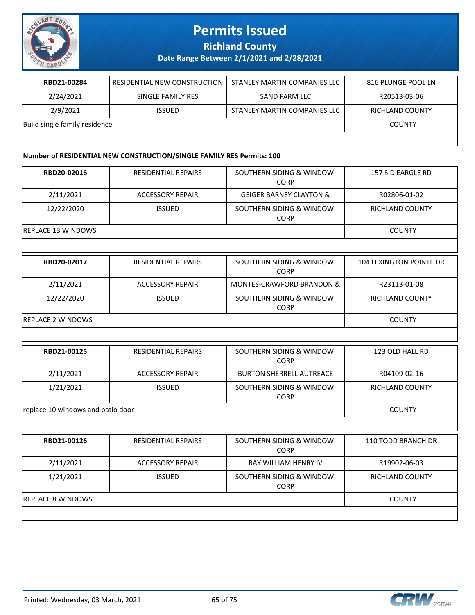

**Richland County**

**Date Range Between 2/1/2021 and 2/28/2021**

| RBD21-00284                   | RESIDENTIAL NEW CONSTRUCTION | STANLEY MARTIN COMPANIES LLC | 816 PLUNGE POOL LN |
|-------------------------------|------------------------------|------------------------------|--------------------|
| 2/24/2021                     | SINGLE FAMILY RES            | SAND FARM LLC                | R20513-03-06       |
| 2/9/2021                      | <b>ISSUED</b>                | STANLEY MARTIN COMPANIES LLC | RICHLAND COUNTY    |
| Build single family residence |                              |                              | <b>COUNTY</b>      |
|                               |                              |                              |                    |

#### **Number of RESIDENTIAL NEW CONSTRUCTION/SINGLE FAMILY RES Permits: 100**

| RBD20-02016                       | <b>RESIDENTIAL REPAIRS</b> | SOUTHERN SIDING & WINDOW<br><b>CORP</b> | <b>157 SID EARGLE RD</b>       |
|-----------------------------------|----------------------------|-----------------------------------------|--------------------------------|
| 2/11/2021                         | <b>ACCESSORY REPAIR</b>    | <b>GEIGER BARNEY CLAYTON &amp;</b>      | R02806-01-02                   |
| 12/22/2020                        | <b>ISSUED</b>              | SOUTHERN SIDING & WINDOW<br><b>CORP</b> | RICHLAND COUNTY                |
| <b>REPLACE 13 WINDOWS</b>         |                            |                                         | <b>COUNTY</b>                  |
|                                   |                            |                                         |                                |
| RBD20-02017                       | <b>RESIDENTIAL REPAIRS</b> | SOUTHERN SIDING & WINDOW<br>CORP        | <b>104 LEXINGTON POINTE DR</b> |
| 2/11/2021                         | <b>ACCESSORY REPAIR</b>    | MONTES-CRAWFORD BRANDON &               | R23113-01-08                   |
| 12/22/2020                        | <b>ISSUED</b>              | SOUTHERN SIDING & WINDOW<br><b>CORP</b> | <b>RICHLAND COUNTY</b>         |
| <b>REPLACE 2 WINDOWS</b>          |                            |                                         | <b>COUNTY</b>                  |
|                                   |                            |                                         |                                |
| RBD21-00125                       | <b>RESIDENTIAL REPAIRS</b> | SOUTHERN SIDING & WINDOW<br><b>CORP</b> | 123 OLD HALL RD                |
| 2/11/2021                         | <b>ACCESSORY REPAIR</b>    | <b>BURTON SHERRELL AUTREACE</b>         | R04109-02-16                   |
| 1/21/2021                         | <b>ISSUED</b>              | SOUTHERN SIDING & WINDOW<br><b>CORP</b> | <b>RICHLAND COUNTY</b>         |
| replace 10 windows and patio door |                            |                                         | <b>COUNTY</b>                  |
|                                   |                            |                                         |                                |
| RBD21-00126                       | <b>RESIDENTIAL REPAIRS</b> | SOUTHERN SIDING & WINDOW<br><b>CORP</b> | 110 TODD BRANCH DR             |
| 2/11/2021                         | <b>ACCESSORY REPAIR</b>    | <b>RAY WILLIAM HENRY IV</b>             | R19902-06-03                   |
| 1/21/2021                         | <b>ISSUED</b>              | SOUTHERN SIDING & WINDOW<br><b>CORP</b> | RICHLAND COUNTY                |
| <b>REPLACE 8 WINDOWS</b>          |                            |                                         | <b>COUNTY</b>                  |
|                                   |                            |                                         |                                |

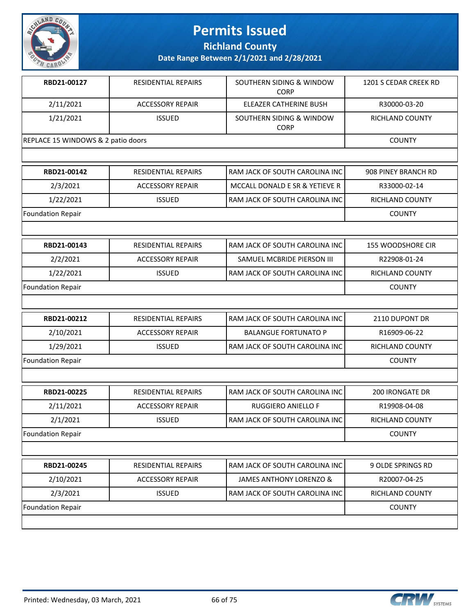

**Richland County**

| RBD21-00127                        | <b>RESIDENTIAL REPAIRS</b> | SOUTHERN SIDING & WINDOW<br><b>CORP</b> | 1201 S CEDAR CREEK RD |
|------------------------------------|----------------------------|-----------------------------------------|-----------------------|
| 2/11/2021                          | <b>ACCESSORY REPAIR</b>    | ELEAZER CATHERINE BUSH                  | R30000-03-20          |
| 1/21/2021                          | <b>ISSUED</b>              | SOUTHERN SIDING & WINDOW<br><b>CORP</b> | RICHLAND COUNTY       |
| REPLACE 15 WINDOWS & 2 patio doors |                            |                                         | <b>COUNTY</b>         |
|                                    |                            |                                         |                       |
| RBD21-00142                        | RESIDENTIAL REPAIRS        | RAM JACK OF SOUTH CAROLINA INC          | 908 PINEY BRANCH RD   |
| 2/3/2021                           | <b>ACCESSORY REPAIR</b>    | MCCALL DONALD E SR & YETIEVE R          | R33000-02-14          |
| 1/22/2021                          | <b>ISSUED</b>              | RAM JACK OF SOUTH CAROLINA INC          | RICHLAND COUNTY       |
| <b>Foundation Repair</b>           |                            |                                         | <b>COUNTY</b>         |
|                                    |                            |                                         |                       |
| RBD21-00143                        | RESIDENTIAL REPAIRS        | RAM JACK OF SOUTH CAROLINA INC          | 155 WOODSHORE CIR     |
| 2/2/2021                           | <b>ACCESSORY REPAIR</b>    | SAMUEL MCBRIDE PIERSON III              | R22908-01-24          |
| 1/22/2021                          | <b>ISSUED</b>              | RAM JACK OF SOUTH CAROLINA INC          | RICHLAND COUNTY       |
| <b>Foundation Repair</b>           |                            |                                         | <b>COUNTY</b>         |
|                                    |                            |                                         |                       |
| RBD21-00212                        | RESIDENTIAL REPAIRS        | RAM JACK OF SOUTH CAROLINA INC          | 2110 DUPONT DR        |
| 2/10/2021                          | <b>ACCESSORY REPAIR</b>    | <b>BALANGUE FORTUNATO P</b>             | R16909-06-22          |
| 1/29/2021                          | <b>ISSUED</b>              | RAM JACK OF SOUTH CAROLINA INC          | RICHLAND COUNTY       |
| <b>Foundation Repair</b>           |                            |                                         | <b>COUNTY</b>         |
|                                    |                            |                                         |                       |
| RBD21-00225                        | <b>RESIDENTIAL REPAIRS</b> | RAM JACK OF SOUTH CAROLINA INC          | 200 IRONGATE DR       |
| 2/11/2021                          | <b>ACCESSORY REPAIR</b>    | RUGGIERO ANIELLO F                      | R19908-04-08          |
| 2/1/2021                           | <b>ISSUED</b>              | RAM JACK OF SOUTH CAROLINA INC          | RICHLAND COUNTY       |
| Foundation Repair                  |                            |                                         | <b>COUNTY</b>         |
|                                    |                            |                                         |                       |
| RBD21-00245                        | <b>RESIDENTIAL REPAIRS</b> | RAM JACK OF SOUTH CAROLINA INC          | 9 OLDE SPRINGS RD     |
| 2/10/2021                          | <b>ACCESSORY REPAIR</b>    | <b>JAMES ANTHONY LORENZO &amp;</b>      | R20007-04-25          |
| 2/3/2021                           | <b>ISSUED</b>              | RAM JACK OF SOUTH CAROLINA INC          | RICHLAND COUNTY       |
| Foundation Repair                  |                            |                                         | <b>COUNTY</b>         |
|                                    |                            |                                         |                       |

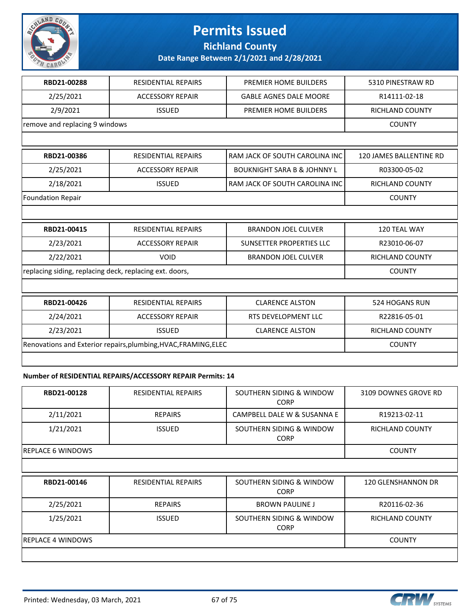

**Richland County**

**Date Range Between 2/1/2021 and 2/28/2021**

| RBD21-00288                                             | <b>RESIDENTIAL REPAIRS</b>                                      | PREMIER HOME BUILDERS                  | 5310 PINESTRAW RD       |
|---------------------------------------------------------|-----------------------------------------------------------------|----------------------------------------|-------------------------|
| 2/25/2021                                               | <b>ACCESSORY REPAIR</b>                                         | <b>GABLE AGNES DALE MOORE</b>          | R14111-02-18            |
| 2/9/2021                                                | <b>ISSUED</b>                                                   | PREMIER HOME BUILDERS                  | RICHLAND COUNTY         |
| remove and replacing 9 windows                          |                                                                 |                                        | <b>COUNTY</b>           |
|                                                         |                                                                 |                                        |                         |
| RBD21-00386                                             | <b>RESIDENTIAL REPAIRS</b>                                      | RAM JACK OF SOUTH CAROLINA INC         | 120 JAMES BALLENTINE RD |
| 2/25/2021                                               | <b>ACCESSORY REPAIR</b>                                         | <b>BOUKNIGHT SARA B &amp; JOHNNY L</b> | R03300-05-02            |
| 2/18/2021                                               | <b>ISSUED</b>                                                   | RAM JACK OF SOUTH CAROLINA INC         | <b>RICHLAND COUNTY</b>  |
| <b>Foundation Repair</b>                                |                                                                 |                                        | <b>COUNTY</b>           |
|                                                         |                                                                 |                                        |                         |
|                                                         |                                                                 |                                        |                         |
| RBD21-00415                                             | <b>RESIDENTIAL REPAIRS</b>                                      | <b>BRANDON JOEL CULVER</b>             | 120 TEAL WAY            |
| 2/23/2021                                               | <b>ACCESSORY REPAIR</b>                                         | <b>SUNSETTER PROPERTIES LLC</b>        | R23010-06-07            |
| 2/22/2021                                               | <b>VOID</b>                                                     | <b>BRANDON JOEL CULVER</b>             | <b>RICHLAND COUNTY</b>  |
| replacing siding, replacing deck, replacing ext. doors, |                                                                 |                                        | <b>COUNTY</b>           |
|                                                         |                                                                 |                                        |                         |
| RBD21-00426                                             | <b>RESIDENTIAL REPAIRS</b>                                      | <b>CLARENCE ALSTON</b>                 | <b>524 HOGANS RUN</b>   |
| 2/24/2021                                               | <b>ACCESSORY REPAIR</b>                                         | RTS DEVELOPMENT LLC                    | R22816-05-01            |
| 2/23/2021                                               | <b>ISSUED</b>                                                   | <b>CLARENCE ALSTON</b>                 | <b>RICHLAND COUNTY</b>  |
|                                                         | Renovations and Exterior repairs, plumbing, HVAC, FRAMING, ELEC |                                        | <b>COUNTY</b>           |

#### **Number of RESIDENTIAL REPAIRS/ACCESSORY REPAIR Permits: 14**

| RBD21-00128              | <b>RESIDENTIAL REPAIRS</b> | SOUTHERN SIDING & WINDOW<br><b>CORP</b> | 3109 DOWNES GROVE RD   |
|--------------------------|----------------------------|-----------------------------------------|------------------------|
| 2/11/2021                | <b>REPAIRS</b>             | CAMPBELL DALE W & SUSANNA E             | R19213-02-11           |
| 1/21/2021                | <b>ISSUED</b>              | SOUTHERN SIDING & WINDOW<br><b>CORP</b> | <b>RICHLAND COUNTY</b> |
| <b>REPLACE 6 WINDOWS</b> |                            |                                         | <b>COUNTY</b>          |
|                          |                            |                                         |                        |
| RBD21-00146              | <b>RESIDENTIAL REPAIRS</b> | SOUTHERN SIDING & WINDOW<br><b>CORP</b> | 120 GLENSHANNON DR     |
| 2/25/2021                | <b>REPAIRS</b>             | <b>BROWN PAULINE J</b>                  | R20116-02-36           |
| 1/25/2021                | <b>ISSUED</b>              | SOUTHERN SIDING & WINDOW<br><b>CORP</b> | RICHLAND COUNTY        |
| <b>REPLACE 4 WINDOWS</b> |                            |                                         | <b>COUNTY</b>          |
|                          |                            |                                         |                        |

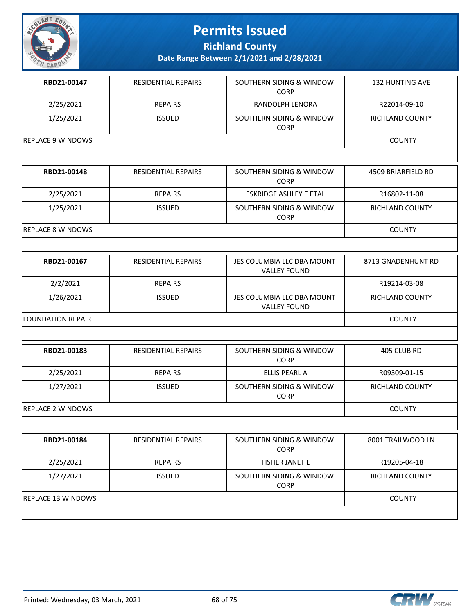

**Richland County**

| RBD21-00147              | RESIDENTIAL REPAIRS        | SOUTHERN SIDING & WINDOW<br><b>CORP</b>           | <b>132 HUNTING AVE</b> |
|--------------------------|----------------------------|---------------------------------------------------|------------------------|
| 2/25/2021                | <b>REPAIRS</b>             | RANDOLPH LENORA                                   | R22014-09-10           |
| 1/25/2021                | <b>ISSUED</b>              | SOUTHERN SIDING & WINDOW<br><b>CORP</b>           | RICHLAND COUNTY        |
| <b>REPLACE 9 WINDOWS</b> |                            |                                                   | <b>COUNTY</b>          |
|                          |                            |                                                   |                        |
| RBD21-00148              | <b>RESIDENTIAL REPAIRS</b> | SOUTHERN SIDING & WINDOW<br><b>CORP</b>           | 4509 BRIARFIELD RD     |
| 2/25/2021                | <b>REPAIRS</b>             | <b>ESKRIDGE ASHLEY E ETAL</b>                     | R16802-11-08           |
| 1/25/2021                | <b>ISSUED</b>              | SOUTHERN SIDING & WINDOW<br><b>CORP</b>           | RICHLAND COUNTY        |
| <b>REPLACE 8 WINDOWS</b> |                            |                                                   | <b>COUNTY</b>          |
|                          |                            |                                                   |                        |
| RBD21-00167              | <b>RESIDENTIAL REPAIRS</b> | JES COLUMBIA LLC DBA MOUNT<br><b>VALLEY FOUND</b> | 8713 GNADENHUNT RD     |
| 2/2/2021                 | <b>REPAIRS</b>             |                                                   | R19214-03-08           |
| 1/26/2021                | <b>ISSUED</b>              | JES COLUMBIA LLC DBA MOUNT<br><b>VALLEY FOUND</b> | RICHLAND COUNTY        |
| <b>FOUNDATION REPAIR</b> |                            |                                                   | <b>COUNTY</b>          |
|                          |                            |                                                   |                        |
| RBD21-00183              | RESIDENTIAL REPAIRS        | SOUTHERN SIDING & WINDOW<br><b>CORP</b>           | 405 CLUB RD            |
| 2/25/2021                | <b>REPAIRS</b>             | ELLIS PEARL A                                     | R09309-01-15           |
| 1/27/2021                | <b>ISSUED</b>              | SOUTHERN SIDING & WINDOW<br><b>CORP</b>           | RICHLAND COUNTY        |
| <b>REPLACE 2 WINDOWS</b> |                            |                                                   | <b>COUNTY</b>          |
|                          |                            |                                                   |                        |
| RBD21-00184              | RESIDENTIAL REPAIRS        | SOUTHERN SIDING & WINDOW<br><b>CORP</b>           | 8001 TRAILWOOD LN      |
| 2/25/2021                | <b>REPAIRS</b>             | FISHER JANET L                                    | R19205-04-18           |
| 1/27/2021                | <b>ISSUED</b>              | SOUTHERN SIDING & WINDOW<br><b>CORP</b>           | RICHLAND COUNTY        |
| REPLACE 13 WINDOWS       |                            |                                                   | <b>COUNTY</b>          |
|                          |                            |                                                   |                        |

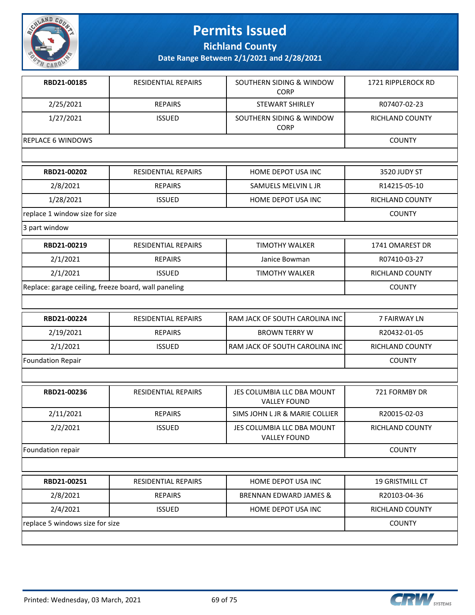

**Richland County**

| RBD21-00185                                          | <b>RESIDENTIAL REPAIRS</b> | SOUTHERN SIDING & WINDOW<br><b>CORP</b>           | 1721 RIPPLEROCK RD     |
|------------------------------------------------------|----------------------------|---------------------------------------------------|------------------------|
| 2/25/2021                                            | <b>REPAIRS</b>             | <b>STEWART SHIRLEY</b>                            | R07407-02-23           |
| 1/27/2021                                            | <b>ISSUED</b>              | SOUTHERN SIDING & WINDOW<br><b>CORP</b>           | <b>RICHLAND COUNTY</b> |
| <b>REPLACE 6 WINDOWS</b>                             |                            |                                                   | <b>COUNTY</b>          |
|                                                      |                            |                                                   |                        |
| RBD21-00202                                          | RESIDENTIAL REPAIRS        | HOME DEPOT USA INC                                | 3520 JUDY ST           |
| 2/8/2021                                             | <b>REPAIRS</b>             | SAMUELS MELVIN L JR                               | R14215-05-10           |
| 1/28/2021                                            | <b>ISSUED</b>              | HOME DEPOT USA INC                                | <b>RICHLAND COUNTY</b> |
| replace 1 window size for size                       |                            |                                                   | <b>COUNTY</b>          |
| 3 part window                                        |                            |                                                   |                        |
| RBD21-00219                                          | <b>RESIDENTIAL REPAIRS</b> | <b>TIMOTHY WALKER</b>                             | 1741 OMAREST DR        |
| 2/1/2021                                             | <b>REPAIRS</b>             | Janice Bowman                                     | R07410-03-27           |
| 2/1/2021                                             | <b>ISSUED</b>              | <b>TIMOTHY WALKER</b>                             | <b>RICHLAND COUNTY</b> |
| Replace: garage ceiling, freeze board, wall paneling |                            |                                                   | <b>COUNTY</b>          |
|                                                      |                            |                                                   |                        |
| RBD21-00224                                          | <b>RESIDENTIAL REPAIRS</b> | RAM JACK OF SOUTH CAROLINA INC                    | <b>7 FAIRWAY LN</b>    |
| 2/19/2021                                            | <b>REPAIRS</b>             | <b>BROWN TERRY W</b>                              | R20432-01-05           |
| 2/1/2021                                             | <b>ISSUED</b>              | RAM JACK OF SOUTH CAROLINA INC                    | <b>RICHLAND COUNTY</b> |
| <b>Foundation Repair</b>                             |                            |                                                   | <b>COUNTY</b>          |
|                                                      |                            |                                                   |                        |
| RBD21-00236                                          | RESIDENTIAL REPAIRS        | JES COLUMBIA LLC DBA MOUNT<br><b>VALLEY FOUND</b> | 721 FORMBY DR          |
| 2/11/2021                                            | <b>REPAIRS</b>             | SIMS JOHN L JR & MARIE COLLIER                    | R20015-02-03           |
| 2/2/2021                                             | <b>ISSUED</b>              | JES COLUMBIA LLC DBA MOUNT<br><b>VALLEY FOUND</b> | RICHLAND COUNTY        |
| Foundation repair                                    |                            |                                                   | <b>COUNTY</b>          |
|                                                      |                            |                                                   |                        |
| RBD21-00251                                          | <b>RESIDENTIAL REPAIRS</b> | HOME DEPOT USA INC                                | 19 GRISTMILL CT        |
| 2/8/2021                                             | <b>REPAIRS</b>             | <b>BRENNAN EDWARD JAMES &amp;</b>                 | R20103-04-36           |
| 2/4/2021                                             | <b>ISSUED</b>              | HOME DEPOT USA INC                                | <b>RICHLAND COUNTY</b> |
| replace 5 windows size for size                      |                            |                                                   | <b>COUNTY</b>          |
|                                                      |                            |                                                   |                        |

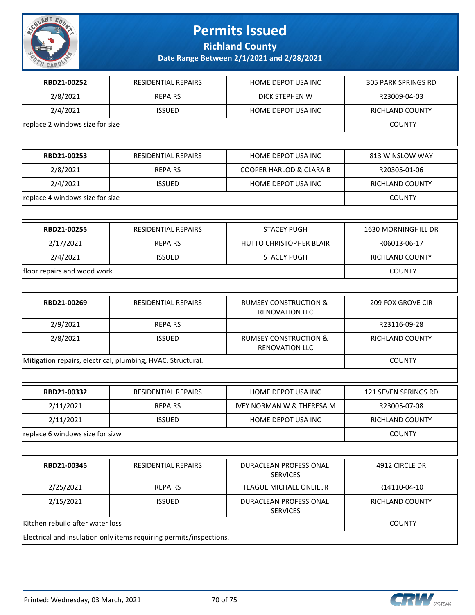

**Richland County**

| RBD21-00252                      | RESIDENTIAL REPAIRS                                                 | HOME DEPOT USA INC                                        | <b>305 PARK SPRINGS RD</b> |
|----------------------------------|---------------------------------------------------------------------|-----------------------------------------------------------|----------------------------|
| 2/8/2021                         | <b>REPAIRS</b>                                                      | DICK STEPHEN W                                            | R23009-04-03               |
| 2/4/2021                         | <b>ISSUED</b>                                                       | HOME DEPOT USA INC                                        | RICHLAND COUNTY            |
| replace 2 windows size for size  |                                                                     |                                                           | <b>COUNTY</b>              |
|                                  |                                                                     |                                                           |                            |
| RBD21-00253                      | RESIDENTIAL REPAIRS                                                 | HOME DEPOT USA INC                                        | 813 WINSLOW WAY            |
| 2/8/2021                         | <b>REPAIRS</b>                                                      | <b>COOPER HARLOD &amp; CLARA B</b>                        | R20305-01-06               |
| 2/4/2021                         | <b>ISSUED</b>                                                       | HOME DEPOT USA INC                                        | <b>RICHLAND COUNTY</b>     |
| replace 4 windows size for size  |                                                                     |                                                           | <b>COUNTY</b>              |
|                                  |                                                                     |                                                           |                            |
| RBD21-00255                      | <b>RESIDENTIAL REPAIRS</b>                                          | <b>STACEY PUGH</b>                                        | <b>1630 MORNINGHILL DR</b> |
| 2/17/2021                        | <b>REPAIRS</b>                                                      | <b>HUTTO CHRISTOPHER BLAIR</b>                            | R06013-06-17               |
| 2/4/2021                         | <b>ISSUED</b>                                                       | <b>STACEY PUGH</b>                                        | RICHLAND COUNTY            |
| floor repairs and wood work      |                                                                     |                                                           | <b>COUNTY</b>              |
|                                  |                                                                     |                                                           |                            |
| RBD21-00269                      | RESIDENTIAL REPAIRS                                                 | <b>RUMSEY CONSTRUCTION &amp;</b><br><b>RENOVATION LLC</b> | <b>209 FOX GROVE CIR</b>   |
| 2/9/2021                         | <b>REPAIRS</b>                                                      |                                                           | R23116-09-28               |
| 2/8/2021                         | <b>ISSUED</b>                                                       | <b>RUMSEY CONSTRUCTION &amp;</b><br><b>RENOVATION LLC</b> | RICHLAND COUNTY            |
|                                  | Mitigation repairs, electrical, plumbing, HVAC, Structural.         |                                                           | <b>COUNTY</b>              |
|                                  |                                                                     |                                                           |                            |
| RBD21-00332                      | RESIDENTIAL REPAIRS                                                 | HOME DEPOT USA INC                                        | 121 SEVEN SPRINGS RD       |
| 2/11/2021                        | <b>REPAIRS</b>                                                      | <b>IVEY NORMAN W &amp; THERESA M</b>                      | R23005-07-08               |
| 2/11/2021                        | <b>ISSUED</b>                                                       | HOME DEPOT USA INC                                        | RICHLAND COUNTY            |
| replace 6 windows size for sizw  |                                                                     |                                                           | <b>COUNTY</b>              |
|                                  |                                                                     |                                                           |                            |
| RBD21-00345                      | RESIDENTIAL REPAIRS                                                 | DURACLEAN PROFESSIONAL<br><b>SERVICES</b>                 | 4912 CIRCLE DR             |
| 2/25/2021                        | <b>REPAIRS</b>                                                      | TEAGUE MICHAEL ONEIL JR                                   | R14110-04-10               |
| 2/15/2021                        | <b>ISSUED</b>                                                       | DURACLEAN PROFESSIONAL<br><b>SERVICES</b>                 | RICHLAND COUNTY            |
| Kitchen rebuild after water loss |                                                                     |                                                           | <b>COUNTY</b>              |
|                                  | Electrical and insulation only items requiring permits/inspections. |                                                           |                            |

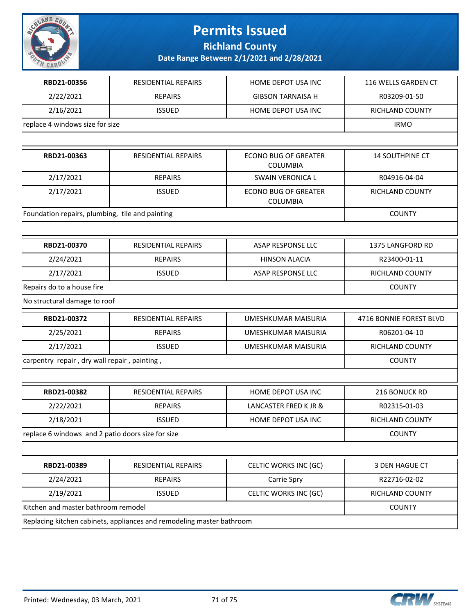

**Richland County**

| RBD21-00356                                       | <b>RESIDENTIAL REPAIRS</b>                                            | HOME DEPOT USA INC                             | 116 WELLS GARDEN CT     |
|---------------------------------------------------|-----------------------------------------------------------------------|------------------------------------------------|-------------------------|
| 2/22/2021                                         | <b>REPAIRS</b>                                                        | <b>GIBSON TARNAISA H</b>                       | R03209-01-50            |
| 2/16/2021                                         | <b>ISSUED</b>                                                         | HOME DEPOT USA INC                             | RICHLAND COUNTY         |
| replace 4 windows size for size                   |                                                                       |                                                | <b>IRMO</b>             |
|                                                   |                                                                       |                                                |                         |
| RBD21-00363                                       | <b>RESIDENTIAL REPAIRS</b>                                            | <b>ECONO BUG OF GREATER</b><br><b>COLUMBIA</b> | <b>14 SOUTHPINE CT</b>  |
| 2/17/2021                                         | <b>REPAIRS</b>                                                        | SWAIN VERONICA L                               | R04916-04-04            |
| 2/17/2021                                         | <b>ISSUED</b>                                                         | <b>ECONO BUG OF GREATER</b><br>COLUMBIA        | RICHLAND COUNTY         |
| Foundation repairs, plumbing, tile and painting   |                                                                       |                                                | <b>COUNTY</b>           |
|                                                   |                                                                       |                                                |                         |
| RBD21-00370                                       | <b>RESIDENTIAL REPAIRS</b>                                            | ASAP RESPONSE LLC                              | 1375 LANGFORD RD        |
| 2/24/2021                                         | <b>REPAIRS</b>                                                        | <b>HINSON ALACIA</b>                           | R23400-01-11            |
| 2/17/2021                                         | <b>ISSUED</b>                                                         | ASAP RESPONSE LLC                              | RICHLAND COUNTY         |
| Repairs do to a house fire                        |                                                                       |                                                | <b>COUNTY</b>           |
| No structural damage to roof                      |                                                                       |                                                |                         |
| RBD21-00372                                       | <b>RESIDENTIAL REPAIRS</b>                                            | <b>UMESHKUMAR MAISURIA</b>                     | 4716 BONNIE FOREST BLVD |
| 2/25/2021                                         | <b>REPAIRS</b>                                                        | UMESHKUMAR MAISURIA                            | R06201-04-10            |
| 2/17/2021                                         | <b>ISSUED</b>                                                         | UMESHKUMAR MAISURIA                            | RICHLAND COUNTY         |
| carpentry repair, dry wall repair, painting,      |                                                                       |                                                | <b>COUNTY</b>           |
|                                                   |                                                                       |                                                |                         |
| RBD21-00382                                       | RESIDENTIAL REPAIRS                                                   | HOME DEPOT USA INC                             | 216 BONUCK RD           |
| 2/22/2021                                         | <b>REPAIRS</b>                                                        | LANCASTER FRED K JR &                          | R02315-01-03            |
| 2/18/2021                                         | <b>ISSUED</b>                                                         | HOME DEPOT USA INC                             | RICHLAND COUNTY         |
| replace 6 windows and 2 patio doors size for size |                                                                       |                                                | <b>COUNTY</b>           |
|                                                   |                                                                       |                                                |                         |
| RBD21-00389                                       | RESIDENTIAL REPAIRS                                                   | CELTIC WORKS INC (GC)                          | 3 DEN HAGUE CT          |
| 2/24/2021                                         | <b>REPAIRS</b>                                                        | Carrie Spry                                    | R22716-02-02            |
| 2/19/2021                                         | <b>ISSUED</b>                                                         | CELTIC WORKS INC (GC)                          | RICHLAND COUNTY         |
| Kitchen and master bathroom remodel               |                                                                       |                                                | <b>COUNTY</b>           |
|                                                   | Replacing kitchen cabinets, appliances and remodeling master bathroom |                                                |                         |

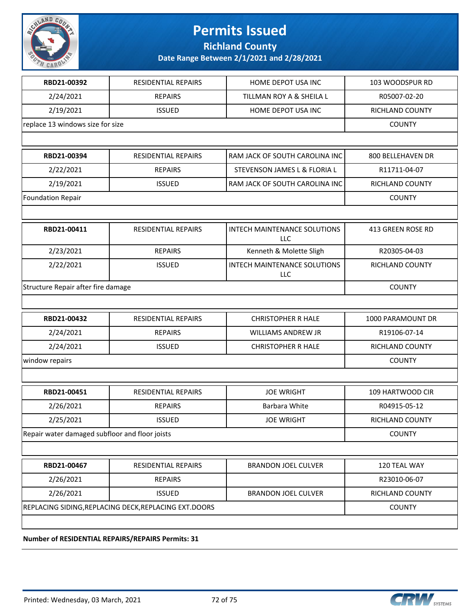

**Richland County**

**Date Range Between 2/1/2021 and 2/28/2021**

| 2/24/2021<br>2/19/2021<br>replace 13 windows size for size<br>RBD21-00394<br>2/22/2021<br>2/19/2021<br><b>Foundation Repair</b><br>RBD21-00411 | <b>REPAIRS</b><br><b>ISSUED</b><br>RESIDENTIAL REPAIRS<br><b>REPAIRS</b><br><b>ISSUED</b><br><b>RESIDENTIAL REPAIRS</b><br><b>REPAIRS</b> | TILLMAN ROY A & SHEILA L<br>HOME DEPOT USA INC<br>RAM JACK OF SOUTH CAROLINA INC<br>STEVENSON JAMES L & FLORIA L<br>RAM JACK OF SOUTH CAROLINA INC<br><b>INTECH MAINTENANCE SOLUTIONS</b><br><b>LLC</b> | R05007-02-20<br>RICHLAND COUNTY<br><b>COUNTY</b><br>800 BELLEHAVEN DR<br>R11711-04-07<br>RICHLAND COUNTY<br><b>COUNTY</b><br>413 GREEN ROSE RD |
|------------------------------------------------------------------------------------------------------------------------------------------------|-------------------------------------------------------------------------------------------------------------------------------------------|---------------------------------------------------------------------------------------------------------------------------------------------------------------------------------------------------------|------------------------------------------------------------------------------------------------------------------------------------------------|
|                                                                                                                                                |                                                                                                                                           |                                                                                                                                                                                                         |                                                                                                                                                |
|                                                                                                                                                |                                                                                                                                           |                                                                                                                                                                                                         |                                                                                                                                                |
|                                                                                                                                                |                                                                                                                                           |                                                                                                                                                                                                         |                                                                                                                                                |
|                                                                                                                                                |                                                                                                                                           |                                                                                                                                                                                                         |                                                                                                                                                |
|                                                                                                                                                |                                                                                                                                           |                                                                                                                                                                                                         |                                                                                                                                                |
|                                                                                                                                                |                                                                                                                                           |                                                                                                                                                                                                         |                                                                                                                                                |
|                                                                                                                                                |                                                                                                                                           |                                                                                                                                                                                                         |                                                                                                                                                |
|                                                                                                                                                |                                                                                                                                           |                                                                                                                                                                                                         |                                                                                                                                                |
|                                                                                                                                                |                                                                                                                                           |                                                                                                                                                                                                         |                                                                                                                                                |
|                                                                                                                                                |                                                                                                                                           |                                                                                                                                                                                                         |                                                                                                                                                |
| 2/23/2021                                                                                                                                      |                                                                                                                                           | Kenneth & Molette Sligh                                                                                                                                                                                 | R20305-04-03                                                                                                                                   |
| 2/22/2021                                                                                                                                      | <b>ISSUED</b>                                                                                                                             | INTECH MAINTENANCE SOLUTIONS<br><b>LLC</b>                                                                                                                                                              | RICHLAND COUNTY                                                                                                                                |
| Structure Repair after fire damage                                                                                                             |                                                                                                                                           |                                                                                                                                                                                                         | <b>COUNTY</b>                                                                                                                                  |
|                                                                                                                                                |                                                                                                                                           |                                                                                                                                                                                                         |                                                                                                                                                |
| RBD21-00432                                                                                                                                    | RESIDENTIAL REPAIRS                                                                                                                       | <b>CHRISTOPHER R HALE</b>                                                                                                                                                                               | 1000 PARAMOUNT DR                                                                                                                              |
| 2/24/2021                                                                                                                                      | <b>REPAIRS</b>                                                                                                                            | WILLIAMS ANDREW JR                                                                                                                                                                                      | R19106-07-14                                                                                                                                   |
| 2/24/2021                                                                                                                                      | <b>ISSUED</b>                                                                                                                             | <b>CHRISTOPHER R HALE</b>                                                                                                                                                                               | RICHLAND COUNTY                                                                                                                                |
| window repairs                                                                                                                                 |                                                                                                                                           |                                                                                                                                                                                                         | <b>COUNTY</b>                                                                                                                                  |
|                                                                                                                                                |                                                                                                                                           |                                                                                                                                                                                                         |                                                                                                                                                |
| RBD21-00451                                                                                                                                    | RESIDENTIAL REPAIRS                                                                                                                       | <b>JOE WRIGHT</b>                                                                                                                                                                                       | 109 HARTWOOD CIR                                                                                                                               |
| 2/26/2021                                                                                                                                      | <b>REPAIRS</b>                                                                                                                            | Barbara White                                                                                                                                                                                           | R04915-05-12                                                                                                                                   |
| 2/25/2021                                                                                                                                      | <b>ISSUED</b>                                                                                                                             | <b>JOE WRIGHT</b>                                                                                                                                                                                       | RICHLAND COUNTY                                                                                                                                |
| Repair water damaged subfloor and floor joists                                                                                                 |                                                                                                                                           |                                                                                                                                                                                                         | <b>COUNTY</b>                                                                                                                                  |
|                                                                                                                                                |                                                                                                                                           |                                                                                                                                                                                                         |                                                                                                                                                |
| RBD21-00467                                                                                                                                    | RESIDENTIAL REPAIRS                                                                                                                       | <b>BRANDON JOEL CULVER</b>                                                                                                                                                                              | 120 TEAL WAY                                                                                                                                   |
| 2/26/2021                                                                                                                                      | <b>REPAIRS</b>                                                                                                                            |                                                                                                                                                                                                         | R23010-06-07                                                                                                                                   |
| 2/26/2021                                                                                                                                      | <b>ISSUED</b>                                                                                                                             | <b>BRANDON JOEL CULVER</b>                                                                                                                                                                              | RICHLAND COUNTY                                                                                                                                |
| REPLACING SIDING, REPLACING DECK, REPLACING EXT. DOORS                                                                                         |                                                                                                                                           |                                                                                                                                                                                                         | <b>COUNTY</b>                                                                                                                                  |

**Number of RESIDENTIAL REPAIRS/REPAIRS Permits: 31**

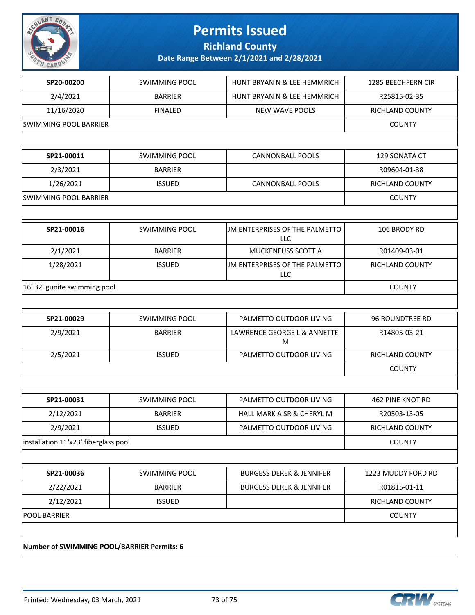

## **Permits Issued**

**Richland County**

**Date Range Between 2/1/2021 and 2/28/2021**

| SP20-00200                           | <b>SWIMMING POOL</b> | HUNT BRYAN N & LEE HEMMRICH                  | 1285 BEECHFERN CIR      |
|--------------------------------------|----------------------|----------------------------------------------|-------------------------|
| 2/4/2021                             | <b>BARRIER</b>       | HUNT BRYAN N & LEE HEMMRICH                  | R25815-02-35            |
| 11/16/2020                           | <b>FINALED</b>       | <b>NEW WAVE POOLS</b>                        | RICHLAND COUNTY         |
| <b>SWIMMING POOL BARRIER</b>         |                      |                                              | <b>COUNTY</b>           |
|                                      |                      |                                              |                         |
| SP21-00011                           | <b>SWIMMING POOL</b> | <b>CANNONBALL POOLS</b>                      | 129 SONATA CT           |
| 2/3/2021                             | <b>BARRIER</b>       |                                              | R09604-01-38            |
| 1/26/2021                            | <b>ISSUED</b>        | <b>CANNONBALL POOLS</b>                      | RICHLAND COUNTY         |
| <b>SWIMMING POOL BARRIER</b>         |                      |                                              | <b>COUNTY</b>           |
|                                      |                      |                                              |                         |
| SP21-00016                           | <b>SWIMMING POOL</b> | JM ENTERPRISES OF THE PALMETTO<br><b>LLC</b> | 106 BRODY RD            |
| 2/1/2021                             | <b>BARRIER</b>       | MUCKENFUSS SCOTT A                           | R01409-03-01            |
| 1/28/2021                            | <b>ISSUED</b>        | JM ENTERPRISES OF THE PALMETTO<br>LLC        | RICHLAND COUNTY         |
| 16' 32' gunite swimming pool         |                      | <b>COUNTY</b>                                |                         |
|                                      |                      |                                              |                         |
| SP21-00029                           | <b>SWIMMING POOL</b> | PALMETTO OUTDOOR LIVING                      | 96 ROUNDTREE RD         |
| 2/9/2021                             | <b>BARRIER</b>       | LAWRENCE GEORGE L & ANNETTE<br>M             | R14805-03-21            |
| 2/5/2021                             | <b>ISSUED</b>        | PALMETTO OUTDOOR LIVING                      | RICHLAND COUNTY         |
|                                      |                      |                                              | <b>COUNTY</b>           |
|                                      |                      |                                              |                         |
| SP21-00031                           | <b>SWIMMING POOL</b> | PALMETTO OUTDOOR LIVING                      | <b>462 PINE KNOT RD</b> |
| 2/12/2021                            | <b>BARRIER</b>       | HALL MARK A SR & CHERYL M                    | R20503-13-05            |
| 2/9/2021                             | <b>ISSUED</b>        | PALMETTO OUTDOOR LIVING                      | RICHLAND COUNTY         |
| installation 11'x23' fiberglass pool |                      | <b>COUNTY</b>                                |                         |
|                                      |                      |                                              |                         |
|                                      | <b>SWIMMING POOL</b> | <b>BURGESS DEREK &amp; JENNIFER</b>          | 1223 MUDDY FORD RD      |
| SP21-00036                           |                      |                                              |                         |
| 2/22/2021                            | <b>BARRIER</b>       | <b>BURGESS DEREK &amp; JENNIFER</b>          | R01815-01-11            |
| 2/12/2021                            | <b>ISSUED</b>        |                                              | RICHLAND COUNTY         |
| <b>POOL BARRIER</b>                  |                      |                                              | <b>COUNTY</b>           |

**Number of SWIMMING POOL/BARRIER Permits: 6**

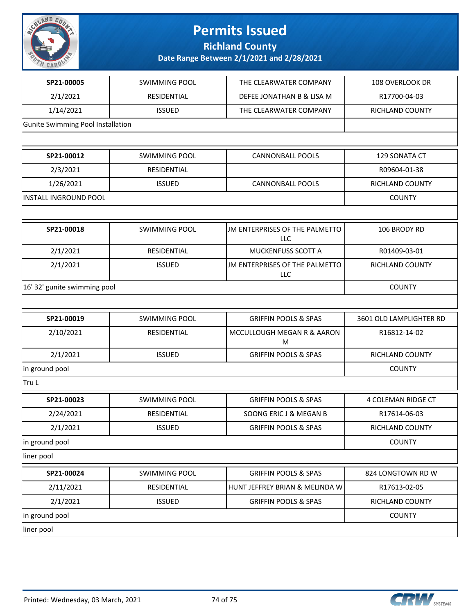

## **Permits Issued**

**Richland County**

**Date Range Between 2/1/2021 and 2/28/2021**

| SP21-00005                        | <b>SWIMMING POOL</b> | THE CLEARWATER COMPANY                       | 108 OVERLOOK DR           |
|-----------------------------------|----------------------|----------------------------------------------|---------------------------|
| 2/1/2021                          | RESIDENTIAL          | DEFEE JONATHAN B & LISA M                    | R17700-04-03              |
| 1/14/2021                         | <b>ISSUED</b>        | THE CLEARWATER COMPANY                       | RICHLAND COUNTY           |
| Gunite Swimming Pool Installation |                      |                                              |                           |
|                                   |                      |                                              |                           |
| SP21-00012                        | <b>SWIMMING POOL</b> | <b>CANNONBALL POOLS</b>                      | 129 SONATA CT             |
| 2/3/2021                          | RESIDENTIAL          |                                              | R09604-01-38              |
| 1/26/2021                         | <b>ISSUED</b>        | <b>CANNONBALL POOLS</b>                      | RICHLAND COUNTY           |
| <b>INSTALL INGROUND POOL</b>      |                      |                                              | <b>COUNTY</b>             |
|                                   |                      |                                              |                           |
| SP21-00018                        | <b>SWIMMING POOL</b> | JM ENTERPRISES OF THE PALMETTO<br><b>LLC</b> | 106 BRODY RD              |
| 2/1/2021                          | RESIDENTIAL          | MUCKENFUSS SCOTT A                           | R01409-03-01              |
| 2/1/2021                          | <b>ISSUED</b>        | JM ENTERPRISES OF THE PALMETTO<br>LLC        | RICHLAND COUNTY           |
| 16' 32' gunite swimming pool      | <b>COUNTY</b>        |                                              |                           |
|                                   |                      |                                              |                           |
| SP21-00019                        | <b>SWIMMING POOL</b> | <b>GRIFFIN POOLS &amp; SPAS</b>              | 3601 OLD LAMPLIGHTER RD   |
| 2/10/2021                         | RESIDENTIAL          | MCCULLOUGH MEGAN R & AARON<br>M              | R16812-14-02              |
| 2/1/2021                          | <b>ISSUED</b>        | <b>GRIFFIN POOLS &amp; SPAS</b>              | RICHLAND COUNTY           |
| in ground pool                    | <b>COUNTY</b>        |                                              |                           |
| Tru L                             |                      |                                              |                           |
| SP21-00023                        | <b>SWIMMING POOL</b> | <b>GRIFFIN POOLS &amp; SPAS</b>              | <b>4 COLEMAN RIDGE CT</b> |
| 2/24/2021                         | RESIDENTIAL          | SOONG ERIC J & MEGAN B                       | R17614-06-03              |
| 2/1/2021                          | <b>ISSUED</b>        | <b>GRIFFIN POOLS &amp; SPAS</b>              | RICHLAND COUNTY           |
| in ground pool                    | <b>COUNTY</b>        |                                              |                           |
| liner pool                        |                      |                                              |                           |
|                                   |                      |                                              |                           |
| SP21-00024                        | <b>SWIMMING POOL</b> | <b>GRIFFIN POOLS &amp; SPAS</b>              | 824 LONGTOWN RD W         |
| 2/11/2021                         | RESIDENTIAL          | HUNT JEFFREY BRIAN & MELINDA W               | R17613-02-05              |
| 2/1/2021                          | <b>ISSUED</b>        | <b>GRIFFIN POOLS &amp; SPAS</b>              | RICHLAND COUNTY           |
| in ground pool                    |                      |                                              | <b>COUNTY</b>             |